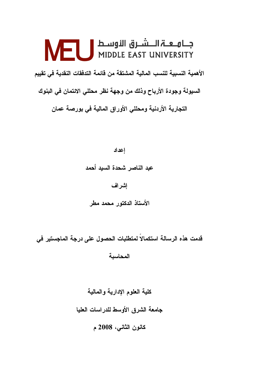# الأهمية النسبية للنسب المالية المشتقة من قائمة التدفقات النقدية في تقييم السيولة وجودة الأرباح وذلك من وجهة نظر محللي الائتمان في البنوك التجارية الأردنية ومحللي الأوراق المالية في بورصة عمان

إعداد عبد الناصر شحدة السبد أحمد إشراف الأستاذ الدكتور محمد مطر

قدمت هذه الرسالة استكمالاً لمتطلبات الحصول على درجة الماجستير في

المحاسىة

كلية العلوم الإدارية والمالية جامعة الشرق الأوسط للدراسات العليا كانون الثاني، 2008 م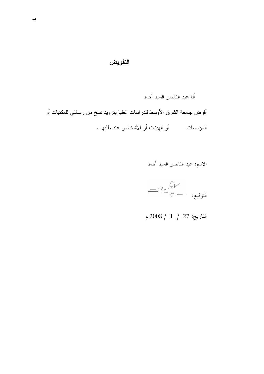## التفويض

أنا عبد الناصر السيد أحمد أفوض جامعة الشرق الأوسط للدراسات العليا بنزويد نسخ من رسالتي للمكتبات أو 

الاسم: عبد الناصر السيد أحمد

 $\begin{picture}(120,111){\line(1,0){155}} \put(150,111){\line(1,0){155}} \put(150,111){\line(1,0){155}} \put(150,111){\line(1,0){155}} \put(150,111){\line(1,0){155}} \put(150,111){\line(1,0){155}} \put(150,111){\line(1,0){155}} \put(150,111){\line(1,0){155}} \put(150,111){\line(1,0){155}} \put(150,111){\line(1,0){15$ 

التاريخ: 27 / 1 / 2008 م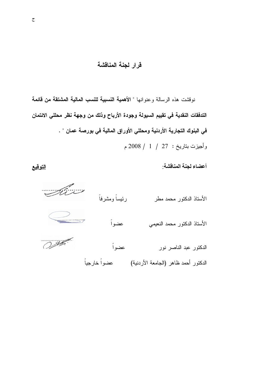# قرار لجنة المناقشة

نو قشت هذه الر سالة و عنو انها " الأهمية النسبية للنسب المالية المشتقة من قائمة التدفقات النقدية في تقييم السيولة وجودة الأرباح وذلك من وجهة نظر محللي الائتمان في البنوك التجارية الأردنية ومحللي الأوراق المالية في بورصة عمان " . وأجيزت بتاريخ : 27 / 1 / 2008 م

أعضاء لجنة المناقشة

رئيساً ومشر فاً الأستاذ الدكتور محمد مطر عضواً الأستاذ الدكتور محمد النعيمي  $O$ الدكتور عبد الناصر نور عضو اً 

التوقيع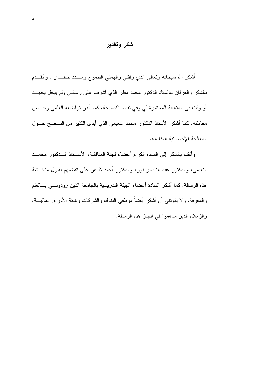#### شكر وتقدير

أشكر الله سبحانه ونعالى الذي وفقني والـهمني الطموح وســــدد خطــــاي . وأنقــــدم بالشكر والعرفان للأستاذ الدكتور محمد مطر الذي أشرف على رسالتي ولم ببخل بجهــد أو وقت في المتابعة المستمرة لي وفي تقديم النصيحة، كما أقدر نواضعه العلمي وحـــسن معاملته. كما أشكر الأستاذ الدكتور محمد النعيمي الذي أبدى الكثير من النـــصـح حـــول المعالجة الإحصائية المناسبة.

وأتقدم بالشكر إلى السادة الكرام أعضاء لجنة المناقشة، الأســـناذ الـــدكتور محمـــد النعيمي، والدكتور عبد الناصر نور، والدكتور أحمد ظاهر على تفضلهم بقبول مناقسشة هذه الرسالة. كما أشكر السادة أعضاء الهيئة الندريسية بالجامعة الذين زودونـــي بـــالعلم والمعرفة. ولا يفوننـي أن أشكر أيضـاً موظفـي البنوك والشركات وهيئة الأوراق الماليــــة، والزملاء الذين ساهموا في إنجاز هذه الرسالة.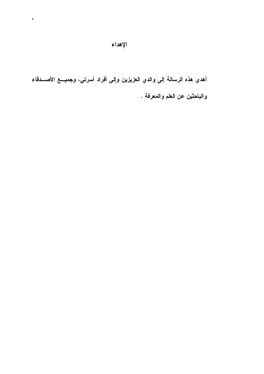أهدي هذه الرسالة إلى والدي العزيزين وإلى أفراد أسرتي، وجميـــع الأصـــدقاء والباحثين عن العلم والمعرفة .

 $\bullet$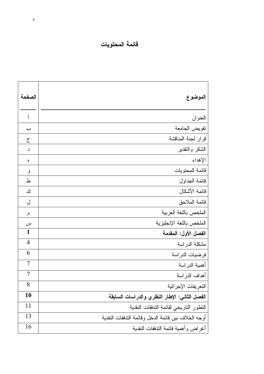# فائمة المحتويات

| الصفحة         | الموضوع                                             |
|----------------|-----------------------------------------------------|
| أ              | العنوان                                             |
| ب              | تفويض الجامعة                                       |
| ج              | قرار لجنة المناقشة                                  |
| د              | الشكر والنقدير                                      |
| ٥              | الإهداء                                             |
| و              | فائمة المحتويات                                     |
| ط              | قائمة الجداول                                       |
| ك              | فائمة الأشكال                                       |
| ل              | فائمة الملاحق                                       |
| م              | الملخص باللغة العربية                               |
| س              | الملخص باللغة الإنجليزية                            |
| 1              | الفصل الأول: المقدمة                                |
| $\overline{4}$ | مشكلة الدراسة                                       |
| 6              | فرضيات الدراسة                                      |
| 7              | أهمية الدراسة                                       |
| $\overline{7}$ | أهداف الدراسة                                       |
| 8              | التعريفات الإجرائية                                 |
| 10             | الفصل الثاني: الإطار النظري والدراسات السابقة       |
| 11             | التطور التاريخي لقائمة الندفقات النقدية             |
| 13             | أوجه الخلاف بين قائمة الدخل وقائمة التدفقات النقدية |
| 16             | أغراض وأهمية قائمة الندفقات النقدية                 |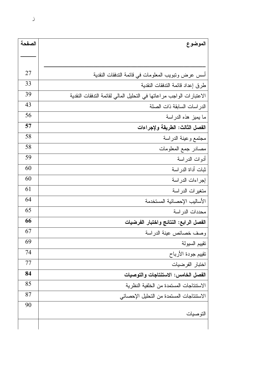| الموضوع                                                              |    |
|----------------------------------------------------------------------|----|
|                                                                      |    |
| أسس عرض ونبويب المعلومات في قائمة الندفقات النقدية                   | 27 |
| طرق إعداد قائمة التدفقات النقدية                                     |    |
| الاعتبارات الواجب مراعاتها في التحليل المالي لقائمة التدفقات النقدية | 39 |
| الدر اسات السابقة ذات الصلة                                          |    |
| ما يميز هذه الدراسة                                                  |    |
| الفصل الثالث: الطريقة ولإجراءات                                      |    |
| مجتمع وعينة الدراسة                                                  | 58 |
| مصادر جمع المعلومات                                                  |    |
| أدوات الدراسة                                                        |    |
| ثبات أداة الدراسة                                                    | 60 |
| إجراءات الدراسة                                                      | 60 |
| متغيرات الدراسة                                                      | 61 |
| الأساليب الإحصائية المستخدمة                                         | 64 |
| محددات الدر اسة                                                      | 65 |
| الفصل الرابع: النتائج واختبار الفرضيات                               | 66 |
| وصف خصائص عينة الدراسة                                               | 67 |
| تقييم السيولة                                                        |    |
| نقييم جودة الأرباح                                                   |    |
| اختبار الفرضيات                                                      | 77 |
| الفصل الخامس: الاستنتاجات والتوصيات                                  | 84 |
| الاستتناجات المستمدة من الخلفية النظرية                              | 85 |
| الاستتناجات المستمدة من التحليل الإحصائي                             | 87 |
|                                                                      | 90 |
| التوصيات                                                             |    |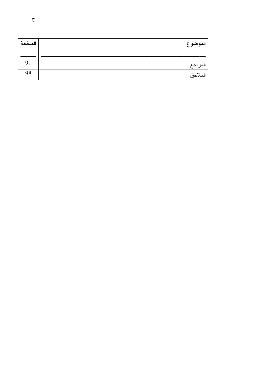| الموضوع | الصفحة |
|---------|--------|
| المراجع | 91     |
| الملاحق | 98     |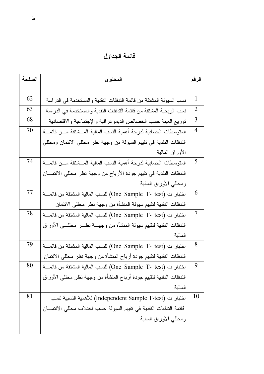قائمة الجداول

| الصفحة | المحتو ي                                                                     | الرقم          |
|--------|------------------------------------------------------------------------------|----------------|
|        |                                                                              |                |
| 62     | نسب السيولة المشتقة من قائمة التدفقات النقدية والمستخدمة في الدراسة          | $\mathbf{1}$   |
| 63     | نسب الربحية المشنقة من قائمة الندفقات النقدية والمستخدمة في الدراسة          | $\overline{2}$ |
| 68     | نوزيع العينة حسب الخصائص الديموغرافية والإجتماعية والاقتصادية                | 3              |
| 70     | المنوسطات الحسابية لدرجة أهمية النسب المالية المسشنقة مسن قائمسة             |                |
|        | التدفقات النقدية في نقييم السيولة من وجهة نظر محللي الائتمان ومحللي          |                |
|        | الأوراق المالية                                                              |                |
| 74     | المنوسطات الحسابية لدرجة أهمية النسب المالية المسشنقة مسن قائمسة             | 5              |
|        | التدفقات النقدية في نقييم جودة الأرباح من وجهة نظر محللي الائتمــــان        |                |
|        | ومحللبي الأوراق المالية                                                      |                |
| 77     | اختبار ت (One Sample T- test) للنسب المالية المشتقة من قائمــــة             | 6              |
|        | التدفقات النقدية لتقييم سيولة المنشأة من وجهة نظر محللي الائتمان             |                |
| 78     | اختبار ت (One Sample T- test) للنسب المالية المشتقة من قائمــــة             | $\tau$         |
|        | الندفقات النقدية لنقييم سيولة المنشأة من وجهــــة نظـــــر محللــــي الأوراق |                |
|        | المالية                                                                      |                |
| 79     | اختبار ت (One Sample T- test) للنسب المالية المشتقة من قائمــــة             |                |
|        | الندفقات النقدية لنقييم جودة أرباح المنشأة من وجهة نظر محللي الائتمان        |                |
| 80     | اختبار ت (One Sample T- test) للنسب المالية المشتقة من قائمــــة             |                |
|        | الندفقات النقدية لنقييم جودة أرباح المنشأة من وجهة نظر محللي الأوراق         |                |
|        | المالية                                                                      |                |
| 81     | اختبار ت (Independent Sample T-test) للأهمية النسبية لنسب                    | 10             |
|        | قائمة التدفقات النقدية في تقييم السيولة حسب اختلاف محللي الائتمـــان         |                |
|        | ومحللبي الأوراق المالية                                                      |                |
|        |                                                                              |                |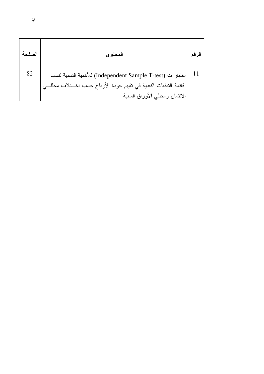| الصفحة | المحتو ي                                                            |  |
|--------|---------------------------------------------------------------------|--|
|        |                                                                     |  |
| 82     | اختبار ت (Independent Sample T-test) للأهمية النسبية لنسب           |  |
|        | قائمة التدفقات النقدية في تقييم جودة الأرباح حسب اخـــتلاف محللـــي |  |
|        | الائتمان ومحللي الأوراق المالية                                     |  |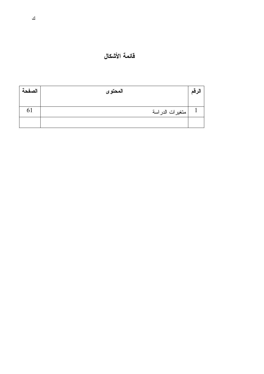# فائمة الأشكال

| الصفحة | المحتوى         | الرقم |
|--------|-----------------|-------|
|        |                 |       |
| 61     | متغيرات الدراسة |       |
|        |                 |       |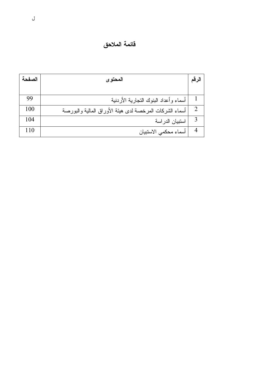قائمة الملاحق

| الصفحة | المحتو ي                                                | الرقم                       |
|--------|---------------------------------------------------------|-----------------------------|
|        |                                                         |                             |
| 99     | أسماء وأعداد البنوك التجارية الأردنية                   |                             |
| 100    | أسماء الشركات المرخصة لدى هيئة الأوراق المالية والبورصة | $\mathcal{D}_{\mathcal{L}}$ |
| 104    | استبيان الدراسة                                         | 3                           |
| 110    | أسماء محكمي الاستبيان                                   | 4                           |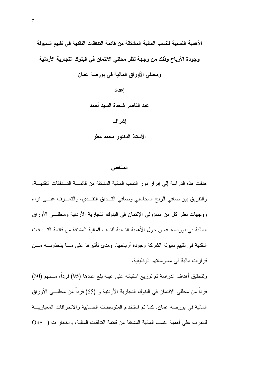الأهمية النسبية للنسب المالية المشتقة من قائمة التدفقات النقدية في تقييم السيولة وجودة الأرباح وذلك من وجهة نظر محللي الائتمان في البنوك التجارية الأردنية ومحللي الأوراق المالية في بورصة عمان

> إعداد عبد الناصر شحدة السبد أحمد إشراف الأستاذ الدكتور محمد مطر

#### الملخص

هدفت هذه الدر اسة إلى إبر از دور النسب المالية المشنقة من قائمــــة التـــدفقات النقديـــة، والنفريق بين صافى الربح المحاسبي وصافى التـــدفق النقـــدي، والنعـــرف علــــي أراء ووجهات نظر كل من مسؤولي الإئتمان في البنوك التجارية الأردنية ومحللــي الأوراق المالية في بورصة عمان حول الأهمية النسبية للنسب المالية المشتقة من قائمة التـــدفقات النقدية في نقييم سيولة الشركة وجودة أرباحها، ومدى تأثير ها على مـــا يتخذونــــه مـــن قرارات مالية في ممارساتهم الوظيفية.

ولتحقيق أهداف الدراسة تم توزيع استبانه على عينة بلغ عددها (95) فرداً، مـــنهم (30) فرداً من محللي الائتمان في البنوك التجارية الأردنية و (65) فرداً من محللـــي الأوراق المالية في بورصة عمان. كما تم استخدام المتوسطات الحسابية والانحرافات المعياريـــة للنعرف على أهمية النسب المالية المشتقة من قائمة الندفقات المالية، واختبار ت ( One )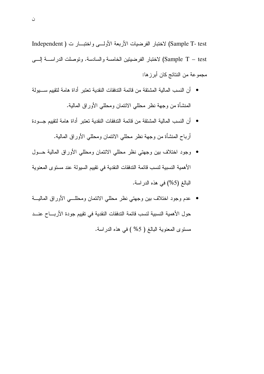Sample T- test) لاختبار الفرضيات الأربعة الأولسي واختبسار ت ( Independent Sample T – test) لاختبار الفرضيتين الخامسة والسادسة. وتوصلت الدراســة إلـــي مجموعة من النتائج كان أبرزها:

- أن النسب المالية المشتقة من قائمة الندفقات النقدية تعتبر أداة هامة لتقبيم ســـبو لة المنشأة من وجهة نظر محللي الائتمان ومحللي الأوراق المالية.
- أن النسب المالية المشتقة من قائمة الندفقات النقدية تعتبر أداة هامة لتقييم جـــودة أرباح المنشأة من وجهة نظر محللي الائتمان ومحللي الأوراق المالية.
- وجود اختلاف بين وجهتي نظر محللي الائتمان ومحللي الأوراق المالية حــول الأهمية النسبية لنسب قائمة التدفقات النقدية في تقييم السيولة عند مستوى المعنوية البالغ (5%) في هذه الدر اسة.
- عدم وجود اختلاف بين وجهتي نظر محللي الائتمان ومحللـــي الأوراق الماليـــة حول الأهمية النسبية لنسب قائمة التدفقات النقدية في تقييم جودة الأربــــاح عنـــد مستوى المعنوية البالغ ( 5% ) في هذه الدراسة.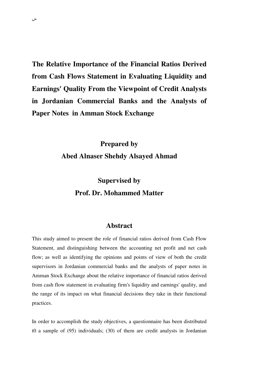**The Relative Importance of the Financial Ratios Derived from Cash Flows Statement in Evaluating Liquidity and Earnings' Quality From the Viewpoint of Credit Analysts in Jordanian Commercial Banks and the Analysts of Paper Notes in Amman Stock Exchange** 

# **Prepared by Abed Alnaser Shehdy Alsayed Ahmad**

# **Supervised by Prof. Dr. Mohammed Matter**

#### **Abstract**

This study aimed to present the role of financial ratios derived from Cash Flow Statement, and distinguishing between the accounting net profit and net cash flow; as well as identifying the opinions and points of view of both the credit supervisors in Jordanian commercial banks and the analysts of paper notes in Amman Stock Exchange about the relative importance of financial ratios derived from cash flow statement in evaluating firm's liquidity and earnings' quality, and the range of its impact on what financial decisions they take in their functional practices.

In order to accomplish the study objectives, a questionnaire has been distributed t0 a sample of (95) individuals; (30) of them are credit analysts in Jordanian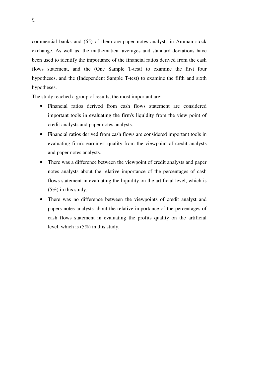commercial banks and (65) of them are paper notes analysts in Amman stock exchange. As well as, the mathematical averages and standard deviations have been used to identify the importance of the financial ratios derived from the cash flows statement, and the (One Sample T-test) to examine the first four hypotheses, and the (Independent Sample T-test) to examine the fifth and sixth hypotheses.

The study reached a group of results, the most important are:

- Financial ratios derived from cash flows statement are considered important tools in evaluating the firm's liquidity from the view point of credit analysts and paper notes analysts.
- Financial ratios derived from cash flows are considered important tools in evaluating firm's earnings' quality from the viewpoint of credit analysts and paper notes analysts.
- There was a difference between the viewpoint of credit analysts and paper notes analysts about the relative importance of the percentages of cash flows statement in evaluating the liquidity on the artificial level, which is (5%) in this study.
- There was no difference between the viewpoints of credit analyst and papers notes analysts about the relative importance of the percentages of cash flows statement in evaluating the profits quality on the artificial level, which is (5%) in this study.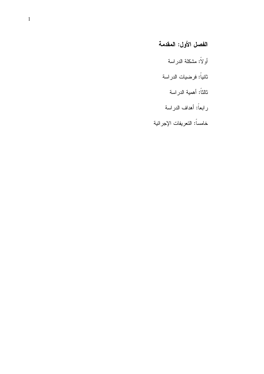# الفصل الأول: المقدمة

- أولاً: مشكلة الدراسة
- ثانياً: فرضيات الدراسة
	- ثالثاً: أهمية الدراسة
- رابعاً: أهداف الدراسة
- خامساً: النعريفات الإجرائية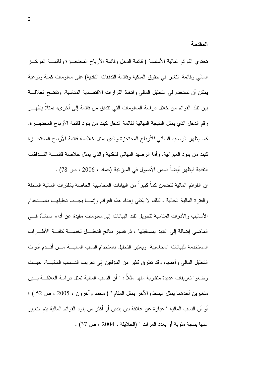المقدمة

تحتوي القوائم المالية الأساسية ( قائمة الدخل وقائمة الأرباح المحتجـــزة وقائمــــة المركـــز المالي وقائمة التغير في حقوق الملكية وقائمة التدفقات النقدية) على معلومات كمية ونوعية يمكن أن تستخدم في التحليل المالي واتخاذ القرارات الاقتصادية المناسبة. وتتضح العلاقـــة بين نلك القوائم من خلال دراسة المعلومات التي تتدفق من قائمة إلى أخرى، فمثلاً يظهـــر رِ قم الدخل الذي يمثل النتيجة النهائية لقائمة الدخل كبند من بنود قائمة الأرباح المحتجـــزة. كما يظهر الرصيد النهائي للأرباح المحتجزة والذي يمثل خلاصة فائمة الأرباح المحتجــزة كبند من بنود المبزانية. وأما الرصيد النهائي للنقدية والذي يمثل خلاصة قائمـــة التـــدفقات النقدية فيظهر أيضاً ضمن الأصول في الميزانية (حماد ، 2006 ، ص 78) .

إن القو ائم المالية تتضمن كماً كبير اً من البيانات المحاسبية الخاصة بالفتر ات المالية السابقة والفترة المالية الحالية ، لذلك لا يكفى إعداد هذه القوائم وإنمـــا يجـــب تحليلهـــا باســـتخدام الأساليب والأدوات المناسبة لتحويل نلك البيانات إلى معلومات مفيدة عن أداء المنشأة فسي الماضي إضافة إلى النتبوَ بمستقبلها ، ثم تفسير نتائج التحليــل لخدمـــة كافـــة الأطـــراف المستخدمة للبيانات المحاسبية. ويعتبر التحليل باستخدام النسب الماليــــة مــــن أقـــدم أدوات التحليل المالي وأهمها، وقد تطرق كثير من المؤلفين إلى تعريف النـــسب الماليــــة، حيـــث وضعوا نعريفات عديدة متقاربة منها مثلاً : " أن النسب المالية نمثل در اسة العلاقـــة بـــين متغيرين أحدهما بمثل البسط والآخر بمثل المقام " ( محمد وأخرون ، 2005 ، ص 52 ) ؛ أو أن النسب المالية " عبارة عن علاقة بين بندين أو أكثر من بنود القوائم المالية يتم التعبير عنها بنسبة مئوية أو بعدد المرات " (الخلايلة ، 2004 ، ص 37) .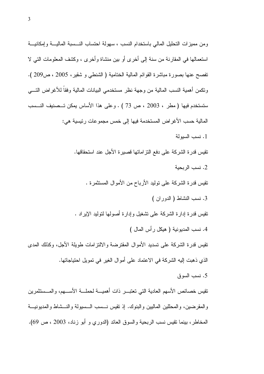ومن مميزات التحليل المالي باستخدام النسب ، سهولة احتساب النـــسبة الماليــــة وإمكانيـــة استعمالها في المقارنة من سنة إلى أخرى أو بين منشاة وأخرى ، وكشف المعلومات التي لا تفصح عنها بصورة مباشرة القوائم المالية الختامية ( الشنطبي و شقير، 2005 ، ص209 ). ونكمن أهمية النسب المالية من وجهة نظر مستخدمي البيانات المالية وفقاً للأغراض التسي ستستخدم فيها (مطر ، 2003 ، ص 73 ) . وعلى هذا الأساس يمكن تـــصنيف النـــسب المالية حسب الأغراض المستخدمة فيها إلى خمس مجموعات رئيسية هي: 1. نسب السبولة تقيس قدر ة الشركة على دفع التز اماتها قصير ة الأجل عند استحقاقها. 2. نسب الربحية نقيس قدرة الشركة على توليد الأرباح من الأموال المستثمرة . 3. نسب النشاط ( الدوران ) نقيس قدرة إدارة الشركة على نشغيل وإدارة أصولها لتوليد الإيراد . 4. نسب المديونية ( هيكل رأس المال ) تقيس قدرة الشركة على تسديد الأموال المقترضة والالتزامات طويلة الأجل، وكذلك المدى الذي ذهبت إليه الشركة في الاعتماد على أموال الغير في تمويل احتياجاتها. 5. نسب السوق نقيس خصائص الأسهم العادية التي تعتبـــر ذات أهميــــة لـحملــــة الأســــهم، والمــــستثمرين والمقرضين، والمحللين الماليين والبنوك. إذ نقيس نـــسب الـــسيولة والنـــشاط والمديونيـــة

المخاطر، بينما نقيس نسب الربحية والسوق العائد (الدوري و أبو زناد، 2003 ، ص 69).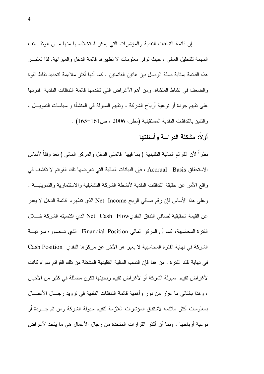إن قائمة التدفقات النقدية والمؤشرات التي يمكن استخلاصها منها مــن الوظــائف المهمة للتحليل المالي ، حيث نوفر معلومات لا نظهرها قائمة الدخل والمبزانية. لذا تعتبـــر هذه القائمة بمثابة صلة الوصل بين هاتين القائمتين . كما أنها أكثر ملاءمة لتحديد نقاط القوة والضعف في نشاط المنشاة. ومن أهم الأغراض التي نخدمها قائمة الندفقات النقدية قدرتها على نقييم جودة أو نوعية أرباح الشركة ، ونقييم السيولة في المنشأة و سياسات النمويـــل ، والنتبؤ بالتدفقات النقدية المستقبلية (مطر، 2006 ، ص161-165) .

## أو لاً: مشكلة الدراسة وأسئلتها

نظراً لأن القوائم المالية النقليدية ( بما فيها ۖ قائمتي الدخل والمركز المالي ) نعد وفقاً لأساس الاستحقاق Accrual Basis ، فإن البيانات المالية التي تعرضها تلك القوائم لا تكشف في و اقع الأمر ٍ عن حقيقة الندفقات النقدية لأنشطة الشركة النشغيلية والاستثمار ية والنمويليـــة . وعلى هذا الأساس فإن رقم صـافـي الربـح Net Income الذي نظـهره قائمة الدخل لا يـعبر عن القيمة الحقيقية لصافي الندفق النقدىNet Cash Flow الذي اكتسبته الشركة خـــلال الفترة المحاسبية، كما أن المركز المالي Financial Position الذي تـــصوره ميزانيـــة الشركة في نهاية الفترة المحاسبية لا يعبر هو الآخر عن مركزها النقدي Cash Position في نهاية تلك الفتر ة . من هنا فإن النسب المالية التقليدية المشتقة من تلك القوائم سواء كانت لأغراض نقييم سيولة الشركة أو لأغراض نقييم ربحيتها نكون مضللة في كثير من الأحيان ، و هذا بالتالي ما عزز ٌ من دور ۖ وأهمية قائمة التدفقات النقدية في نزويد ر جـــال الأعمـــال بمعلومات أكثر ملائمة لاشتقاق المؤشرات اللازمة لتقييم سيولة الشركة ومن ثم جـــودة أو نوعية أرباحها . وبما أن أكثر القرارات المتخذة من رجال الأعمال هي ما يتخذ لأغراض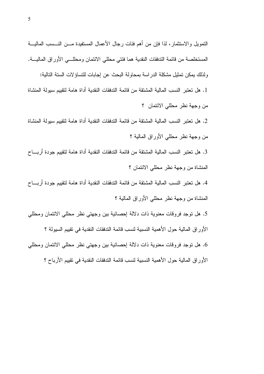النمويل والاستثمار، لذا فإن من أهم فئات رجال الأعمال المستفيدة مـــن النـــسب الماليــــة المستخلصة من قائمة التدفقات النقدية هما فئتي محللي الائتمان ومحللـــي الأوراق الماليــــة. ولذلك يمكن تمثيل مشكلة الدراسة بمحاولة البحث عن إجابات للتساؤلات الستة التالية:

1. هل تعتبر النسب المالية المشتقة من قائمة التدفقات النقدية أداة هامة لتقبيم سبولة المنشاة من وجهة نظر محللي الائتمان ؟

2. هل تعتبر النسب المالية المشتقة من قائمة التدفقات النقدية أداة هامة لتقييم سيولة المنشاة من وجهة نظر محللي الأوراق المالية ؟

3. هل تعتبر النسب المالية المشتقة من قائمة التدفقات النقدية أداة هامة لتقييم جودة أربــــاح المنشاة من وجهة نظر محللي الائتمان ؟

4. هل تعتبر النسب المالية المشتقة من قائمة التدفقات النقدية أداة هامة لتقييم جودة أربــــاح المنشاة من وجهة نظر محللي الأوراق المالية ؟

5. هل توجد فروقات معنوية ذات دلالة إحصائية بين وجهتي نظر محللي الائتمان ومحللي الأور اق المالية حول الأهمية النسبية لنسب فائمة الندفقات النقدية في تقييم السيولة ؟ 6. هل نوجد فروقات معنوية ذات دلالة إحصائية بين وجهتي نظر محللي الائتمان ومحللي الأور اق المالية حول الأهمية النسبية لنسب قائمة التدفقات النقدية في تقييم الأرباح ؟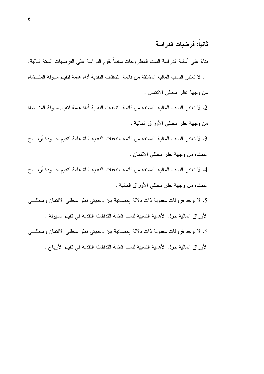#### ثانباً: فرضبات الدر اسة

بناءً على أسئلة الدراسة الست المطروحات سابقاً نقوم الدراسة على الفرضيات الستة التالية: 1. لا تعتبر النسب المالية المشتقة من قائمة التدفقات النقدية أداة هامة لتقييم سيولة المنـــشاة من وجهة نظر محللي الائتمان .

2. لا نعتبر النسب المالية المشتقة من قائمة التدفقات النقدية أداة هامة لتقييم سيولة المنـــشاة من وجهة نظر محللي الأوراق المالية .

3. لا نعتبر النسب المالية المشتقة من قائمة التدفقات النقدية أداة هامة لتقييم جـــودة أربــــاح المنشاة من وجهة نظر محللي الائتمان .

4. لا تعتبر النسب المالية المشتقة من قائمة التدفقات النقدية أداة هامة لتقييم جـــودة أربــــاح المنشاة من وجهة نظر محللي الأوراق المالية .

5. لا نوجد فروقات معنوية ذات دلالة إحصائية بين وجهتي نظر محللي الائتمان ومحللـــي

الأور اق المالية حول الأهمية النسبية لنسب قائمة التدفقات النقدية في تقييم السيولة .

6. لا نوجد فروقات معنوية ذات دلالة إحصائية بين وجهتي نظر محللي الائتمان ومحللـــي الأوراق المالية حول الأهمية النسبية لنسب فائمة الندفقات النقدية في نقييم الأرباح .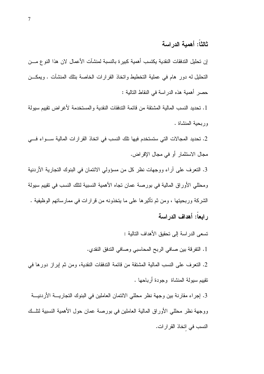#### ثالثاً: أهمبة الدر اسة

إن تحليل التدفقات النقدية يكتسب أهمية كبير ة بالنسبة لمنشآت الأعمال لان هذا النو ع مـــن النحليل له دور هام في عملية التخطيط واتخاذ القرارات الخاصة بتلك المنشآت . ويمكــن حصر أهمية هذه الدراسة في النقاط التالية :

1. تحديد النسب المالية المشتقة من قائمة التدفقات النقدية والمستخدمة لأغراض تقييم سيولة وربحية المنشاة .

2. تحديد المجالات التي ستستخدم فيها نلك النسب في اتخاذ القرارات المالية سـواء فــي مجال الاستثمار أو في مجال الإقر اض.

3. التعرف على أراء ووجهات نظر كل من مسؤولي الائتمان في البنوك التجارية الأردنية ومحللي الأوراق المالية في بورصة عمان تجاه الأهمية النسبية لتلك النسب في تقييم سيولة الشركة وربحيتها ، ومن ثم تأثيرها على ما يتخذونه من قرارات في ممارساتهم الوظيفية . ر ابعاً: أهداف الدر اسة

نسعى الدراسة إلى تحقيق الأهداف التالية :

1. النفرفة بين صافي الربح المحاسبي وصافي الندفق النقدي.

2. التعرف على النسب المالية المشتقة من قائمة التدفقات النقدية، ومن ثم إبراز دورها في نقييم سيولة المنشاة وجودة أرباحها .

3. إجراء مقارنة بين وجهة نظر محللي الائتمان العاملين في البنوك التجاريــــة الأردنيـــة ووجهة نظر محللي الأوراق المالية العاملين في بورصة عمان حول الأهمية النسبية لنلـــك النسب في اتخاذ القرارات.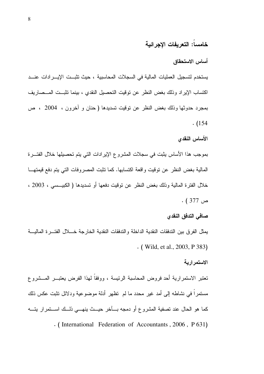#### خامساً: التعريفات الإجرائية

#### أساس الاستحقاق

يستخدم لتسجيل العمليات المالية في السجلات المحاسبية ، حيث تثبــت الإيـــر ادات عنـــد اكتساب الإيراد وذلك بغض النظر عن توقيت التحصيل النقدى ، بينما تثبت المسصاريف بمجرد حدوثها وذلك بغض النظر عن نوفيت نسديدها ( حنان و أخرون ، 2004 ، ص  $(154)$ 

#### الأساس النقدى

بموجب هذا الأساس يثبت في سجلات المشروع الإير ادات التي يتم تحصيلها خلال الفتـــر ة المالية بغض النظر عن نوقيت واقعة اكتسابها. كما تثبت المصروفات التي يتم دفع قيمتهــا خلال الفتر ة المالية وذلك بغض النظر ٍ عن نوفيت دفعها أو تسديدها ( الكبيـــسي ، 2003 ،  $. (377)$  ص

#### صافي التدفق النقدى

بمثل الفر ق بين الندفقات النقدية الداخلة والندفقات النقدية الخار جة خــــلال الفتـــر ة الماليــــة  $\cdot$  (Wild, et al., 2003, P 383)

#### الاستمر اربة

تعتبر الاستمرارية أحد فروض المحاسبة الرئيسة ، ووفقاً لهذا الفرض يعتبـــر المـــشروع مستمر اً في نشاطه إلى أمد غير ۖ محدد ما لم تظهر أدلة مو ضو عبة و دلائل تثبت عكس ذلك ۖ كما هو الحال عند تصفية المشروع أو دمجه بسآخر حيسث ينهسي ذلسك اسستمرار يتسه . (International Federation of Accountants, 2006, P 631)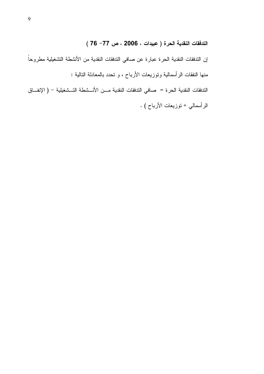التدفقات النقدية الحرة ( عبيدات ، 2006 ، ص 77– 76 )

إن التدفقات النقدية الحرة عبارة عن صافي التدفقات النقدية من الأنشطة التشغيلية مطروحاً منها النفقات الرأسمالية ونوزيعات الأرباح ، و نحدد بالمعادلة النالية : الندفقات النقدية الحرة = صـافي الندفقات النقدية مـــن الأنـــشطة النـــشغيلية – ( الإنفـــاق الرأسمالي + نوزيعات الأرباح ) .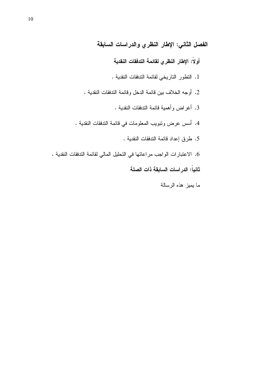الفصل الثاني: الإطار النظري والدراسات السابقة

أولاً: الإطار النظري لقائمة التدفقات النقدية

- 1. النطور الناريخي لقائمة الندفقات النقدية .
- 2. أوجه الخلاف بين قائمة الدخل وقائمة التدفقات النقدية .
	- 3. أغراض وأهمية قائمة الندفقات النقدية .
- 4. أسس عرض وتبويب المعلومات في قائمة التدفقات النقدية .
	- 5. طرق إعداد فائمة التدفقات النقدية .
- 6. الاعتبارات الواجب مراعاتها في التحليل المالي لقائمة التدفقات النقدية . ثانياً: الدراسات السابقة ذات الصلة
	- ما يميز هذه الرسالة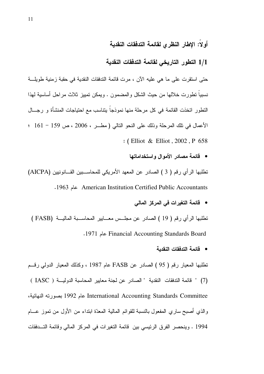#### أولاً: الإطار النظرى لقائمة التدفقات النقدية

#### 1/1 التطور التاريخي لقائمة التدفقات النقدية

حتى استقرت على ما هي عليه الآن ، مرت قائمة التدفقات النقدية في حقبة زمنية طويلـــة نسبياً نطور ت خلالها من حيث الشكل والمضمون . ويمكن تمييز ثلاث مر احل أساسية لهذا النطور انخذت القائمة في كل مرحلة منها نموذجاً بنتاسب مع احتياجات المنشأة و رجـــال الأعمال في نلك المرحلة وذلك على النحو النالي (مطـر ، 2006 ، ص 159 - 161 ؛ : (Elliot & Elliot, 2002, P 658

• قائمة مصادر الأموال واستخداماتها

تطلبها الرأى رقم ( 3 ) الصادر عن المعهد الأمريكي للمحاســبين القـــانونيين (AICPA) American Institution Certified Public Accountants عام 1963.

• قائمة التغيرات في المركز المالي

تطلبها الرأي رقم ( 19 ) الصادر عن مجلس معــابير المحاســبة الماليـــة (FASB ) Tinancial Accounting Standards Board عام 1971.

• قائمة التدفقات النقدبة

نطلبها المعيار رقم ( 95 ) الصادر عن FASB عام 1987 ، وكذلك المعيار الدولي رقسم (7) " قائمة التدفقات النقدية " الصادر عن لجنة معايير المحاسبة الدولية ( IASC ) International Accounting Standards Committee عام 1992 بصورته النهائية، والذي أصبح ساري المفعول بالنسبة للقوائم المالية المعدّة ابنداء من الأول من نموز عـــام 1994 . وينحصر الفرق الرئيسي بين قائمة التغيرات في المركز المالي وقائمة التسدفقات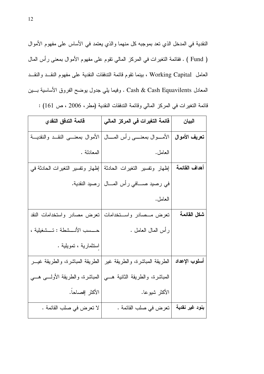النقدية في المدخل الذي تعد بموجبه كل منهما والذي يعتمد في الأساس على مفهوم الأموال ( Fund ) . فقائمة النغيرات في المركز المالي نقوم على مفهوم الأموال بمعنى رأس المال العامل Working Capital ، بينما نقوم قائمة التدفقات النقدية على مفهوم النقــد والنقــد المعادل Cash & Cash Equavilents . وفيما يلي جدول يوضح الفروق الأساسية بسين قائمة التغيرات في المركز المالي وقائمة التدفقات النقدية (مطر، 2006 ، ص 161) :

| قائمة التدفق النقدي                  | قائمة التغيرات في المركز المالي                 | البيان         |
|--------------------------------------|-------------------------------------------------|----------------|
| الأموال بمعنسى النقــد والنقديـــة   | الأمــــوال بمعنـــــى رأس المــــال            | تعريف الأموال  |
| المعادلة .                           | العامل.                                         |                |
| إظهار ونفسير النغيرات الحادثة في     | إظهار ونفسير النغيرات الحادثة                   | أهداف القائمة  |
|                                      | في رصيد صـــــافي رأس المــــال   رصيد النقدية. |                |
|                                      | العامل.                                         |                |
| نعرض مصادر واستخدامات النقد          | نعرض مــصادر واســـنخدامات                      | شكل القائمة    |
| حـــسب الأنـــشطة : تـــشغيلية ،     | ر أس الممال العامل .                            |                |
| استثمارية ، تمويلية .                |                                                 |                |
| الطريقة المباشرة، والطريقة غيـــر    | الطريقة المباشرة، والطريقة غير                  | أسلوب الإعداد  |
| المباشرة، والطريقة الأولــــى هــــى | المباشرة، والطريقة الثانية هـــي                |                |
| الأكثر إفصاحاً.                      | الأكثر شيوعا.                                   |                |
| لا تعرض في صلب القائمة .             | تعرض في صلب القائمة .                           | بنود غير نقدية |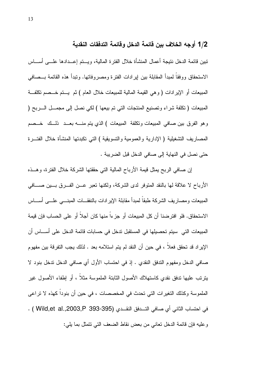#### 1/2 أوجه الخلاف بين قائمة الدخل وقائمة التدفقات النقدية

تبين قائمة الدخل نتيجة أعمال المنشأة خلال الفترة المالية، ويستم إعــدادها علـــي أســـاس الاستحقاق ووفقاً لمبدأ المقابلة بين إيرادات الفترة ومصروفاتها. ونبدأ هذه القائمة بــصافي المبيعات أو الإيرادات ( و هي القيمة المالية للمبيعات خلال العام ) ثم يستم خـــصم تكلفـــة المبيعات ( نكلفة شراء ونصنيع المنتجات التي نم بيعها ) لكي نصل إلى مجمـــل الــــربح ( وهو الفرق بين صافى المبيعات ونكلفة المبيعات ) الذي يتم منــــه بعـــد ذلـــك خـــصم المصـاريف النشغيلية ( الإدارية والعمومية والنسويقية ) النـي نكبدنها المنشأة خلال الفنــــرة حتى نصل في النهاية إلى صافي الدخل قبل الضريبة .

إن صافي الربح يمثل قيمة الأرباح المالية التي حققتها الشركة خلال الفترة، وهــذه الأرباح لا علاقة لها بالنقد المتوفر لدى الشركة، ولكنها تعبر عــن الفــرق بـــين صــــافي المبيعات ومصاريف الشركة طبقاً لمبدأ مقابلة الإيرادات بالنفقـــات المبنــــى علــــى أســــاس الاستحقاق. فلو افتر ضنا أن كل المبيعات أو جز ءاً منها كان آجلاً أو على الحساب فإن قيمة المبيعات التي سيتم تحصيلها في المستقبل تدخل في حسابات قائمة الدخل على أســــاس أن الإيراد قد تحقق فعلا ، في حين أن النقد لم يتم استلامه بعد . لذلك يجب التفرقة بين مفهوم صافى الدخل ومفهوم الندفق النقدي . إذ في احتساب الأول أي صافى الدخل ندخل بنود لا يتريَّب عليها تدفَّق نقدي كاستهلاك الأصول الثَّابِتة الملموسة مثلاً ، أو اِطفاء الأصول غير الملموسة وكذلك التغيرات التي تحدث في المخصصات ، في حين أن بنوداً كهذه لا تراعى في احتساب الثاني أي صافي التـــدفق النقــدي (Wild,et al.,2003,P 393-395 ) . وعليه فإن قائمة الدخل تعاني من بعض نقاط الضعف التي نتمثل بما يلي: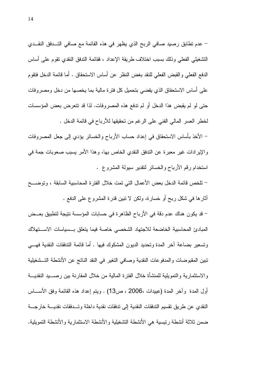– عدم نطابق رصيد صافي الربح الذي يظهر في هذه القائمة مع صافي التــدفق النقــدي التشغيلي الفعلى وذلك بسبب اختلاف طريقة الإعداد ، فقائمة التدفق النقدي تقوم على أساس الدفع الفعلي والقبض الفعلي للنقد بغض النظر عن أساس الاستحقاق . أما قائمة الدخل فتقوم على أساس الاستحقاق الذي يقضبي بتحميل كل فتررة مالية بما يخصها من دخل ومصر وفات حتى لو لم يقبض هذا الدخل أو لم ندفع هذه المصروفات. لذا قد نتعرض بعض المؤسسات لخطر العسر المالي الفني على الرغم من تحقيقها للأرباح في قائمة الدخل .

– الأخذ بأساس الاستحقاق في إعداد حساب الأرباح والخسائر يؤدي إلى جعل المصروفات والإيرادات غير معبرة عن الندفق النقدي الخاص بها، وهذا الأمر يسبب صعوبات جمة في استخدام رقم الأرباح والخسائر لنقدير سيولة المشروع .

– نلخص قائمة الدخل بعض الأعمال التي نمت خلال الفترة المحاسبية السابقة ، ونوضـــح أثارها في شكل ربح أو خسارة، ولكن لا نبين قدرة المشروع على الدفع .

– قد يكون هناك عدم دقة في الأرباح الظاهرة في حسابات المؤسسة نتيجة لتطبيق بعــض المبادئ المحاسبية الخاضعة للاجتهاد الشخصبي خاصة فيما يتعلق بسسياسات الاستهلاك وتسعير بضاعة أخر المدة وتحديد الديون المشكوك فيها . أما قائمة التدفقات النقدية فهــــى تبين المقبوضات والمدفوعات النقدية وصافى التغير في النقد الناتج عن الأنشطة التــشغيلية والاستثمارية والتمويلية للمنشأة خلال الفترة المالية من خلال المقارنة بين رصــــيد النقديــــة أول المدة ۖ وآخر المدة (عبيدات ،2006 ، ص13) . ويتم إعداد هذه القائمة وفق الأســـاس النقدي عن طريق نقسيم التدفقات النقدية إلى تدفقات نقدية داخلة وتسدفقات نقديسة خارجسة ضمن ثلاثة أنشطة رئيسية هي الأنشطة التشغيلية والأنشطة الاستثمارية والأنشطة التمويلية.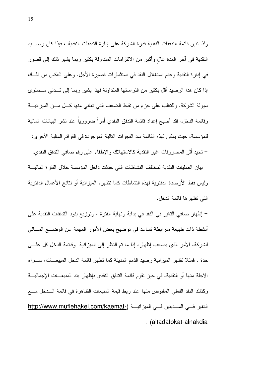ولذا نبين فائمة التدفقات النقدية قدرة الشركة على إدارة التدفقات النقدية ، فإذا كان رصسيد النقدية في أخر المدة عال وأكبر من الالتزامات المتداولة بكثير ربما يشير ذلك إلى قصور في إدارة النقدية وعدم استغلال النقد في استثمارات قصبرة الأجل. وعلى العكس من ذلـــك إذا كان هذا الرصيد أقل بكثير من النز اماتها المتداولة فهذا يشير ربما إلىي تسدني مسستوى سيولة الشركة. وللتغلب على جزء من نقاط الضعف التي تعاني منها كـــل مـــن المبز انيــــة وقائمة الدخل، فقد أصبح إعداد قائمة الندفق النقدى أمراً ضرورياً عند نشر البيانات المالية للمؤسسة، حيث يمكن لهذه القائمة سد الفجوات النالية الموجودة في القوائم المالية الأخرى: – نحيد أثر المصروفات غير النقدية كالاستهلاك والإطفاء على رقم صافى الندفق النقدي. – بيان العمليات النقدية لمختلف النشاطات التي حدثت داخل المؤسسة خلال الفتر ة الماليــــة وليس فقط الأرصدة الدفترية لمهذه النشاطات كما تظهره الميز انية أو نتائج الأعمال الدفترية التي تظهر ها قائمة الدخل.

– إظهار صافي التغير في النقد في بداية ونهاية الفترة ، وتوزيع بنود التدفقات النقدية على أنشطة ذات طبيعة مترابطة تساعد في توضيح بعض الأمور المهمة عن الوضــــع المـــالي للشركة، الأمر الذي يصعب إظهار ِه إذا ما نم النظر إلى الميز انية ۖ وقائمة الدخل كلِّ علــــي حدة . فمثلا تظهر الميزانية رصيد الذمم المدينة كما تظهر قائمة الدخل المبيعــات، ســـواء الآجلة منها أو النقدية، في حين نقوم قائمة الندفق النقدي بإظهار بند المبيعـــات الإجماليــــة وكذلك النقد الفعلى المقبوض منها عند ربط قيمة المبيعات الظاهرة في فائمة السدخل مسع التغير فــي المــــدينين فـــي الميزانيــــة (\_http://www.muflehakel.com/kaemat . (altadafokat-alnakdia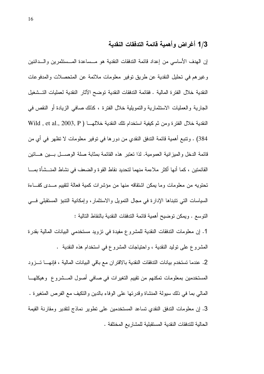### 1/3 أغراض وأهمية قائمة التدفقات النقدية

إن الهدف الأساسي من إعداد قائمة التدفقات النقدية هو مــساعدة المــستثمرين والـــدائنين وغيرهم في تحليل النقدية عن طريق توفير معلومات ملائمة عن المتحصلات والمدفوعات النقدية خلال الفترة المالية . فقائمة التدفقات النقدية توضح الآثار النقدية لعمليات التسشغيل الجارية والعمليات الاستثمارية والتمويلية خلال الفترة ، كذلك صافي الزيادة أو النقص في النقدية خلال الفترة ومن ثم كيفية استخدام تلك النقدية خلالهـــا ( Wild , et al., 2003, P 384) . وتتبع أهمية قائمة التدفق النقدي من دورها في توفير معلومات لا تظهر في أي من قائمة الدخل والميزانية العمومية. لذا تعتبر هذه القائمة بمثابة صلة الوصــــل بــــين هــــاتين القائمتين ، كما أنها أكثر ملاءمة منهما لتحديد نقاط القوة والضعف في نشاط المنـــشأة بمــــا تحتويه من معلومات وما يمكن اشتقاقه منها من مؤشرات كمية فعالة لتقييم مـــدى كفـــاءة السياسات التي نتبناها الإدارة في مجال التمويل والاستثمار، وإمكانية التنبؤ المستقبلي فسي النَّوسع . ويمكن نوضيح أهمية قائمة النَّدفقات النقدية بالنقاط التالية :

1. إن معلومات التدفقات النقدية للمشروع مفيدة في تزويد مستخدمي البيانات المالية بقدرة المشروع على نوليد النقدية ، واحتياجات المشروع في استخدام هذه النقدية .

2. عندما تستخدم بيانات الندفقات النقدية بالاقتران مع باقي البيانات المالية ، فإنهـــا تـــزود المستخدمين بمعلومات تمكنهم من تقييم التغيرات في صافى أصول المـــشروع وهيكلهـــا المالي بما في ذلك سيولة المنشاة وقدرتها على الوفاء بالدين والتكيف مع الفرص المتغيرة . 3. إن معلومات التدفق النقدى تساعد المستخدمين على تطوير نماذج لتقدير ومقارنة القيمة الحالية للتدفقات النقدية المستقبلية للمشاريع المختلفة .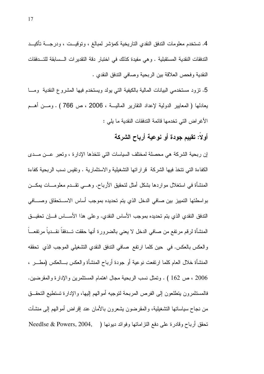4. تستخدم معلومات التدفق النقدى التاريخية كمؤشر لمبالغ ، وتوقيــت ، ودرجـــة تأكيـــد التدفقات النقدية المستقبلية . وهي مفيدة كذلك في اختبار دقة التقديرات السسابقة للتسدفقات النقدية وفحص العلاقة بين الربحية وصافى الندفق النقدى .

5. نزود مستخدمي البيانات المالية بالكيفية التي يولد ويستخدم فيها المشروع النقدية ومسا بعادلها ( المعايير الدولية لإعداد النقارير الماليـــة ، 2006 ، ص 766 ) . ومـــن أهـــم الأغراض التي تخدمها قائمة الندفقات النقدية ما يلي :

## أولاً: تقييم جودة أو نوعية أرباح الشركة

إن ربحية الشركة هي محصلة لمختلف السياسات التي نتخذها الإدارة ، وتعبر عـــن مـــدى الكفاءة التي نتخذ فيها الشركة ً قراراتها التشغيلية والاستثمارية . وتقيس نسب الربحية كفاءة المنشأة في استغلال مواردها بشكل أمثل لتحقيق الأرباح. وهـــي نقـــدم معلومــــات بمكـــن بواسطتها التمييز بين صافي الدخل الذي يتم تحديده بموجب أساس الاســـتحقاق وصــــافى الندفق النقدي الذي يتم تحديده بموجب الأساس النقدي. وعلى هذا الأســـاس فـــان تحقيـــق المنشأة لرقم مرتفع من صافي الدخل لا يعني بالضرورة أنها حققت تسدفقاً نقسدياً مرتفعـــاً والعكس بالعكس. في حين كلما ارتفع صافي الندفق النقدي التشغيلي الموجب الذي تحققه المنشأة خلال العام كلما ارتفعت نوعية أو جودة أرباح المنشأة والعكس بـــالعكس (مطـــر ، 2006 ، ص 162 ) . وتمثل نسب الربحية مجال اهتمام المستثمرين والإدار ة والمقرضين. فالمستثمر ون ينطلعون إلى الفر ص المربحة لتوجيه أموالهم إليها، والإدار ة تستطيع التحقــق من نجاح سياساتها التشغيلية، والمقرضون يشعرون بالأمان عند إقراض أموالهم إلى منشآت تَحقَّقَ أَرْبَاحٍ وقادرِةٍ عَلَى دَفَعِ النَّزِ اماتِهَا وَفَوَائِدَ دَيُونِهَا ( Needlse & Powers, 2004,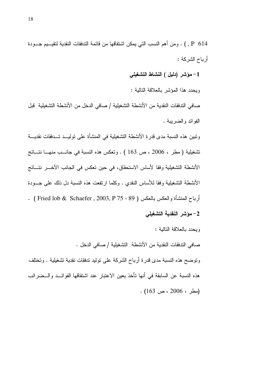1– مؤشر (دليل ) النشاط التشغيلي

ويحدد هذا المؤشر بالعلاقة التالية :

صافي التدفقات النقدية من الأنشطة التشغيلية / صافي الدخل من الأنشطة التشغيلية قبل الفوائد والضربية .

ونبين هذه النسبة مدى قدرة الأنشطة التشغيلية في المنشأة على توليــد تــدفقات نقديـــة تشغيلية (مطر ، 2006 ، ص 163 ) . وتعكس هذه النسبة في جانــب منهــــا نتـــائج الأنشطة التشغيلية وفقا لأساس الاستحقاق، في حين تعكس في الجانب الآخـــر نتـــائج الأنشطة التشغيلية وفقا للأساس النقدى . وكلما ارتفعت هذه النسبة دل ذلك على جسودة أرباح المنشأة والعكس بالعكس ( 89 - 75 Rhaefer , 2003, P ) . ( Fried lob & Schaefer ) . 2– مؤشر النقدية التشغيلي

ويحدد بالعلاقة التالية : صافي التدفقات النقدية من الأنشطة التشغيلية / صافي الدخل . وتوضح هذه النسبة مدى قدرة أرباح الشركة على توليد ندفقات نقدية تشغيلية . وتختلف هذه النسبة عن السابقة في أنها تأخذ بعين الاعتبار عند اشتقاقها الفوائــد والــضرائب  $(163, 2006, 2006)$ .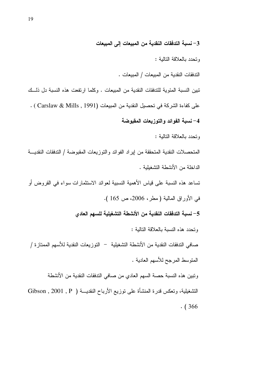3– نسبة التدفقات النقدية من المبيعات إلى المبيعات

وتحدد بالعلاقة التالية :

الندفقات النقدية من المبيعات / المبيعات .

تبين النسبة المئوية للتدفقات النقدية من المبيعات . وكلما ارتفعت هذه النسبة دل ذلسك على كفاءة الشركة في تحصيل النقدية من المبيعات (Carslaw & Mills , 1991 ) . 4– نسبة الفوائد والتوزيعات المقبوضة

وتحدد بالعلاقة التالية :

المتحصلات النقدية المتحققة من إيراد الفوائد والتوزيعات المقبوضة / التدفقات النقديسة الداخلة من الأنشطة النشغبلبة .

تساعد هذه النسبة على قياس الأهمية النسبية لعوائد الاستثمارات سواء في القروض أو في الأوراق المالية (مطر، 2006، ص 165 ).

5– نسبة التدفقات النقدية من الأنشطة التشغيلية للسهم العادي

وتحدد هذه النسبة بالعلاقة النالية :

صـافي التدفقات النقدية من الأنشطة التشغيلية — التو ز يعات النقدية للأسهم الممتاز ة / المنوسط المرجح للأسهم العادية .

ونبين هذه النسبة حصة السهم العادي من صافي الندفقات النقدية من الأنشطة التشغيلية، وتعكس قدرة المنشأة على نوزيع الأرباح النقديـــة ( Gibson , 2001 , P  $. (366)$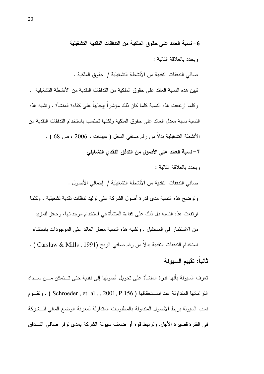6– نسبة العائد على حقوق الملكية من التدفقات النقدية التشغيلية

وبحدد بالعلاقة التالبة :

صـافي التدفقات النقدية من الأنشطـة التشغيلية / حقوق الملكية .

تبين هذه النسبة العائد على حقوق الملكية من الندفقات النقدية من الأنشطة التشغيلية . وكلما ار نفعت هذه النسبة كلما كان ذلك مؤشر اً إيجابياً على كفاءة المنشأة . وتشبه هذه النسبة نسبة معدل العائد على حقوق الملكية ولكنها تحتسب باستخدام التدفقات النقدية من الأنشطة التشغيلية بدلاً من رقم صافي الدخل ( عبيدات ، 2006 ، ص 68 ) . 7– نسبة العائد على الأصول من التدفق النقدى التشغيلي وبحدد بالعلاقة التالبة :

صافي التدفقات النقدية من الأنشطة التشغيلية / إجمالي الأصول . ونوضح هذه النسبة مدى قدرة أصول الشركة على نوليد ندفقات نقدية تشغيلية ، وكلما ارتفعت هذه النسبة دل ذلك على كفاءة المنشأة في استخدام موجداتها، وحافز للمزيد من الاستثمار في المستقبل . وتشبه هذه النسبة معدل العائد على الموجودات باستثناء استخدام التدفقات النقدية بدلا من رقم صافي الربح (Carslaw & Mills , 1991 ) .

## ثانياً: تقييم السيولة

تعرف السيولة بأنها قدرة المنشأة على تحويل أصولها إلى نقدية حتى تـــتمكن مـــن ســـداد النز اماتها المتداولة عند اســـنحقاقها ( Schroeder , et al . , 2001, P 156 ) . ونقـــوم نسب السيولة بربط الأصول المنداولة بالمطلوبات المنداولة لمعرفة الوضع المالي للسشركة في الفتر ة قصير ة الأجل. وتر تبط قو ة أو ضعف سيولة الشر كة بمدى تو فر صـافـي التـــدفق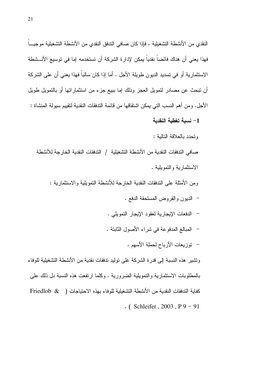النقدى من الأنشطة التشغيلية ، فإذا كان صافي الندفق النقدى من الأنشطة التشغيلية موجبـــاً فهذا يعني أن هناك فائضاً نقدياً يمكن لإدارة الشركة أن تستخدمه إما في توسيع الأنـــشطة الاستثمارية أو في تسديد الديون طويلة الأجل . أما إذا كان سالباً فهذا يعني أن على الشركة أن نتبحث عن مصـادر لتمويل العجز وذلك إما ببيع جزء من استثماراتها أو بالتمويل طويل الأجل. و من أهم النسب التي يمكن اشتقاقها من قائمة التدفقات النقدية لتقييم سيولة المنشاة : 1– نسبة تغطية النقدية وتحدد بالعلاقة التالية : صـافي الندفقات النقدية من الأنشطة التشغيلية / الندفقات النقدية الخارجة للأنشطة الاستثمار بة والتموبلية .

ومن الأمثلة على التدفقات النقدية الخارجة للأنشطة التمويلية والاستثمارية :

- الديون والقروض المستحقة الدفع .
- الدفعات الإيجارية لعقود الإيجار التمويلي .
- المبالغ المدفوعة في شراء الأصول الثابتة .
	- توزيعات الأرباح لحملة الأسهم .

وتشير ٍ هذه النسبة إلى قدر ة الشركة على توليد تدفقات نقدية من الأنشطة التشغيلية للوفاء بالمطلوبات الاستثمارية والتمويلية الضرورية . وكلما ارتفعت هذه النسبة دل ذلك على كفاية التدفقات النقدية من الأنشطة التشغيلية للو فاء بهذه الاحتياجات ( & Friedlob  $\cdot$  (Schleifer, 2003, P9 – 91)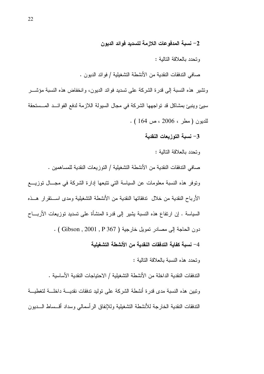2– نسبة المدفوعات اللازمة لتسديد فوائد الديون

وتحدد بالعلاقة التالبة :

صافي الندفقات النقدية من الأنشطة التشغيلية / فوائد الديون .

ونشير هذه النسبة إلى قدرة الشركة على نسديد فوائد الديون، وانخفاض هذه النسبة مؤشـــر سيئ وينبئ بمشاكل قد تواجهها الشركة في مجال السيولة اللازمة لدفع الفوائــد المــستحقة للديون (مطر ، 2006 ، ص 164 ) .

3- نسبة التوزيعات النقدية

وتحدد بالعلاقة التالبة :

صـافي التدفقات النقدية من الأنشطـة التشغيلية / النوزيعات النقدية للمساهمين . ونوفر هذه النسبة معلومات عن السياسة التي نتبعها إدارة الشركة في مجـــال توزيــــع الأرباح النقدية من خلال تدفقاتها النقدية من الأنشطة التشغيلية ومدى اســتقر ار هــذه السياسة . إن ارتفاع هذه النسبة بشير إلى قدرة المنشأة على تسديد توزيعات الأربـــاح دون الحاجة إلى مصادر تمويل خارجية ( Gibson , 2001 , P 367 ) . 4– نسبة كفاية التدفقات النقدية من الأنشطة التشغيلية

وتحدد هذه النسبة بالعلاقة التالبة :

الندفقات النقدية الداخلة من الأنشطة التشغيلية / الاحتياجات النقدية الأساسية . ونبين هذه النسبة مدى قدرة أنشطة الشركة على نوليد ندفقات نقديسة داخلسة لتغطيسة الندفقات النقدية الخارجة للأنشطة التشغيلية وللإنفاق الرأسمالي وسداد أقسساط السديون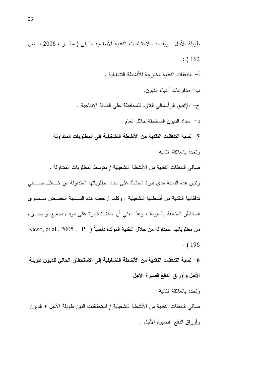$:(162)$ أ– التدفقات النقدية الخار جة للأنشطة التشغيلية . ب— مدفو عات أعياء الدبون. ج– الإنفاق الرأسمالي اللازم للمحافظة على الطاقة الإنتاجية . د– سداد الديون المستحقة خلال العام . 5– نسبة التدفقات النقدية من الأنشطة التشغيلية إلى المطلوبات المتداولة وتحدد بالعلاقة التالبة : صـافي الندفقات النقدية من الأنشطة التشغيلية / متوسط المطلوبات المنداولة . ونبين هذه النسبة مدى قدرة المنشأة على سداد مطلوباتها المنداولة من خـــلال صــــافي تدفقاتها النقدية من أنشطتها التشغيلية . وكلما ارتفعت هذه النـــسبة انخفــض مـــستوى المخاطر المتعلقة بالسبولة ، وهذا يعني أن المنشأة قادرة على الوفاء بجميع أو بجــزء

طويلة الأجل . ويقصد بالاحتياجات النقدية الأساسية ما يلبي ( مطــــر ، 2006 ، ص

من مطلوباتها المتداولة من خلال النقدية المولدة داخلياً ( Kieso, et al., 2005 , P  $. (196)$ 

6– نسبة التدفقات النقدية من الأتشطة التشغيلية إلى الاستحقاق الحالي للديون طويلة الأجل وأوراق الدفع قصيرة الأجل وتحدد بالعلاقة التالبة : صـافي التدفقات النقدية من الأنشطة التشغيلية / استحقاقات الدين طويلة الأجل + الديون وأوراق الدفع قصيرة الأجل .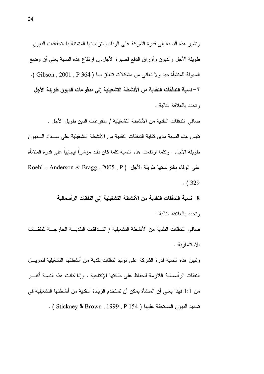ونشير هذه النسبة إلى قدرة الشركة على الوفاء بالنز امانها المتمثلة باستحقاقات الديون طويلة الأجل والديون وأوراق الدفع قصيرة الأجل.إن ارتفاع هذه النسبة يعني أن وضع السيولة للمنشأة جيد ولا تعاني من مشكلات نتعلق بها ( Gibson , 2001 , P 364 ). 7– نسبة التدفقات النقدية من الأنشطة التشغيلية إلى مدفوعات الديون طويلة الأجل وتحدد بالعلاقة التالبة :

صـافي الندفقات النقدية من الأنشطـة التشغيليـة / مدفو عات الدين طو يل الأجل . تقيس هذه النسبة مدى كفاية التدفقات النقدية من الأنشطة التشغيلية على ســداد الـــديون طويلة الأجل . وكلما ارتفعت هذه النسبة كلما كان ذلك مؤشراً ليجابياً على قدرة المنشأة علي الوفاء بالنز إمانها طويلة الأجل ( Roehl – Anderson & Bragg , 2005 , P  $(329)$ 

> 8– نسبة التدفقات النقدية من الأنشطة التشغيلية إلى النفقات الرأسمالية وتحدد بالعلاقة التالبة :

صافي الندفقات النقدية من الأنشطة التشغيلية / التــدفقات النقديـــة الخارجـــة للنفقـــات الاستثمارية .

وتبين هذه النسبة قدرة الشركة على توليد تدفقات نقدية من أنشطتها التشغيلية لتمويـــل النفقات الرأسمالية اللازمة للحفاظ على طاقتها الإنتاجية . وإذا كانت هذه النسبة أكبــر من 1:1 فهذا يعني أن المنشأة يمكن أن تستخدم الزيادة النقدية من أنشطتها التشغيلية في نسديد الديون المستحقة عليها ( Stickney & Brown , 1999 , P 154 ) .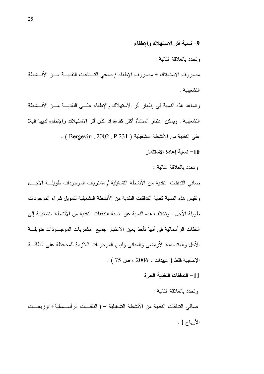وتحدد بالعلاقة التالية :

مصروف الاستهلاك + مصروف الإطفاء / صافى التــدفقات النقديـــة مـــن الأنـــشطة التشغبلبة .

ونساعد هذه النسبة في إظهار أثر الاستهلاك والإطفاء علـــي النقديـــة مـــن الأنـــشطة التشغيلية . ويمكن اعتبار المنشأة أكثر كفاءة إذا كان أثر الاستهلاك والإطفاء لديها قليلا على النقدية من الأنشطة التشغيلية ( Bergevin , 2002 , P 231 ) .

10– نسبة إعادة الاستثمار

وتحدد بالعلاقة التالبة :

صافي التدفقات النقدية من الأنشطة التشغيلية / مشتريات الموجودات طويلـــة الأجـــل ونقيس هذه النسبة كفاية الندفقات النقدية من الأنشطة التشغيلية لتمويل شراء الموجودات طويلة الأجل . وتختلف هذه النسبة عن نسبة التدفقات النقدية من الأنشطة التشغيلية إلى النفقات الرأسمالية في أنها نأخذ بعين الاعتبار جميع ًمشتريات الموجـــودات طويلــــة الأجل والمتضمنة الأراضبي والمبانى وليس الموجودات اللازمة للمحافظة على الطاقسة  $(75 \cup 2006 \cdot 2006)$  الإنتاجية فقط ( عبيدات ا

11– التدفقات النقدية الحرة

وتحدد بالعلاقة التالبة :

صافى التدفقات النقدية من الأنشطة التشغيلية – ( النفقــات الرأســـمالية+ توزيعـــات الأرباح ) .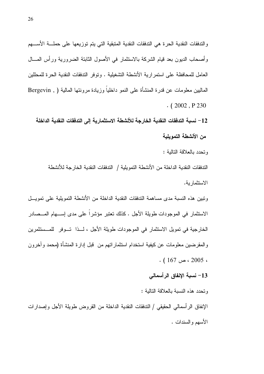والندفقات النقدية الحرة هي التدفقات النقدية المتبقية التي يتم توزيعها على حملـــة الأســــهم وأصحاب الديون بعد قيام الشركة بالاستثمار في الأصول الثابتة الضرورية ورأس المسال العامل للمحافظة على استمرارية الأنشطة التشغيلية . وتوفر التدفقات النقدية الحرة للمحللين الماليين معلومات عن قدر ة المنشأة على النمو داخلياً وزيادة مرونتها المالية ( , Bergevin  $(2002, P230)$ 

12– نسبة التدفقات النقدية الخارجة للأنشطة الاستثمارية إلى التدفقات النقدية الداخلة من الأنشطة التمويلية

وتحدد بالعلاقة التالبة :

الندفقات النقدية الداخلة من الأنشطة النمو يلية / الندفقات النقدية الخارجة للأنشطة الاستثمار ية.

ونبين هذه النسبة مدى مساهمة التدفقات النقدية الداخلة من الأنشطة التمويلية على تمويــل الاستثمار في الموجودات طويلة الأجل . كذلك تعتبر مؤشراً على مدى إســـهام المـــصـادر الخارجية في تمويل الاستثمار في الموجودات طويلة الأجل ، لــذا تــوفر للمــستثمرين و المقر ضبين معلومات عن كيفية استخدام استثمار اتهم من قبل إدار ة المنشأة (محمد و آخر و ن  $(167)$  ، حر، 167 .

13– نسبة الإنفاق الرأسمالي

وتحدد هذه النسبة بالعلاقة التالبة :

الإنفاق الرأسمالي الحقيقي / الندفقات النقدية الداخلة من القروض طويلة الأجل وإصدارات الأسهم والسندات .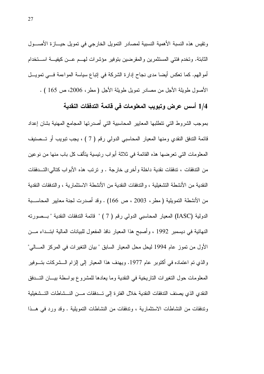ونقيس هذه النسبة الأهمية النسبية لمصادر النمويل الخارجي في نمويل حيـــازة الأصــــول الثابتة. وتخدم فئتي المستثمرين والمقرضين بتوفير مؤشرات لمهــم عــن كيفيـــة اســـتخدام أموالهم. كما نعكس أيضا مدى نجاح إدارة الشركة في إنباع سياسة المواءمة فـــي نمويـــل الأصول طويلة الأجل من مصادر تمويل طويلة الأجل ( مطر ، 2006، ص 165 ) .

1/4 أسس عرض وتبويب المعلومات في قائمة التدفقات النقدية

بموجب الشروط التي نتطلبها المعابير المحاسبية التي أصدرتها المجامع المهنية بشان إعداد قائمة الندفق النقدي ومنها المعيار المحاسبي الدولي رقم ( 7 ) ، يجب نبويب أو تـــصنيف المعلومات التي تعر ضـها هذه القائمـة في ثلاثة أبو اب ر ئيسية بِتألف كل باب منها من نو عين من الندفقات ، تدفقات نقدية داخلة وأخرى خارجة . و ترتب هذه الأبواب كتالي:التـــدفقات النقدية من الأنشطة التشغيلية ، و الندفقات النقدية من الأنشطة الاستثمار ية ، و الندفقات النقدية من الأنشطة التمويلية ( مطر ، 2003 ، ص 166) . وقد أصدرت لجنة معايير المحاســـبة الدولية (IASC) المعيار المحاسبي الدولي رقم ( 7 ) " قائمة التدفقات النقدية " بـــصورته النهائية في ديسمبر 1992 ، وأصبح هذا المعيار نافذ المفعول للبيانات المالية ابتــداء مـــن الأول من تموز عام 1994 ليحل محل المعيار السابق " بيان التغير ات في المركز المــــالي" والذي تم اعتماده في أكتوبر عام 1977. ويهدف هذا المعيار إلىي إلزام الــــشركات بتــــوفير المعلومات حول النغير ات الناريخية في النقدية وما يعادها للمشروع بو اسطة بيــــان النــــدفق النقدى الذي بصنف التدفقات النقدية خلال الفتر ة إلى تـــدفقات مــــن النـــشاطات التـــشغيلية وتدفقات من النشاطات الاستثمارية ، وتدفقات من النشاطات النمويلية . وقد ورد في هــذا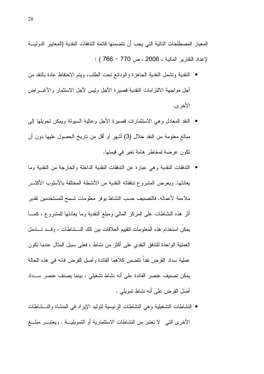المعيار المصطلحات التالية التي يجب أن تتضمنها فائمة التدفقات النقدية (المعايير الدوليـــة لإعداد النقارير المالية ، 2006 ، ص 770 – 766 ) :

- النقدية ونشمل النقدية الجاهزة والودائع نحت الطلب، ويتم الاحتفاظ عادة بالنقد من أجل مو اجهة الالتز امات النقدبة قصبر ة الأجل ولبس لأجل الاستثمار و الأغـــر اض الأخر ي.
- النقد المعادل وهي الاستثمارات قصبيرة الأجل وعالية السيولة ويمكن تحويلها إلىي مبالغ معلومة من النقد خلال (3) أشهر أو أقل من ناريخ الحصول عليها دون أن تكون عرضة لمخاطر هامة تغير في قيمتها.
- التدفقات النقدية وهي عبارة عن التدفقات النقدية الداخلة والخارجة من النقدية وما بعادلها. ويعرض المشروع ندفقاته النقدية من الأنشطة المختلفة بالأسلوب الأكثـــر ملاءمة لأعماله. فالتصنيف حسب النشاط يوفر معلومات نسمح للمستخدمين نقدير أثر هذه النشاطات على المركز المالي ومبلغ النقدية وما يعادلها للمشروع ، كمـــا يمكن استخدام هذه المعلومات لتقييم العلاقات بين تلك النـــشاطات ، وقـــد تـــشمل العملية الواحدة للندفق النقدي على أكثر من نشاط ، فعلى سبيل المثال عندما نكون عملية سداد القر ض نقدا تتضمن كلاهما الفائدة و أصل القر ض فانه في هذه الحالة يمكن تصنيف عنصر الفائدة على أنه نشاط تشغيلي ، بينما يصنف عنصر ســداد أصل القرض على أنه نشاط تمويلي .
- النشاطات التشغيلية وهي النشاطات الرئيسية لتوليد الإيراد في المنشاة والنـــشاطات الأخرى التبي لا تعتبر من النشاطات الاستثمارية أو التمويليـــة . ويعتبــــر مبلــــغ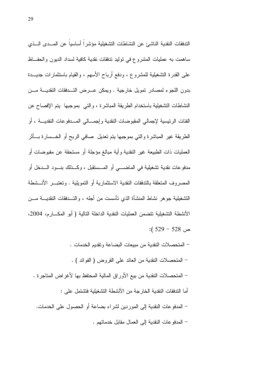الندفقات النقدية الناشئ عن النشاطات النشغيلية مؤشراً أساسياً عن المسدى السذى ساهمت به عمليات المشروع في نوليد ندفقات نقدية كافية لسداد الديون والحفــاظ على القدرة التشغيلية للمشروع ، ودفع أرباح الأسهم ، والقيام باستثمارات جديـــدة بدون اللجوء لمصادر تمويل خارجية . ويمكن عـــرض التـــدفقات النقديــــة مـــن النشاطات التشغيلية باستخدام الطريقة المباشرة ، والتي بموجبها يتم الإفصاح عن الفئات الرئيسية لإجمالـي المقبوضـات النقدية وإجمـــالـي المــــدفو عات النقديــــة ، أو الطريقة غير المباشرة والتبي بموجبها يتم نعديل ًصافى الربح أو الخـــسارة بــــأثر العمليات ذات الطبيعة غير النقدية وأية مبالغ مؤجلة أو مستحقة عن مقبوضات أو مدفوعات نقدية تشغيلية في الماضـــي أو المـــستقبل ، وكـــذلك بنـــود الــــدخل أو المصروف المتعلقة بالتدفقات النقدية الاستثمارية أو التمويلية . وتعتبـــر الأنـــشطة التشغيلية جوهر نشاط المنشأة الذي نأسست من أجله ، والتـــدفقات النقديــــة مــــن الأنشطة التشغيلية تتضمن العمليات النقدية الداخلة التالية ( أبو المكـــار م، 2004،  $(529 - 528)$ 

– المتحصلات النقدية من مبيعات البضاعة وتقديم الخدمات . – المتحصلات النقدية من العائد على القروض ( الفوائد ) . – المتحصلات النقدية من بيع الأوراق المالية المحتفظ بها لأغراض المتاجرة . أما الندفقات النقدية الخارجة من الأنشطة النشغيلية فتشتمل على : – المدفوعات النقدية إلى الموردين لشراء بضاعة أو الحصول على الخدمات. – المدفو عات النقدية إلى العمال مقابل خدماتهم .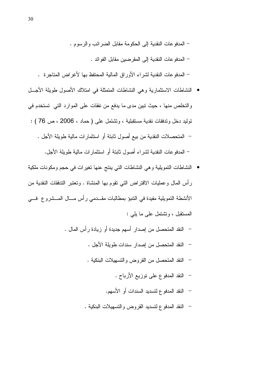– المدفوعات النقدية إلى الحكومة مقابل الضرائب والرسوم . – المدفو عات النقدية إلى المقرضين مقابل الفوائد .

– المدفوعات النقدية لشراء الأوراق المالية المحتفظ بها لأغراض المتاجرة .

- النشاطات الاستثمارية وهي النشاطات المتمثلة في امتلاك الأصول طويلة الأجسل والتخلص منها ، حيث تبين مدى ما يدفع من نفقات على الموارد التي تستخدم في نوليد دخل وندفقات نقدية مستقبلية ، وتشتمل على ( حماد ، 2006 ، ص 76 ) : – المتحصلات النقدية من بيع أصول ثابتة أو استثمارات مالية طويلة الأجل . – المدفوعات النقدية لشراء أصول ثابتة أو استثمارات مالية طويلة الأجل.
- النشاطات النمويلية وهي النشاطات التي ينتج عنها نغيرات في حجم ومكونات ملكية رأس المال وعمليات الاقتراض التي نقوم بها المنشاة . وتعتبر التدفقات النقدية من الأنشطة التمويلية مفيدة في النتبؤ بمطالبات مقــدمي رأس مـــال المـــشروع فـــي المستقبل ، وتشتمل على ما بلي :
	- النقد المتحصل من إصدار أسهم جديدة أو زيادة رأس المال .
		- النقد المتحصل من إصدار سندات طويلة الأجل .
		- النقد المتحصل من القروض والتسهيلات البنكية .
			- النقد المدفوع على نوزيع الأرباح .
			- النقد المدفوع لتسديد السندات أو الأسهم.
		- النقد المدفوع لتسديد القروض والتسهيلات البنكية .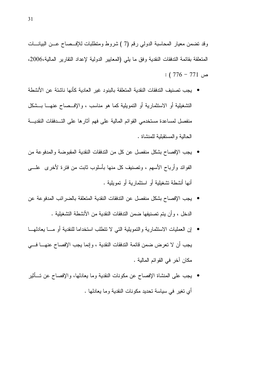وقد نضمن معيار المحاسبة الدولي رقم (7 ) شروط ومنطلبات للإفـــصـاح عـــن البيانــــات المتعلقة بقائمة التدفقات النقدية وفق ما يلي (المعايير الدولية لإعداد النقارير المالية،2006،  $(776 - 771)$  ص

- بجب تصنيف التدفقات النقدية المتعلقة بالبنو د غبر العادية كأنها ناشئة عن الأنشطة التشغيلية أو الاستثمارية أو التمويلية كما هو مناسب ، والإف صاح عنهــا بـــشكل منفصل لمساعدة مستخدمي القوائم المالية على فهم آثارها على التسدفقات النقديسة الحالية والمستقبلبة للمنشاة .
- يجب الإفصاح بشكل منفصل عن كل من الندفقات النقدية المقبوضة والمدفوعة من الفوائد وأرباح الأسهم ، ونصنيف كل منها بأسلوب ثابت من فنزة لأخرى ً علــــي أنها أنشطة تشغيلية أو استثمارية أو تمويلية .
- يجب الإفصاح بشكل منفصل عن التدفقات النقدية المتعلقة بالضر ائب المدفو عة عن الدخل ، وأن يتم تصنيفها ضمن الندفقات النقدية من الأنشطة التشغيلية .
- إن العمليات الاستثمارية والتمويلية التي لا تتطلب استخداما للنقدية أو مـــا يعادلهـــا يجب أن لا تعرض ضمن قائمة التدفقات النقدية ، و إنما يجب الإفصاح عنهــــا فــــى مكان آخر في القوائم المالية .
- يجب على المنشاة الإفصاح عن مكونات النقدية وما يعادلها، والإفصاح عن تـــأثير أى نغير في سياسة نحديد مكونات النقدية وما يعادلها .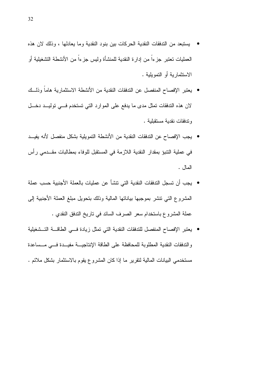- بستبعد من الندفقات النقدية الحركات بين بنود النقدية وما يعادلها ، وذلك لان هذه العمليات تعتبر جزءا من إدارة النقدية للمنشأة وليس جزءا من الأنشطة التشغيلية أو الاستثمارية أو التمويلية .
- بعنبر الإفصاح المنفصل عن الندفقات النقدية من الأنشطة الاستثمارية هاماً وذلــك لان هذه الندفقات تمثل مدى ما يدفع على الموارد التي تستخدم فسي توليــد دخـــل وتدفقات نقدية مستقبلية .
- يجب الإفصاح عن التدفقات النقدية من الأنشطة التمويلية بشكل منفصل لأنه يفيــد في عملية النتبوُ بمقدارِ النقدية اللازمة في المستقبل للوفاء بمطالبات مقــدمي رأس المال .
- يجب أن تسجل التدفقات النقدية التي تتشأ عن عمليات بالعملة الأجنبية حسب عملة المشروع التي نتشر بموجبها بياناتها المالية وذلك بتحويل مبلغ العملة الأجنبية إلى عملة المشروع باستخدام سعر الصرف السائد في تاريخ الندفق النقدي .
- يعتبر الإفصاح المنفصل للتدفقات النقدية التي تمثل زيادة فسي الطاقسة التسشغيلية والندفقات النقدية المطلوبة للمحافظة على الطاقة الإنتاجيسة مفيسدة فسى مسساعدة مستخدمي البيانات المالية لنقرير ما إذا كان المشروع يقوم بالاستثمار بشكل ملائم .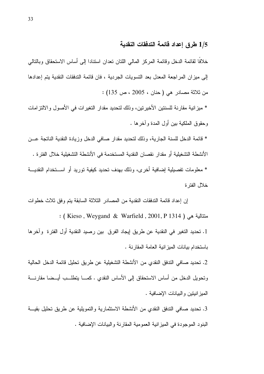## 1/5 طرق إعداد فائمة التدفقات النقدية

خلافًا لقائمة الدخل وقائمة المركز المالي اللتان تعدان استنادا إلى أساس الاستحقاق وبالتالي إلى ميزان المراجعة المعدل بعد النسويات الجردية ، فان قائمة التدفقات النقدية يتم إعدادها من ثلاثة مصادر هي ( حنان ، 2005 ، ص 135) :

\* ميزانية مقارنة للسنتين الأخيرتين، وذلك لتحديد مقدار التغيرات في الأصول والالتزامات وحقوق الملكية بين أول المدة وأخرها .

\* قائمة الدخل للسنة الجارية، وذلك لتحديد مقدار صافى الدخل وزيادة النقدية الناتجة عــن الأنشطة التشغيلية أو مقدار نقصان النقدية المستخدمة في الأنشطة التشغيلية خلال الفتر ة . \* معلومات تفصيلية إضافية أخرى، وذلك بهدف تحديد كيفية توريد أو اســـتخدام النقديـــة خلال الفتر ة

إن إعداد قائمة التدفقات النقدية من المصـادر الثلاثة السابقة بتم وفق ثلاث خطوات : ( Kieso , Weygand & Warfield , 2001, P 1314 ) ( Kieso , Weygand & Warfield 1. تحديد التغير في النقدية عن طريق لِيجاد الفرق بين رصيد النقدية أول الفترة وآخرها باستخدام بيانات الميز انية العامة المقارنة .

2. تحديد صـافي الندفق النقدي من الأنشطة التشغيلية عن طريق تحليل قائمة الدخل الحالية ونحويل الدخل من أساس الاستحقاق إلى الأساس النقدي . كمـــا بتطلـــب أيـــضـا مقارنــــة الميز انيتين والبيانات الإضافية .

3. تحديد صافى الندفق النقدى من الأنشطة الاستثمارية والتمويلية عن طريق تحليل بقيسة البنود الموجودة في الميزانية العمومية المقارنة والبيانات الإضافية .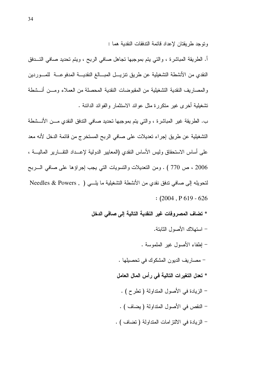و توجد طر يقتان لإعداد قائمة الندفقات النقدية هما :

أ. الطريقة المباشرة ، والتبي يتم بموجبها تجاهل صافي الربح ، ويتم تحديد صافي التـــدفق النقدى من الأنشطة التشغيلية عن طريق تنزيـــل المبــــالـغ النقديــــة المدفوعــــة للمــــوردين و المصار بف النقدية التشغيلية من المقبو ضات النقدية المحصلة من العملاء ومسن أنـــشطة تشغيلية أخر ى غير متكرَّر ة مثل عو ائد الاستثمار و الفو ائد الدائنة .

ب. الطريقة غير المباشرة ، والتي يتم بموجبها تحديد صافي الندفق النقدي مـــن الأنـــشطة التشغيلية عن طريق إجراء تعديلات على صافى الربح المستخرج من قائمة الدخل لأنه معد على أساس الاستحقاق وليس الأساس النقدي (المعابير الدولية لإعـــداد النقـــارير الماليــــة ، 2006 ، ص 770 ) . ومن التعديلات والتسويات التبي يجب إجراؤها على صافى السربح لتحويله إلى صافي تدفق نقدى من الأنشطة التشغيلية ما يلــي ( , Needles & Powers  $:(2004, P619 - 626)$ 

- \* تضاف المصروفات غير النقدية التالية إلى صافى الدخل
	- استهلاك الأصول الثابتة.
	- إطفاء الأصول غير الملموسة .
	- مصاريف الديون المشكوك في تحصيلها .
	- \* تعدل التغيرات التالية في رأس المال العامل
	- الزيادة في الأصول المتداولة ( نطرح ) .
	- النقص في الأصول المتداولة ( يضاف ) .
	- الزيادة في الالتزامات المتداولة (تضاف ) .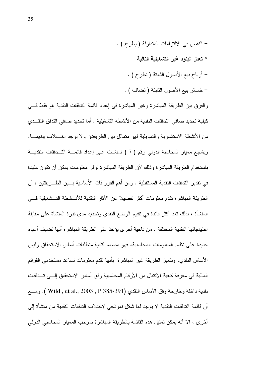- النقص في الالتزامات المتداولة ( بطرح ) . \* تعدل البنود غير التشغيلية التالية – أرباح بيع الأصول الثابتة (تطرح ) .
	- خسائر بيع الأصول الثابتة ( تضاف ) .

والفرق بين الطريقة المباشرة وغير المباشرة في إعداد قائمة التدفقات النقدية هو فقط في كيفية تحديد صـافي التدفقات النقدية من الأنشطـة التشغيلية . أما تحديد صـافي التدفق النقــدي من الأنشطة الاستثمارية والتمويلية فهو متماثل بين الطريقتين ولا يوجد اخـــتلاف بينهمــــا. ويشجع معيار المحاسبة الدولي رقم (7 ) المنشآت على إعداد قائمـــة التــدفقات النقديـــة باستخدام الطريقة المباشرة وذلك لأن الطريقة المباشرة نوفر معلومات بمكن أن نكون مفيدة في نقدير التدفقات النقدية المستقبلية . ومن أهم الفرو قات الأساسية بـــين الطــــريقتين ، أن الطريقة المباشرة نقدم معلومات أكثر تفصيلا عن الآثار النقدية للأنـــشطة التـــشغيلية فــــى المنشأة ، لذلك نعد أكثر فائدة في نقييم الوضع النقدي ونحديد مدى قدرة المنشاة على مقابلة احتياجاتها النقدية المختلفة . من ناحية أخرى يؤخذ على الطريقة المباشرة أنها تضيف أعباء جديدة على نظام المعلومات المحاسبية، فهو مصمم لتلبية منطلبات أساس الاستحقاق وليس الأساس النقدي. وتتميز الطريقة غير المباشرة بأنها تقدم معلومات تساعد مستخدمي القوائم المالية في معرفة كيفية الانتقال من الأرقام المحاسبية وفق أساس الاستحقاق إلـــي تـــدفقات نقدية داخلة وخارجة وفق الأساس النقدي (Wild , et al., 2003 , P 385-391 ). ومسع أن قائمة التدفقات النقدية لا يوجد لها شكل نموذجي لاختلاف التدفقات النقدية من منشأة إلى أخرى ، إلا أنه يمكن تمثيل هذه القائمة بالطريقة المباشرة بموجب المعيار المحاسبي الدولي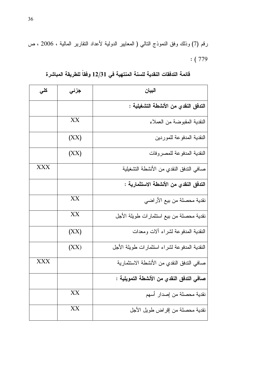رقم (7) وذلك وفق النموذج النالي ( المعايير الدولية لأعداد النقارير المالية ، 2006 ، ص  $:(779)$ 

| كلي        | جزئى | البيان                                       |
|------------|------|----------------------------------------------|
|            |      | التدفق النقدي من الأنشطة التشغيلية :         |
|            | XX   | النقدية المقبوضة من العملاء                  |
|            | (XX) | النقدية المدفوعة للموردين                    |
|            | (XX) | النقدية المدفوعة للمصروفات                   |
| <b>XXX</b> |      | صافي الندفق النقدي من الأنشطة التشغيلية      |
|            |      | التدفق النقدي من الأنشطة الاستثمارية :       |
|            | XX   | نقدية محصلة من بيع الأراضي                   |
|            | XX   | نقدية محصلة من بيع استثمارات طويلة الأجل     |
|            | (XX) | النقدية المدفوعة لشراء ألات ومعدات           |
|            | (XX) | النقدية المدفوعة لشراء استثمارات طويلة الأجل |
| <b>XXX</b> |      | صافي الندفق النقدي من الأنشطة الاستثمارية    |
|            |      | صافى التدفق النقدي من الأنشطة التمويلية :    |
|            | XX   | نقدية محصلة من إصدار أسهم                    |
|            | XX   | نقدية محصلة من إقراض طويل الأجل              |

قائمة التدفقات النقدية للسنة المنتهية في 12/31 وفقاً للطريقة المباشرة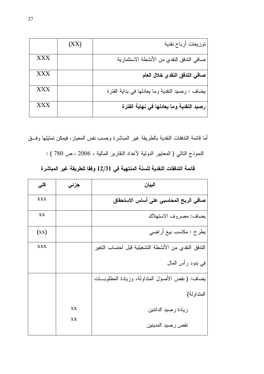|            | (XX) | توزيعات أرباح نقدية                             |
|------------|------|-------------------------------------------------|
| <b>XXX</b> |      | صافي الندفق النقدي من الأنشطة الاستثمارية       |
| <b>XXX</b> |      | صافي التدفق النقدي خلال العام                   |
| <b>XXX</b> |      | يضاف : رصيد النقدية وما يعادلها في بداية الفترة |
| <b>XXX</b> |      | رصيد النقدية وما يعادلها في نهاية الفترة        |

أما فائمة الندفقات النقدية بالطريقة غير المباشرة وحسب نفس المعيار، فيمكن تمثيلها وفق

النموذج النالي ( المعايير الدولية لأعداد النقارير المالية ، 2006 ، ص 780 ) :

| البيان                                               | جزئى      | كلى        |
|------------------------------------------------------|-----------|------------|
| صافي الربح المحاسبي على أساس الاستحقاق               |           | <b>XXX</b> |
| يضاف: مصروف الاستهلاك                                |           | XX         |
| يطرح : مكاسب بيع أراضي                               |           | (xx)       |
| الندفق النقدي من الأنشطة التشغيلية قبل احتساب التغير |           | <b>XXX</b> |
| في بنود رأس المال                                    |           |            |
| يضاف: (نقص الأصول المنداولة، وزيادة المطلوبـــات     |           |            |
| المتداولة)                                           |           |            |
| زيادة رصبد الدائنين                                  | XX        |            |
| نقص رصيد المدينين                                    | <b>XX</b> |            |

قائمة التدفقات النقدية للسنة المنتهية في 12/31 وفقا للطريقة غير المباشرة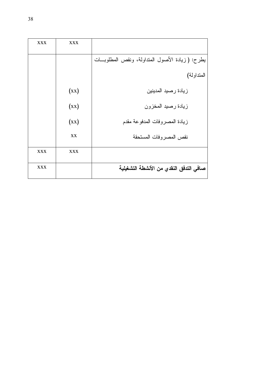| <b>XXX</b> | <b>XXX</b> |                                                  |
|------------|------------|--------------------------------------------------|
|            |            | يطرح: ( زيادة الأصول المنداولة، ونقص المطلوبــات |
|            |            | المتداولة)                                       |
|            | (xx)       | زيادة رصيد المدينين                              |
|            | (xx)       | زيادة رصيد المخزون                               |
|            | (xx)       | زيادة المصروفات المدفوعة مقدم                    |
|            | XX         | نقص المصر وفات المستحقة                          |
| <b>XXX</b> | <b>XXX</b> |                                                  |
| <b>XXX</b> |            | صافى التدفق النقدي من الأنشطة التشغيلية          |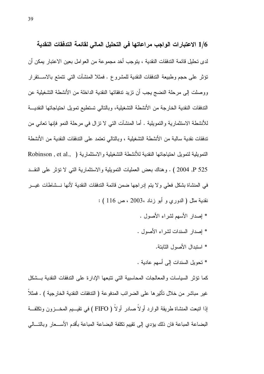1/6 الاعتبارات الواجب مراعاتها في التحليل المالي لقائمة التدفقات النقدية لدى تحليل فائمة التدفقات النقدية ، يتوجب أخد مجموعة من العوامل بعين الاعتبار يمكن أن تؤثِّر على حجم وطبيعة التدفقات النقدية للمشروع . فمثلا المنشآت التي تتمتع بالاستقرار ووصلت إلى مرحلة النضج يجب أن تزيد تدفقاتها النقدية الداخلة من الأنشطة التشغيلية عن الندفقات النقدية الخارجة من الأنشطة التشغيلية، وبالنالي نستطيع نمويل احتياجاتها النقديـــة للأنشطة الاستثمارية والتمويلية . أما المنشآت التبي لا نزال في مرحلة النمو فإنها تعانبي من تدفقات نقدية سالبة من الأنشطة التشغيلية ، وبالتالي تعتمد على التدفقات النقدية من الأنشطة النَّمويلية لنَّمويل احتياجاتها النقدية للأنشطة التشغيلية والاستثمارية ( Robinson , et al., ) P 525 . 2004 ) . وهناك بعض العمليات التمويلية والاستثمارية التي لا تؤثِّر على النقــد في المنشاة بشكل فعلى ولا يتم إدراجها ضمن قائمة التدفقات النقدية لأنها نـــشاطات غيـــر نقدية مثل ( الدوري و أبو زناد ،2003 ، ص 116 ) :

- \* إصدار الأسهم لشراء الأصول .
- \* إصدار السندات لشراء الأصول .
	- \* استبدال الأصول الثابتة.
- \* تحويل السندات إلى أسهم عادية .

كما نؤثر السياسات والمعالجات المحاسبية التي تتبعها الإدارة على التدفقات النقدية بسشكل غير مباشر من خلال تأثير ها على الضر ائب المدفو عة ( التدفقات النقدية الخار جية ) . فمثلا إذا انتبعت المنشاة طريقة الوارد أولاً صادر أولاً ( FIFO ) في تقيــــيم المخــــزون وتكلفـــة البضاعة المباعة فان ذلك بؤدي إلى نقييم نكلفة البضاعة المباعة بأقدم الأســـعار وبالنـــالى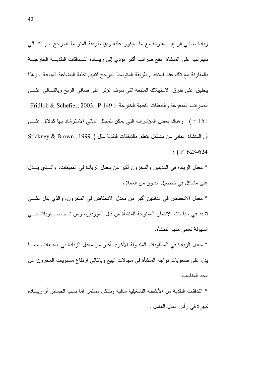زيادة صافى الربح بالمقارنة مع ما سيكون عليه وفق طريقة المنوسط المرجح ، وبالنسالي سيترتب على المنشاة دفع ضرائب أكبر نؤدي إلى زيـــادة التـــدفقات النقديــــة الخارجــــة بالمقارنة مع نلك عند استخدام طريقة المتوسط المرجح لتقييم تكلفة البضاعة المباعة . وهذا ينطبق على طرق الاستهلاك المتبعة التي سوف تؤثر على صافى الربح وبالتسالي علسى الضر ائب المدفو عة و التدفقات النقدية الخار جة ( Fridlob & Schefier, 2003, P 149 151 - ) . وهناك بعض المؤشرات التي يمكن للمحلل المالي الاسترشاد بها كدلائل علمي أن المنشاة تعاني من مشاكل نتعلق بالتدفقات النقدية مثل (Stickney & Brown , 1999, )  $: (P 623-624)$ 

\* معدل الزيادة في المدينين والمخزون أكبر من معدل الزيادة في المبيعات، والـــذي يـــدل على مشاكل في تحصيل الديون من العملاء.

\* معدل الانخفاض في الدائنين أكبر من معدل الانخفاض في المخزون، والذي يدل علــــى تشدد في سياسات الائتمان الممنوحة للمنشأة من قبل الموردين، ومن شــم صــــعوبات فــــي السبو لة تعانى منها المنشأة.

\* معدل الزيادة في المطلوبات المتداولة الأخرى أكبر من معدل الزيادة في المبيعات. ممــــا يدل على صعوبات نواجه المنشأة في مجالات البيع وبالنالبي ارنفاع مستويات المخزون عن الحد المناسب.

\* الندفقات النقدية من الأنشطة التشغيلية سالبة وبشكل مستمر إما بسب الخسائر أو زيسادة كبيرة في رأس المال العامل .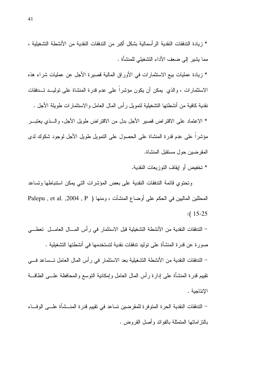\* زيادة عمليات بيع الاستثمارات في الأوراق المالية قصيرة الأجل عن عمليات شراء هذه الاستثمارات ، والذي يمكن أن يكون مؤشراً على عدم قدرة المنشاة على توليــد تـــدفقات نقدية كافية من أنشطتها التشغيلية لتمويل ر أس المال العامل والاستثمار ات طويلة الأجل . \* الاعتماد على الاقتراض قصير الأجل بدل من الاقتراض طويل الأجل، والـــذي يعتبــــر مؤشراً على عدم قدرة المنشاة على الحصول على النمويل طويل الأجل لوجود شكوك لدى المقرضين حول مستقبل المنشاة.

\* تخفيض أو إيقاف التوزيعات النقدية.

وتحتوى قائمة التدفقات النقدية على بعض المؤشرات التي يمكن استتباطها وتساعد المحللين الماليين في الحكم على أوضاع المنشآت ، ومنها ( Palepu , et al. ,2004 , P  $: 15 - 25$ 

– التدفقات النقدية من الأنشطة التشغيلية قبل الاستثمار في رأس المسال العامـــل تعطـــي صور ة عن قدر ة المنشأة على توليد تدفقات نقدية لتستخدمها في أنشطتها التشغيلية . – التدفقات النقدية من الأنشطة التشغيلية بعد الاستثمار في رأس المال العامل تــساعد فـــي نقيبِم قدرة المنشأة على إدارة رأس المال العامل وإمكانية النوسع والمحافظة علـــي الطاقــــة الإنتاجية .

– التدفقات النقدية الحرة المتوفرة للمقرضين تساعد في نقييم قدرة المنـــشأة علـــي الوفـــاء بِالَّنزِ اماتِها المتمثَّلة بِالفوائد و أصل القر و ض .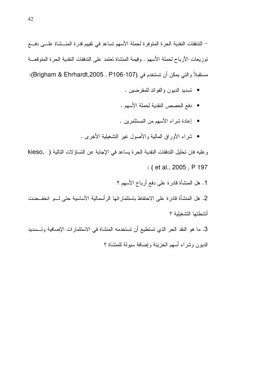– التدفقات النقدية الحرة المتوفرة لحملة الأسهم تساعد في نقييم قدرة المنـــشاة علــــى دفــــع توزيعات الأرباح لحملة الأسهم . وقيمة المنشاة تعتمد على الندفقات النقدية الحرة المتوقعـــة مستقبلاً والتي يمكن أن تستخدم في (Brigham & Ehrhardt,2005 , P106-107):

- تسديد الديون و الغو ائد للمقر ضين .
- دفع الحصص النقدية لحملة الأسهم .
- إعادة شراء الأسهم من المستثمرين .
- شراء الأوراق المالية والأصول غير التشغيلية الأخرى .

وعليه فان تحليل التدفقات النقدية الحرة يساعد في الإجابة عن التساؤلات التالية ( kieso, : (et al., 2005, P 197

1. هل المنشأة قادرة على دفع أرباح الأسهم ؟

2. هل المنشأة قادرة على الاحتفاظ باستثمار اتها الرأسمالية الأساسية حتى لـــو انخفــضت أنشطتها التشغللة ؟

3. ما هو النقد الحر الذي تستطيع أن تستخدمه المنشاة في الاستثمارات الإضافية وتــسديد الديون وشراء أسهم الخزينة وإضافة سيولة للمنشاة ؟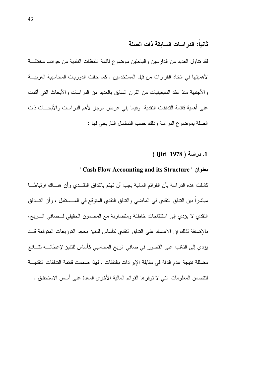# ثانياً: الدر اسات السابقة ذات الصلة

لقد نتاول العديد من الدارسين والباحثين موضوع قائمة الندفقات النقدية من جوانب مختلفة لأهميتها في اتخاذ القرارات من قبل المستخدمين . كما حفلت الدوريات المحاسبية العربيــــة والأجنبية منذ عقد السبعينيات من القرن السابق بالعديد من الدراسات والأبحاث التبي أكدت على أهمية قائمة الندفقات النقدية. وفيما يلي عرض موجز لأهم الدراسات والأبحـــاث ذات الصلة بموضوع الدراسة وذلك حسب التسلسل الناريخي لها :

1. دراسة ( Ijiri 1978 ).

# " Cash Flow Accounting and its Structure "

كشفت هذه الدراسة بأن القوائم المالية يجب أن تهتم بالتدفق النقــدي وأن هنـــاك ارتباطـــا مباشراً بين الندفق النقدي في الماضي والندفق النقدي المتوقع في المـــستقبل ، وأن التـــدفق النقدي لا يؤدي إلى استنتاجات خاطئة ومتضاربة مع المضمون الحقيقي لــصافى الــــربح، بالإضافة لذلك إن الاعتماد على الندفق النقدى كأساس للتتبؤ بحجم التوزيعات المتوقعة قــد يؤدي إلى التغلب على القصور في صافي الربح المحاسبي كأساس للتتبؤ لإعطائــــه نتـــائج مضللة نتيجة عدم الدقة في مقابلة الإيرادات بالنفقات . لهذا صممت قائمة التدفقات النقديـــة لنتضمن المعلومات التي لا نوفر ها القوائم المالية الأخرى المعدة على أساس الاستحقاق .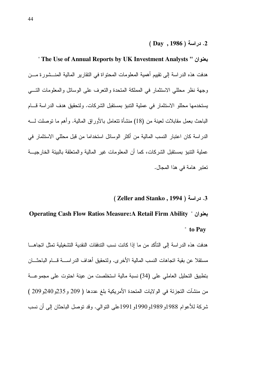" **The Use of Annual Reports by UK Investment Analysts "**  2 هدفت هذه الدراسة إلى نقييم أهمية المعلومات المحتواة في النقارير المالية المنـــشورة مـــن وجهة نظر محللي الاستثمار في المملكة المتحدة والنعرف على الوسائل والمعلومات التــــي يستخدمها محللو الاستثمار في عملية النتبؤ بمستقبل الشركات. ولتحقيق هدف الدراسة قــــام الباحث بعمل مقابلات لعينة من (18) منشأة تتعامل بالأوراق المالية. وأهم ما نوصلت لــــه الدر اسة كان اعتبار النسب المالية من اكثر الوسائل استخداما من قبل محللي الاستثمار في عملية النتبؤ بمستقبل الشركات، كما أن المعلومات غير المالية والمتعلقة بالبيئة الخارجيـــة تعتبر هامة في هذا المجال.

# ( **Zeller and Stanko , 1994** )  .3

# **Operating Cash Flow Ratios Measure:A Retail Firm Ability** "  2 " **to Pay**

هدفت هذه الدراسة إلى التاكد من ما إذا كانت نسب التدفقات النقدية التشغيلية تمثل اتجاهـــا مستقلا عن بقية انجاهات النسب المالية الأخرى. ولنحقيق أهداف الدراســــة قــــام الباحثــــان بتطبيق التحليل العاملي على (34) نسبة مالية استخلصت من عينة احتوت على مجموعـــة من منشآت التجزئة في الولايات المتحدة الأمريكية بلغ عددها ( 209 و 235و240و 209 ) شركة للأعوام 1988و1989و1990و1991على النوالي. وقد نوصل الباحثان إلىي أن نسب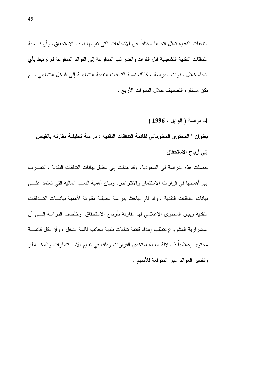الندفقات النقدية تمثل اتجاها مختلفاً عن الاتجاهات التي تقيسها نسب الاستحقاق، وأن نـــسبة الندفقات النقدية النشغيلية قبل الفوائد والضررائب المدفوعة إلى الفوائد المدفوعة لم نرنبط بأي اتجاه خلال سنوات الدراسة ، كذلك نسبة التدفقات النقدية التشغيلية إلى الدخل التشغيلي لسم نكن مستقر ة التصنيف خلال السنو ات الأربع .

4. دراسة ( الوابل ، 1996 ) بعنوان " المحتوى المعلوماتي لقائمة التدفقات النقدية : دراسة تحليلية مقارنه بالقياس إلى أرباح الاستحقاق "

حصلت هذه الدراسة في السعودية، وقد هدفت إلى نحليل بيانات الندفقات النقدية والنعـــرف إلى أهميتها في قرارات الاستثمار والاقتراض، وبيان أهمية النسب المالية التي تعتمد علـــي بيانات التدفقات النقدية . وقد قام الباحث بدراسة تحليلية مقارنة لأهمية بيانسات التسدفقات النقدية وبيان المحتوى الإعلامي لها مقارنة بأرباح الاستحقاق. وخلصت الدراسة إلـــي أن استمر ارية المشروع تتطلب إعداد فائمة تدفقات نقدية بجانب فائمة الدخل ، وأن لكل فائمــــة محتوى إعلامياً ذا دلالة معينة لمتخذى القر ار ات وذلك في تقييم الاســـتثمار ات والمخــــاطر وتفسير العوائد غير المنوقعة للأسهم .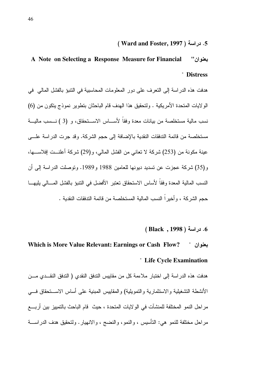# 1. دراسة ( Ward and Foster, 1997 )

## A Note on Selecting a Response Measure for Financial بعنوان" **Distress**

هدفت هذه الدراسة إلى النعرف على دور المعلومات المحاسبية في النتبؤ بالفشل المالي في الو لإبات المتحدة الأمر بكبة . ولتحقبق هذا الهدف قام الباحثان بتطوير لموذج بتكون من (6) نسب مالية مستخلصة من بيانات معدة وفقاً لأســـاس الاســـتحقاق، و (3 ) نـــسب ماليـــة مستخلصة من قائمة التدفقات النقدية بالإضافة إلى حجم الشركة. وقد جرت الدراسة علـــي عينة مكونة من (253) شركة لا نعاني من الفشل المالي، و(29) شركة أعلنــت إفلاســــها، و (35) شركة عجزت عن تسديد ديونها للعامين 1988 و1989. وتوصلت الدراسة إلى أن النسب المالية المعدة وفقاً لأساس الاستحقاق تعتبر الأفضل في النتبوَ بالفشل المسالي بليهـــا حجم الشر كة ، و أخير اً النسب المالية المستخلصة من قائمة التدفقات النقدية .

#### 6. دراسة ( 1998 , Black )

# Which is More Value Relevant: Earnings or Cash Flow? بعنوان " " Life Cycle Examination

هدفت هذه الدر اسة إلى اختبار ملاءمة كل من مقاييس التدفق النقدى ( التدفق النقــدى مـــن الأنشطة التشغيلية والاستثمارية والتمويلية) والمقاييس المبنية على أساس الاستحقاق فسي مر احل النمو المختلفة للمنشآت في الولايات المتحدة ، حيث قام الباحث بالتمييز بين أربــــع مراحل مختلفة للنمو هي: التأسيس ، والنمو، والنضج ، والانهيار . ولتحقيق هدف الدراســـة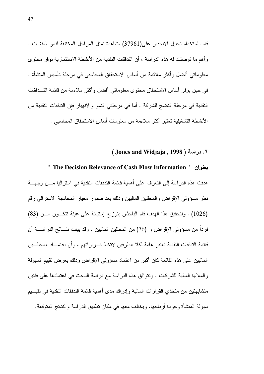قام باستخدام تحليل الانحدار على(37961) مشاهدة تمثل المراحل المختلفة لنمو المنشآت . وأهم ما نوصلت له هذه الدراسة ، أن التدفقات النقدية من الأنشطة الاستثمارية توفر محتوى معلوماتي أفضل وأكثر ملائمة من أساس الاستحقاق المحاسبي في مرحلة تأسبس المنشأة . في حين يوفر أساس الاستحقاق محتوى معلوماتي أفضل وأكثر ملاءمة من قائمة التـــدفقات النقدية في مرحلة النضج للشركة . أما في مرحلتي النمو والانهيار فان التدفقات النقدية من الأنشطة التشغيلية تعتبر أكثر ملاءمة من معلومات أساس الاستحقاق المحاسبي .

#### 7. دراسة ( Jones and Widjaja, 1998 ).

" The Decision Relevance of Cash Flow Information " بعنوان " هدفت هذه الدر اسة إلى النعر ف على أهمية قائمة الندفقات النقدية في اسنر اليا مــــن وجهــــة نظر مسؤولي الإقراض والمحللين المالبين وذلك بعد صدور معيار المحاسبة الاسترالي رقم (1026) . ولنحقيق هذا الهدف قام الباحثان بتوزيع إستبانة على عينة تتكـون مــن (83) فردا من مسؤولي الإقراض و (76) من المحللين الماليين . وقد بينت نتـــائج الدراســــة أن قائمة التدفقات النقدية تعتبر هامة لكلا الطر فين لاتخاذ قـــر ار اتـهم ، و أن اعتمـــاد المحللـــين الماليين على هذه القائمة كان أكبر من اعتماد مسؤولي الإقراض وذلك بغرض نقييم السيولة والملاءة المالية للشركات . ونتوافق هذه الدراسة مع دراسة الباحث في اعتمادها على فئتين متشابهتين من متخذى القرارات المالية وإدراك مدى أهمية قائمة التدفقات النقدية في تقيسيم سيولة المنشأة وجودة أرباحها. ويختلف معها في مكان نطبيق الدراسة والنتائج المتوقعة.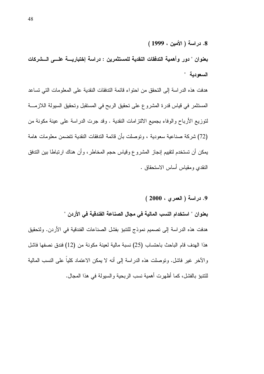بعنوان " دور وأهمية التدفقات النقدية للمستثمرين : دراسة إختباريسة علسى السشركات السعودية "

هدفت هذه الدر اسة إلى التحقق من احتواء قائمة التدفقات النقدية على المعلومات التي تساعد المستثمر في قياس قدرة المشروع على تحقيق الربح في المستقبل وتحقيق السيولة اللازمـــة لتوزيع الأرباح والوفاء بجميع الالنزامات النقدية . وقد جرت الدراسة على عينة مكونة من (72) شركة صناعية سعودية ، وتوصلت بأن قائمة التدفقات النقدية تتضمن معلومات هامة يمكن أن تستخدم لنقيبم إنجاز المشروع وقياس حجم المخاطر ، وأن هناك ارتباطا بين التدفق النقدي ومقياس أساس الاستحقاق .

9. دراسة (العمري ، 2000 ) بعنوان " استخدام النسب المالية في مجال الصناعة الفندقية في الأردن " هدفت هذه الدراسة إلى تصميم نموذج للتنبؤ بفشل الصناعات الفندقية في الأردن. ولتحقيق هذا الهدف قام الباحث باحتساب (25) نسبة مالبة لعبنة مكونة من (12) فندق نصفها فاشل والآخر غير فاشل. ونوصلت هذه الدراسة إلى أنه لا يمكن الاعتماد كلياً على النسب المالية للنتيوَ بالفشل، كما أظهر ت أهمية نسب الر بحية و السبولة في هذا المجال.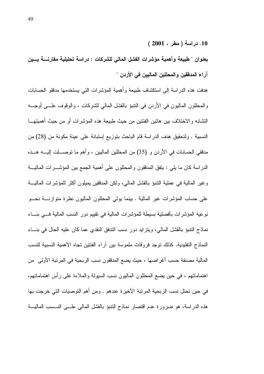10. دراسة (مطر ، 2001 )

بعنوان " طبيعة وأهمية مؤشرات الفشل المالى للشركات : دراسة تحليلية مقارنسة بسين آراء المدققين والمحللين الماليين في الأردن "

هدفت هذه الدر اسة إلى استكشاف طبيعة وأهمية المؤشر ات التي يستخدمها مدققو الحسابات و المحللون الماليون في الأردن في النتبوَ بالفشل المالي للشركات ، والوقوف علـــي أوجـــه التشابه والاختلاف بين هاتين الفئتين من حيث طبيعة هذه المؤشرات أو من حيث أهميتهـــا النسبية . ولتحقيق هدف الدراسة قام الباحث بتوزيع إستبانة على عينة مكونة من (28) من مدققي الحسابات في الأردن و (35) من المحللين الماليين ، وأهم ما نوصــــلت إليــــه هـــذه الدراسة كان ما يلبي : يتفق المدققون والمحللون على أهمية الجمع بين المؤشـــرات الماليــــة و غير المالية في عملية النتبو بالفشل المالي، ولكن المدققين يميلون أكثر للمؤشر ات الماليـــة على حساب المؤشرات غير المالية . بينما يولِّي المحلَّلون الماليون نظرة متوازنــــة نحـــو نوعية المؤشرات بأفضلية بسيطة للمؤشرات المالية في نقييم دور النسب المالية فسي بنساء نماذج النتبوُ بالفشل المالي، وينز ايد دور نسب الندفق النقدي عما كان عليه الحال في بنساء النماذج التقليدية. كذلك نوجد فر وقات ملموسة بين آر اء الفئتين تجاه الأهمية النسبية للنسب المالية مصنفة حسب أغراضها ، حيث يضع المدققون نسب الربحية في المرنبة الأولى من اهتماماتهم ، في حين يضع المحللون الماليون نسب السيولة والملاءة على رأس اهتماماتهم، في حين تحتل نسب الربحية المرتبة الأخيرة عندهم . ومن أهم التوصيات التي خرجت بها هذه الدراسة، هو ضرورة عدم اقتصار نماذج النتبؤ بالفشل المالي علـــي النـــسب الماليـــة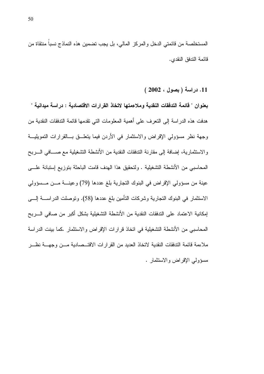المستخلصة من قائمتي الدخل والمركز المالي، بل يجب تضمين هذه النماذج نسباً منتقاة من قائمة الندفق النقدى.

11. دراسة (بصول ، 2002 )

بعنوان " فَائمة التدفقات النقدية وملاءمتها لاتخاذ القرارات الاقتصادية : دراسة ميدانية " هدفت هذه الدراسة إلى النعرف على أهمية المعلومات التي نقدمها قائمة الندفقات النقدية من وجهة نظر مسؤولي الإقراض والاستثمار في الأردن فيما يتعلـــق بـــالقرارات التمويليـــة والاستثمارية، إضافة إلى مقارنة التدفقات النقدية من الأنشطة التشغيلية مع صـــافي الــــربح المحاسبي من الأنشطة التشغيلية . ولتحقيق هذا الهدف قامت الباحثة بتوزيع إستبانة علـــى عينة من مسؤولي الإقراض في البنوك التجارية بلغ عددها (79) وعينـــة مـــن مـــسؤولي الاستثمار في البنوك التجارية وشركات التأمين بلغ عددها (58). وتوصلت الدراســــة إلــــي إمكانية الاعتماد على التدفقات النقدية من الأنشطة التشغيلية بشكل أكبر من صافى السربح المحاسبي من الأنشطة التشغيلية في اتخاذ قرارات الإقراض والاستثمار .كما بينت الدراسة ملاءمة قائمة التدفقات النقدية لاتخاذ العديد من القر ار ات الاقتـــصـادية مـــن وجهـــة نظـــر مسؤولي الإقراض والاستثمار .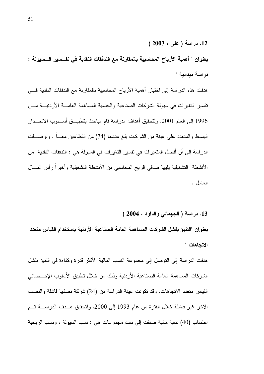بعنوان " أهمية الأرباح المحاسبية بالمقارنة مع التدفقات النقدية في تفـــسير الـــسيولة : در اسة ميدانية "

هدفت هذه الدراسة إلى اختبار أهمية الأرباح المحاسبية بالمقارنة مع التدفقات النقدية فسي تفسير التغير ات في سبولة الشركات الصناعية والخدمية المساهمة العامـــة الأر دنيـــة مـــن 1996 إلى العام 2001. ولتحقيق أهداف الدراسة قام الباحث بتطبيــــق أســــلوب الانحــــدار البسيط والمتعدد على عينة من الشركات بلغ عددها (74) من القطاعين معــــا . ونوصــــلت الدر اسة إلى أن أفضل المتغير ات في تفسير التغير ات في السيولة هي : التدفقات النقدية من الأنشطة التشغيلية يليها صافى الربح المحاسبي من الأنشطة التشغيلية وأخيراً رأس المسال العامل .

13. دراسة (الجهمانى والداود ، 2004 )

بعنوان "التنبؤ بفشل الشركات المساهمة العامة الصناعية الأردنية باستخدام القياس متعدد الاتجاهات "

هدفت الدراسة إلى التوصل إلى مجموعة النسب المالية الأكثر قدرة وكفاءة في النتبؤ بفشل الشركات المساهمة العامة الصناعية الأردنية وذلك من خلال تطبيق الأسلوب الإحــصائبي القياس منعدد الاتجاهات. وقد تكونت عينة الدراسة من (24) شركة نصفها فاشلة والنصف الآخر غير فاشلة خلال الفترة من عام 1993 إلى 2000. ولتحقيق هــدف الدراســــة تـــم احتساب (40) نسبة مالية صنفت إلى ست مجموعات هي : نسب السيولة ، ونسب الربحية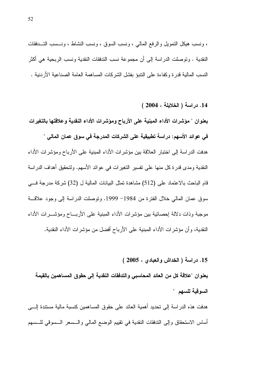، ونسب هيكل النمويل والرفع المالي ، ونسب السوق ، ونسب النشاط ، ونـــسب النــــدفقات النقدية . وتوصلت الدراسة إلى أن مجموعة نسب التدفقات النقدية ونسب الربحية هي أكثر النسب المالية قدرة وكفاءة على النتبؤ بفشل الشركات المساهمة العامة الصناعية الأردنية .

14. دراسة (الخلايلة ، 2004 )

بعنوان " مؤشرات الأداء المبنية على الأرباح ومؤشرات الأداء النقدية وعلاقتها بالتغيرات في عوائد الأسهم: دراسة تطبيقية على الشركات المدرجة في سوق عمان المالي " هدفت الدراسة إلى اختبار العلاقة بين مؤشرات الأداء المبنية على الأرباح ومؤشرات الأداء النقدية ومدى قدر ة كل منها على تفسير التغير ات في عو ائد الأسهم. ولتحقيق أهداف الدر اسة قام الباحث بالاعتماد على (512) مشاهدة تمثل البيانات المالية ل (32) شركة مدرجة فــــى سوق عمان المالي خلال الفترة من 1984– 1999. وتوصلت الدراسة إلى وجود علاقة موجبة وذات دلالة إحصائية بين مؤشر ات الأداء المبنية على الأربـــاح ومؤشـــر ات الأداء النقدية، وأن مؤشرات الأداء المبنية على الأرباح أفضل من مؤشرات الأداء النقدية.

15. دراسة ( الخداش والعبادي ، 2005 )

بعنوان "علاقة كل من العائد المحاسبي والتدفقات النقدية إلى حقوق المساهمين بالقيمة السوقية للسهم "

هدفت هذه الدراسة إلى تحديد أهمية العائد على حقوق المساهمين كنسبة مالية مستندة إلــــى أساس الاستحقاق وإلىي التذفقات النقدية في تقييم الوضع المالي والـــسعر الـــسوقي للـــسهم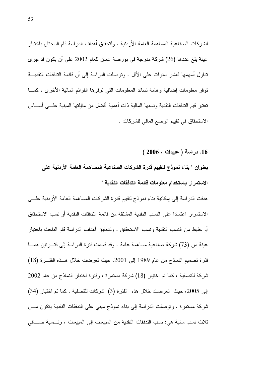للشركات الصناعية المساهمة العامة الأردنية . ولتحقيق أهداف الدراسة قام الباحثان باختيار عينة بلغ عددها (26) شركة مدرجة في بورصة عمان للعام 2002 على أن يكون قد جرى تداول أسهمها لعشر سنوات على الأقل . وتوصلت الدراسة إلى أن قائمة التدفقات النقديـــة نوفر معلومات إضافية وهامة تساند المعلومات التبي نوفرها القوائم المالية الأخرى ، كمـــا تعتبر قيم التدفقات النقدية و نسبها المالية ذات أهمية أفضل من مثيلتها المبنية علـــى أســــاس الاستحقاق في نقييم الوضع المالي للشركات .

16. دراسة ( عبيدات ، 2006 )

بعنوان " بناء نموذج لتقييم قدرة الشركات الصناعية المساهمة العامة الأردنية على الاستمرار باستخدام معلومات قائمة التدفقات النقدية "

هدفت الدراسة إلى إمكانية بناء نموذج لنقييم قدرة الشركات المساهمة العامة الأردنية علسى الاستمر ار اعتمادا على النسب النقدية المشتقة من قائمة التدفقات النقدية أو نسب الاستحقاق أو خليط من النسب النقدية ونسب الاستحقاق . ولتحقيق أهداف الدراسة قام الباحث باختيار عينة من (73) شركة صناعية مساهمة عامة . وقد قسمت فتر ة الدر اسة إلى فتـــر تين همــــا فترة تصميم النماذج من عام 1989 إلى 2001، حيث تعرضت خلال هــذه الفتــرة (18) شركة للتصفية ، كما تم اختيار (18) شركة مستمرة ، وفترة اختبار النماذج من عام 2002 إلى 2005، حيث تعرضت خلال هذه الفتر ة (3) شركات للتصفية ، كما تم اختيار (34) شركة مستمرة . وتوصلت الدراسة إلى بناء نموذج مبنى على التدفقات النقدية يتكون مـــن ثلاث نسب مالية هي: نسب التدفقات النقدية من المبيعات إلى المبيعات ، ونـــسبة صــــافي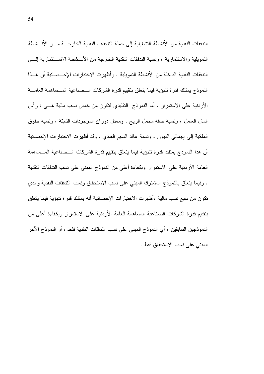الندفقات النقدية من الأنشطة التشغيلية إلى جملة الندفقات النقدية الخارجـــة مـــن الأنـــشطة التمويلية والاستثمارية ، ونسبة التدفقات النقدية الخارجة من الأنـــشطة الاســـتثمارية إلــــي الندفقات النقدية الداخلة من الأنشطة التمويلية . وأظهرت الاختبارات الإحـــصائية أن هـــذا النموذج بمنلك قدرة نتبؤية فيما يتعلق بتقييم قدرة الشركات السصناعية المسساهمة العامسة الأردنية على الاستمرار . أما النموذج النقليدي فتكون من خمس نسب مالية هـــي : رأس المال العامل ، ونسبة حافة مجمل الربح ، ومعدل دوران الموجودات الثابتة ، ونسبة حقوق الْمَلَكِيةَ إلى إجمالي الديون ، ونسبة عائد السهم العادي . وقد أظهرت الاختبارات الإحصائية أن هذا النموذج يمتلك قدرة نتبؤية فيما يتعلق بتقييم قدرة الشركات السصناعية المسساهمة العامة الأردنية على الاستمرار وبكفاءة أعلى من النموذج المبنى على نسب التدفقات النقدية . وفيما يتعلَّق بالنموذج المشترك المبنى على نسب الاستحقاق ونسب التدفقات النقدية والذي تكون من سبع نسب مالية ،أظهرت الاختبار ات الإحصائية أنه يمتلك قدرة تتبؤية فيما يتعلق بتقييم قدرة الشركات الصناعية المساهمة العامة الأردنية على الاستمرار وبكفاءة أعلى من النموذجين السابقين ، أي النموذج المبنى على نسب التدفقات النقدية فقط ، أو النموذج الآخر المبنى على نسب الاستحقاق فقط .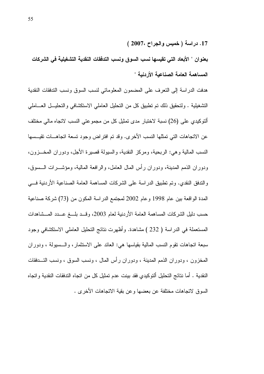17. دراسة ( خميس والجراح ،2007 )

بعنوان " الأبعاد التي تقيسها نسب السوق ونسب التدفقات النقدية التشغيلية في الشركات المساهمة العامة الصناعبة الأردنبة "

هدفت الدراسة إلى التعرف على المضمون المعلوماتي لنسب السوق ونسب الندفقات النقدية التشغيلية . ولتحقيق ذلك تم تطبيق كل من التحليل العاملي الاستكشافي والتحليـــل العــــاملي ألتوكيدي على (26) نسبة لاختبار مدى تمثيل كل من مجموعتي النسب لاتجاه مالي مختلف عن الاتجاهات التي تمثلها النسب الأخرى. وقد تم افتراض وجود تسعة اتجاهـــات تقيـــسها النسب المالية وهي: الربحية، ومركز النقدية، والسيولة قصيرة الأجل، ودوران المخـــزون، ودوران الذمم المدينة، ودوران رأس المال العامل، والرافعة المالية، ومؤشـــرات الـــسوق، والندفق النقدى. وتم تطبيق الدراسة على الشركات المساهمة العامة الصناعية الأردنية في المدة الواقعة بين عام 1998 وعام 2002 لمجتمع الدراسة المكون من (73) شركة صناعية حسب دليل الشركات المساهمة العامة الأردنية لعام 2003، وقــد بلـــغ عـــدد المـــشاهدات المستعملة في الدراسة ( 232 ) مشاهدة. وأظهرت نتائج التحليل العاملي الاستكشافي وجود سبعة اتجاهات نقوم النسب المالية بقياسها هي: العائد على الاستثمار ، والـــسبولة ، ودور ان المخزون ، ودوران الذمم المدينة ، ودوران رأس المال ، ونسب السوق ، ونسب التسدفقات النقدية . أما نتائج التحليل ألتوكيدي فقد بينت عدم تمثيل كل من اتجاه التدفقات النقدية واتجاه السوق لاتجاهات مختلفة عن بعضها وعن بقية الاتجاهات الأخرى .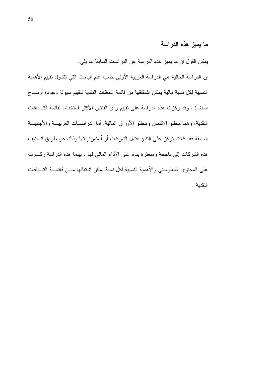#### ما يميز هذه الدراسة

يمكن القول أن ما يميز هذه الدراسة عن الدراسات السابقة ما يلي:

إن الدراسة الحالية هي الدراسة العربية الأولى حسب علم الباحث التي تتناول تقييم الأهمية النسبية لكل نسبة مالية يمكن اشتقاقها من قائمة التدفقات النقدية لتقييم سيولة وجودة أربساح المنشأة . وقد ركزت هذه الدراسة على نقييم رأي الفئتين الأكثر استخداما لقائمة التـــدفقات النقدية، وهما محللو الائتمان ومحللو الأوراق المالية. أما الدراســـات العربيـــة والأجنبيـــة السابقة فقد كانت تركز على التنبؤ بفشل الشركات أو أستمر اريتها وذلك عن طريق تصنيف هذه الشركات إلى ناجحة ومتعثَّرة بناء على الأداء المالي لها . بينما هذه الدراسة ركـــزت على المحتوى المعلوماتي والأهمية النسبية لكل نسبة بمكن اشتقاقها مسن قائمسة التسدفقات النقدية .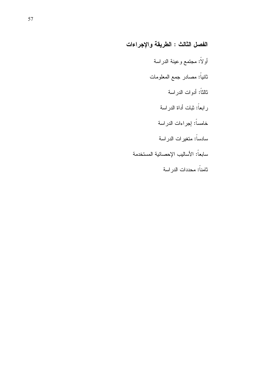# الفصل الثالث : الطريقة والإجراءات

أولأ: مجتمع وعينة الدراسة ثانياً: مصادر جمع المعلومات ثالثاً: أدوات الدراسة رابعاً: ثبات أداة الدراسة خامساً: إجراءات الدراسة سادساً: متغيرات الدراسة سابعاً: الأساليب الإحصائية المستخدمة ثامناً: محددات الدراسة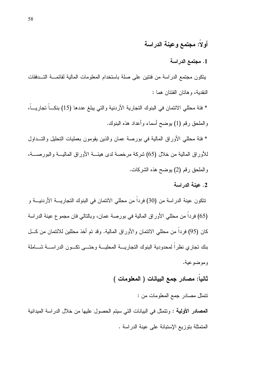### أولا: مجتمع وعينة الدراسة

#### 1. مجتمع الدراسة

يتكون مجتمع الدراسة من فئتين على صلة باستخدام المعلومات المالية لقائمـــة التـــدفقات النقدية، وهاتان الفئتان هما :

\* فئة محللي الائتمان في البنوك النجارية الأردنية والتي يبلغ عددها (15) بنكـــاً تجاريـــاً، والملحق رقم (1) بوضح أسماء وأعداد هذه البنوك.

\* فئة محللي الأوراق المالية في بورصة عمان والذين يقومون بعمليات التحليل والتـــداول للأوراق المالية من خلال (65) شركة مرخصة لدى هيئـــة الأوراق الماليـــة والبورصــــة، والملحق رقم (2) بوضح هذه الشركات.

#### 2. عبنة الدراسة

تتكون عينة الدراسة من (30) فرداً من محللي الائتمان في البنوك التجاريــــة الأردنيـــة و (65) فرداً من محللي الأوراق المالية في بورصة عمان، وبالتالي فان مجموع عينة الدراسة كان (95) فرداً من محللي الائتمان والأوراق المالية. وقد تم أخذ محللين للائتمان من كـــل بنك تجارى نظراً لمحدودية البنوك التجاريسة المحليسة وحتسى نكسون الدراسسة شساملة وموضوعية.

#### ثانيا: مصادر جمع البيانات ( المعلومات )

نتمثل مصادر جمع المعلومات من :

**المصادر الأولية :** وتتمثّل في البيانات التي سيتم الحصول عليها من خلال الدراسة الميدانية المتمثلة بتوزيع الإستبانة على عينة الدراسة .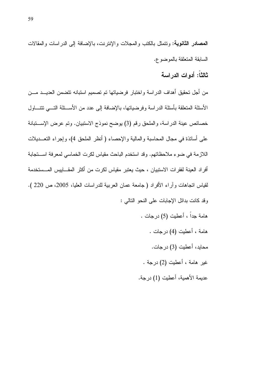**المصادر الثانوية:** وتتمثّل بالكتب والمجلات والإنترنت، بالإضافة إلى الدر اسات والمقالات السابقة المتعلقة بالموضوع.

ثالثاً: أدوات الدر اسة

من أجل تحقيق أهداف الدراسة واختبار فرضياتها تم تصميم استبانه تتضمن العديـــد مـــن الأسئلة المتعلقة بأسئلة الدراسة وفرضياتها، بالإضافة إلى عدد من الأســئلة التـــى تتتـــاول خصائص عينة الدراسة، والملحق رقم (3) يوضح نموذج الاستبيان. وتم عرض الإستبانة على أساتذة في مجال المحاسبة والمالية والإحصاء ( أنظر الملحق 4)، وإجراء النعـــديلات اللازمة في ضوء ملاحظاتهم. وقد استخدم الباحث مقياس لكرت الخماسي لمعرفة استجابة أفراد العينة لفقرات الاستبيان ، حيث يعتبر مقياس لكرت من أكثر المقـــاييس المـــستخدمة لقياس انجاهات وأراء الأفراد ( جامعة عمان العربية للدراسات العليا، 2005، ص 220 ). وفد كانت بدائل الإجابات على النحو التالي : هامة جداً ، أعطيت (5) درجات . هامة ، أعطيت (4) درجات . محايد، أعطيت (3) درجات. غير هامة ، أعطيت (2) درجة .

عديمة الأهمية، أعطيت (1) درجة.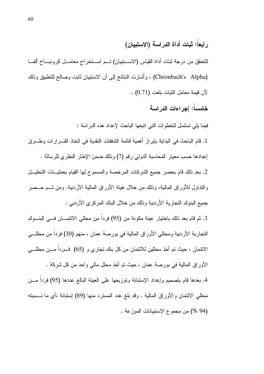## رابعاً: ثبات أداة الدراسة (الاستبيان)

للتحقق من درجة ثبات أداة القياس (الاستبيان) تسم استخراج معامل كرونباخ ألفا (Chronbach's Alpha) ، وأشارت النتائج إلى أن الاستبيان ثابت وصالح للتطبيق وذلك لأن قيمة معامل الثبات بلغت (0.71) .

#### خامسا: إجراءات الدراسة

فيما يلي تسلسل للخطوات التي اتبعها الباحث لإعداد هذه الدراسة :

1. قام الباحث في البداية بإبراز أهمية قائمة الندفقات النقدية في اتخاذ القـــرارات وطـــرق إعدادها حسب معيار المحاسبة الدولي رقم (7) وذلك ضمن الإطار النظري للرسالة .

2. بعد ذلك قام بحصر جميع الشركات المرخصة والمسموح لها القيام بعمليــات التحليــل والنداول للأوراق المالية، وذلك من خلال هيئة الأوراق المالية الأردنية. ومن نسم حـــصر جميع البنوك النجار بة الأر دنية و ذلك من خلال البنك المركز ي الأر دني .

3. ثم قام بعد ذلك باختيار ٍ عينة مكونة من (95) فرداً من محللي الائتمـــان فـــي البنـــوك النجارية الأردنية ومحللي الأوراق المالية في بورصة عمان ، منهم (30) فردا من محللـــي الائتمان ، حيث تم أخذ محللين للائتمان من كل بنك تجاري و (65) فسرداً مسن محللسي الأور إق المالية في بورصة عمان ، حيث تم أخذ محلل مالي واحد من كل شركة . 4. بعدها قام بتصميم وإعداد الإستبانة وتوزيعها على العينة البالغ عددها (95) فرداً مـــن محللي الائتمان والأوراق المالية . وقد بلغ عدد المسترد منها (89) إستبانة ،أي ما نـــسبته

(94 %) من مجموع الاستبيانات الموزعة .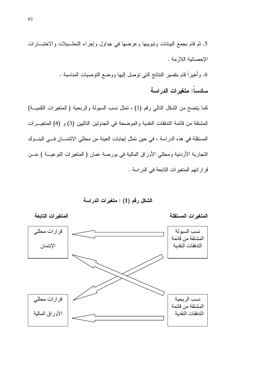

الشكل رقم (1) : متغيرات الدراسة



سادساً: متغيرات الدراسة

الإحصائية اللازمة .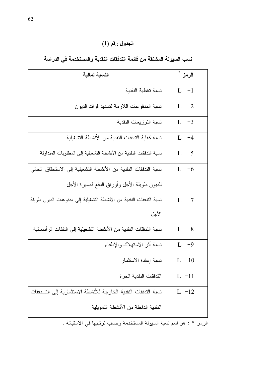## الجدول رقم (1)

| النسبة لمالية                                                       | الرمز * |
|---------------------------------------------------------------------|---------|
| نسبة تغطية النقدية                                                  | $L -1$  |
| نسبة المدفوعات اللازمة لتسديد فوائد الديون                          | $L - 2$ |
| نسبة التوزيعات النقدية                                              | L $-3$  |
| نسبة كفاية التدفقات النقدية من الأنشطة التشغيلية                    | L $-4$  |
| نسبة التدفقات النقدية من الأنشطة التشغيلية إلى المطلوبات المتداولة  | L $-5$  |
| نسبة التدفقات النقدية من الأنشطة التشغيلية إلى الاستحقاق الحالي     | L $-6$  |
| للديون طويلة الأجل وأوراق الدفع قصيرة الأجل                         |         |
| نسبة التدفقات النقدية من الأنشطة التشغيلية إلى مدفوعات الديون طويلة | L $-7$  |
| الأجل                                                               |         |
| نسبة التدفقات النقدية من الأنشطة التشغيلية إلى النفقات الرأسمالية   | $L -8$  |
| نسبة أثر الاستهلاك والإطفاء                                         | $L -9$  |
| نسبة إعادة الاستثمار                                                | $L -10$ |
| التدفقات النقدية الحرة                                              | $L -11$ |
| نسبة التدفقات النقدية الخارجة للأنشطة الاستثمارية إلى التسدفقات     | $L -12$ |
| النقدية الداخلة من الأنشطة النمويلية                                |         |
|                                                                     |         |

## نسب السيولة المشتقة من قائمة التدفقات النقدية والمستخدمة في الدراسة

الرمز \* : هو اسم نسبة السيولة المستخدمة وحسب نرنيبها في الاستبانة .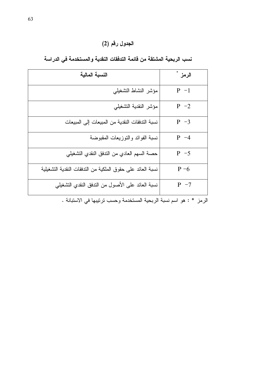الجدول رقم (2)

| النسبة المالية                                             | الرمز * |
|------------------------------------------------------------|---------|
| مؤشر النشاط التشغيلي                                       | $P - 1$ |
| مؤشر النقدية التشغيلي                                      | $P -2$  |
| نسبة الندفقات النقدية من المبيعات إلى المبيعات             | $P -3$  |
| نسبة الفوائد والنوزيعات المقبوضة                           | $P -4$  |
| حصة السهم العادي من الندفق النقدي التشغيلي                 | $P - 5$ |
| نسبة العائد على حقوق الملكية من الندفقات النقدية التشغيلية | $P - 6$ |
| نسبة العائد على الأصول من الندفق النقدي التشغيلي           | $P - 7$ |
|                                                            |         |

نسب الربحية المشتقة من قائمة التدفقات النقدية والمستخدمة في الدراسة

الرمز \* : هو اسم نسبة الربحية المستخدمة وحسب ترتيبها في الاستبانة .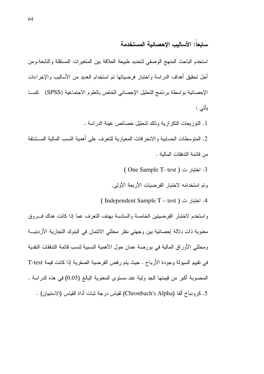### سابعاً: الأساليب الاحصائية المستخدمة

استخدم الباحث المنهج الوصفى لتحديد طبيعة العلاقة بين المتغيرات المستقلة والتابعة ومن أجل نحقيق أهداف الدراسة واختبار فرضياتها نم استخدام العديد من الأساليب والإجراءات الإحصائية بواسطة برنامج التحليل الإحصائي الخاص بالعلوم الاجتماعية (SPSS) كما يأتي :

1. النوزيعات النكرارية وذلك لتحليل خصائص عينة الدراسة .

2. المنوسطات الحسابية والانحرافات المعيارية للنعرف على أهمية النسب المالية المـــشنقة من قائمة الندفقات المالبة .

- 3. اختبار ت ( One Sample T- test )
- وتم استخدامه لاختبار الفرضيات الأربعة الأولى.

4. اختبار ت ( Independent Sample T – test )

واستخدم لاختبار الفرضيتين الخامسة والسادسة بهدف التعرف عما إذا كانت هناك فسروق معنوية ذات دلالة إحصائية بين وجهتي نظر محللي الائتمان في البنوك التجارية الأردنيـــة ومحللي الأوراق المالية في بورصة عمان حول الأهمية النسبية لنسب قائمة التدفقات النقدية في تقييم السيولة وجودة الأرباح . حيث يتم رفض الفرضية الصفرية إذا كانت فيمة T-test المحسوبة أكبر من فيمتها الجد ولية عند مستوى المعنوية البالغ (0.05) في هذه الدراسة . 5. كرونباخ ألفا (Chronbach's Alpha) لقياس درجة ثبات أداة القياس (الاستبيان) .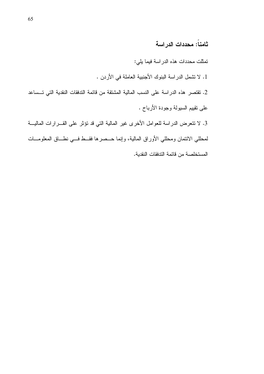## ثامناً: محددات الدراسة

تمثَّلت محددات هذه الدراسة فيما يلي:

- 1. لا تشمل الدراسة البنوك الأجنبية العاملة في الأردن .
- 2. تقتصر هذه الدراسة على النسب المالية المشتقة من قائمة التدفقات النقدية التي تــساعد على نقييم السيولة وجودة الأرباح .

3. لا نتعرض الدراسة للعوامل الأخرى غير المالية التي قد نؤثر على القـــرارات الماليـــة لمحللي الائتمان ومحللي الأوراق المالية، وإنما حــصرها فقــط فـــي نطـــاق المعلومـــات المستخلصة من قائمة الندفقات النقدية.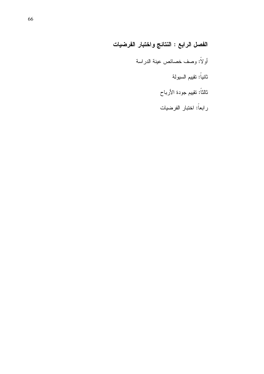# الفصل الرابع : النتائج واختبار الفرضيات

- أولاً: وصف خصائص عينة الدراسة
	- ثانياً: تقييم السيولة
	- ثالثاً: تقييم جودة الأرباح
	- رابعاً: اختبار الفرضيات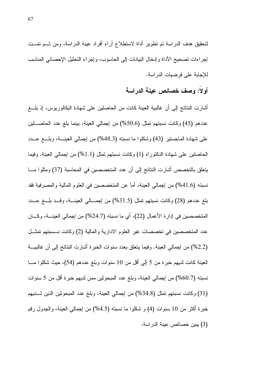لتحقيق هدف الدراسة تم تطوير أداة لاستطلاع أراء أفراد عينة الدراسة، ومن ثــم تمــت إجراءات تصحيح الأداة وإدخال البيانات إلى الحاسوب، وإجراء التحليل الإحصائي المناسب للإجابة على فرضيات الدراسة.

#### أولا: وصف خصائص عينة الدراسة

أشارت النتائج إلى أن غالبية العينة كانت من الحاصلين على شهادة البكالوريوس، إذ بلـــغ عددهم (45) وكانت نسبتهم تمثل (50.6%) من إجمالي العينة، بينما بلغ عدد الحاصــــلين علَّى شهادة الماجستير (43) وشكلوا ما نسبته (48.3%) من إجمالي العينــــة، وبلــــغ عــــدد الحاصلين على شهادة الدكتوراه (1) وكانت نسبتهم تمثَّل (1.1%) من إجمالي العينة. وفيما يتعلَّق بالتخصص أشارت النتائج إلى أن عدد المتخصصين في المحاسبة (37) ومثلوا مـــا نسبته (41.6%) من إجمالي العينة، أما عن المتخصصين في العلوم المالية والمصرفية فقد بلغ عددهم (28) وكانت نسبتهم تمثَّل (31.5%) من إجمـــالي العينـــة، وقـــد بلـــغ عـــدد المتخصصين في إدارة الأعمال (22)، أي ما نسبته (24.7%) من إجمالي العينــــة، وكــــان عدد المتخصصين في تخصصات غير العلوم الادارية والمالية (2) وكانت نـــسبتهم تمثـــل (2.2%) من إجمالي العينة. وفيما يتعلَّق بعدد سنوات الخبرة أشارت النتائج إلى أن غالبيـــة العينة كانت لديهم خبرة من 5 إلى أقل من 10 سنوات وبلغ عددهم (54)، حيث شكلوا مـــا نسبته (60.7%) من إجمالي العينة، وبلغ عدد المبحوثين ممن لديهم خبرة أقل من 5 سنوات (31) وكانت نسبتهم تمثل (34.8%) من إجمالي العينة، وبلغ عدد المبحوثين الذين لـــديهم خبرة أكثر من 10 سنوات (4) و شكلوا ما نسبته (4.5%) من إجمالي العينة، والجدول رقم (3) يبين خصائص عينة الدر اسة.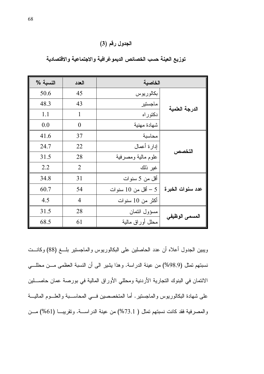الجدول رقم (3)

| النسبة % | العدد          | الخاصية             |                  |
|----------|----------------|---------------------|------------------|
| 50.6     | 45             | بكالوريوس           |                  |
| 48.3     | 43             | ماجستير             | الدرجة العلمية   |
| 1.1      | 1              | دکتور اه            |                  |
| 0.0      | $\theta$       | شهادة مهنية         |                  |
| 41.6     | 37             | محاسبة              |                  |
| 24.7     | 22             | إدارة أعمال         |                  |
| 31.5     | 28             | علوم مالية ومصرفية  | التخصص           |
| 2.2      | $\overline{2}$ | غير ذلك             |                  |
| 34.8     | 31             | أقل من 5 سنوات      |                  |
| 60.7     | 54             | 5 – أقل من 10 سنوات | عدد سنوات الخبرة |
| 4.5      | $\overline{4}$ | أكثر من 10 سنوات    |                  |
| 31.5     | 28             | مسؤول ائتمان        |                  |
| 68.5     | 61             | محلل أوراق مالية    | المسمى الوظيفي   |

توزيع العينة حسب الخصائص الديموغرافية والاجتماعية والاقتصادية

ويبين الجدول أعلاه أن عدد الحاصلين على البكالوريوس والماجستير بلــغ (88) وكانــت نسبتهم نمثل (98.9%) من عينة الدراسة. وهذا يشير الى أن النسبة العظمى مـــن محللـــى الائتمان في البنوك التجارية الأردنية ومحللي الأوراق المالية في بورصة عمان حاصــــلين على شهادة البكالوريوس والماجستير . أما المتخصصين فسي المحاســبة والعلــوم الماليـــة والمصرفية فقد كانت نسبتهم تمثل ( 73.1%) من عينة الدراسة. وتقريب (61%) مــن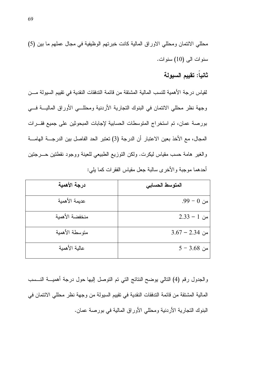محللي الائتمان ومحللي الاوراق المالية كانت خبرتهم الوظيفية في مجال عملهم ما بين (5) سنوات الى (10) سنوات.

### ثانياً: تقبيم السبولة

لقياس درجة الأهمية للنسب المالية المشتقة من قائمة الندفقات النقدية في تقييم السيولة مـــن وجهة نظر محللي الائتمان في البنوك النجارية الأردنية ومحللـــي الأوراق الماليـــة فــــي بورصة عمان، تم استخراج المتوسطات الحسابية لإجابات المبحوثين على جميع فقـــرات المجال، مع الأخذ بعين الاعتبار أن الدرجة (3) تعتبر الحد الفاصل بين الدرجــــة الـهامــــة والغير هامة حسب مقياس ليكرت. ولكن النوزيع الطبيعي للعينة ووجود نقطتين حـــرجتين أحدهما موجبة والأخرى سالبة جعل مقياس الفقرات كما يلي:

| درجة الأهمية   | المتوسط الحسابى |
|----------------|-----------------|
| عديمة الأهمية  | من 0 – 99.      |
| منخفضة الأهمية | $2.33 - 1$ من   |
| متوسطة الأهمية | من 2.34 – 3.67  |
| عالية الأهمية  | $5 - 3.68$ من   |

والجدول رقم (4) النالبي يوضح النتائج التبي تم التوصل إليها حول درجة أهميــــة النــــسب المالية المشتقة من قائمة التدفقات النقدية في تقييم السيولة من وجهة نظر محللي الائتمان في البنوك النجارية الأردنية ومحللي الأوراق المالية في بورصة عمان.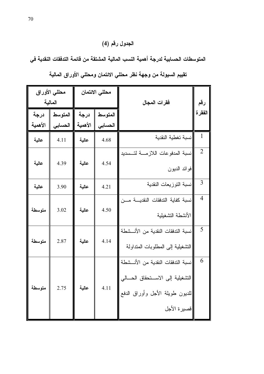# الجدول رقم (4)

المتوسطات الحسابية لدرجة أهمية النسب المالية المشتقة من قائمة التدفقات النقدية في

|                 | محللي الأوراق<br>المالية |                 | محللي الائتمان     | فقرات المجال                                                                                                             | رقم            |
|-----------------|--------------------------|-----------------|--------------------|--------------------------------------------------------------------------------------------------------------------------|----------------|
| درجة<br>الأهمية | المتوسط<br>الحسابى       | درجة<br>الأهمية | المتوسط<br>الحسابى |                                                                                                                          | الفقر ة        |
| عالية           | 4.11                     | عالية           | 4.68               | نسبة تغطية النقدية                                                                                                       | 1              |
|                 |                          |                 |                    | نسبة المدفوعات اللازمـــة لتــسديد                                                                                       | $\overline{2}$ |
| عالية           | 4.39                     | عالية           | 4.54               | فوائد الديون                                                                                                             |                |
| عالية           | 3.90                     | عالية           | 4.21               | نسبة التوزيعات النقدية                                                                                                   | 3              |
| متوسطة          | 3.02                     | عالية           | 4.50               | نسبة كفاية الندفقات النقديسة مسن<br>الأنشطة التشغيلية                                                                    | $\overline{4}$ |
| متوسطة          | 2.87                     | عالية           | 4.14               | نسبة الندفقات النقدية من الأنسشطة<br>التشغيلية إلى المطلوبات المنداولة                                                   | 5              |
| متوسطة          | 2.75                     | عالية           | 4.11               | نسبة التدفقات النقدية من الأنــشطة<br>التشغيلية إلى الاستحقاق الحسالي<br>اللديون طويلة الأجل وأوراق الدفع<br>فصيرة الأجل | 6              |

تقييم السيولة من وجهة نظر محللي الائتمان ومحللي الأوراق المالية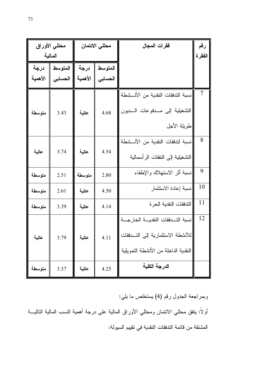| المالية         | محللي الأوراق      |                 | محللى الائتمان     | فقرات المجال                                                                                                         | رقم<br>الفقر ة |
|-----------------|--------------------|-----------------|--------------------|----------------------------------------------------------------------------------------------------------------------|----------------|
| درجة<br>الأهمية | المتوسط<br>الحسابى | درجة<br>الأهمية | المتوسط<br>الحسابي |                                                                                                                      |                |
| متوسطة          | 3.43               | عالية           | 4.68               | نسبة الندفقات النقدية من الأنـــشطة<br>التشغيلية إلى مــدفوعات الـــديون <br>طويلة الأجل                             | 7              |
| عالية           | 3.74               | عالية           | 4.54               | نسبة لتدفقات النقدية من الأنــشطة<br>النشغيلية إلى النفقات الرأسمالية                                                | 8              |
| متوسطة          | 2.51               | متوسطة          | 2.80               | نسبة أثر الاستهلاك والإطفاء                                                                                          | 9              |
| متوسطة          | 2.61               | عالية           | 4.50               | نسبة إعادة الاستثمار                                                                                                 | 10             |
| متوسطة          | 3.39               | عالية           | 4.14               | التدفقات النقدية الحرة                                                                                               | 11             |
| عالية           | 3.79               | عالية           | 4.11               | نسبة التـدفقات النقديـــة الخارجـــة<br>للأنشطة الاستثمارية إلى التــدفقات  <br>النقدية الداخلة من الأنشطة التمويلية | 12             |
| متوسطة          | 3.37               | عالية           | 4.25               | الدرجة الكلية                                                                                                        |                |

وبمراجعة الجدول رقم (4) يستخلص ما يلي:

أولاً: ينفق محللي الائتمان ومحللي الأوراق المالية على درجة أهمية النسب المالية الناليـــة المشتقة من قائمة التدفقات النقدية في تقييم السيولة: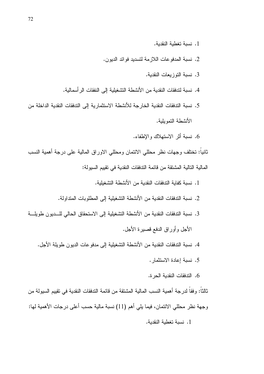- 1. نسبة تغطية النقدية.
- 2. نسبة المدفوعات اللازمة لتسديد فوائد الديون.
	- 3. نسبة التوزيعات النقدية.
- 4. نسبة لتدفقات النقدبة من الأنشطة التشغيلبة إلى النفقات الر أسمالية.
- 5. نسبة التدفقات النقدية الخار جة للأنشطة الاستثمار ية إلى التدفقات النقدية الداخلة من الأنشطة التمويلية.
	- 6. نسبة أثر الاستهلاك والإطفاء.

ثانياً: تختلف وجهات نظر محللي الائتمان ومحللي الاوراق المالية على درجة أهمية النسب المالية التالية المشتقة من قائمة التدفقات النقدية في تقييم السيولة:

- 1. نسبة كفاية الندفقات النقدية من الأنشطة التشغيلية.
- 2. نسبة التدفقات النقدية من الأنشطة التشغيلية إلى المطلوبات المتداولة.
- 3. نسبة التدفقات النقدية من الأنشطة التشغيلية إلى الاستحقاق الحالي للسديون طويلة الأجل وأوراق الدفع قصيرة الأجل.
	- 4. نسبة الندفقات النقدية من الأنشطة التشغيلية إلى مدفوعات الديون طويلة الأجل.
		- 5. نسبة إعادة الاستثمار .
		- 6. الندفقات النقدية الحرة.

ثالثاً: وفقاً لدرجة أهمية النسب المالية المشتقة من قائمة الندفقات النقدية في تقييم السيولة من وجهة نظر محللي الائتمان، فيما يلي أهم (11) نسبة مالية حسب أعلى درجات الأهمية لها: 1. نسبة تغطية النقدية.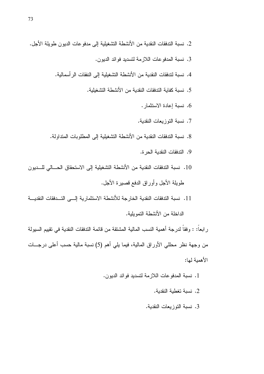- 2. نسبة التدفقات النقدية من الأنشطة التشغيلية إلى مدفوعات الديون طويلة الأجل.
	- 3. نسبة المدفوعات اللازمة لتسديد فوائد الديون.
	- 4. نسبة لتدفقات النقدية من الأنشطة التشغيلية إلى النفقات الر أسمالية.
		- 5. نسبة كفابة التدفقات النقدبة من الأنشطة التشغبلبة.
			- 6. نسبة إعادة الاستثمار .
			- 7. نسبة التوزيعات النقدية.
	- 8. نسبة الندفقات النقدية من الأنشطة التشغيلية إلى المطلوبات المتداولة.
		- 9. الندفقات النقدية الحر ة.
- 10. نسبة التدفقات النقدية من الأنشطة التشغيلية إلى الاستحقاق الحسالي للسديون طويلة الأجل وأوراق الدفع قصيرة الأجل.
- 11. نسبة التدفقات النقدية الخارجة للأنشطة الاستثمارية إلــي التــدفقات النقديـــة الداخلة من الأنشطة التموبلبة.

ر ابعاً: : وفقاً لدرجة أهمية النسب المالية المشتقة من قائمة التدفقات النقدية في تقييم السيولة من وجهة نظر محللي الأوراق المالية، فيما يلي أهم (5) نسبة مالية حسب أعلى درجـــات الأهمية لها:

- 1. نسبة المدفوعات اللازمة لتسديد فوائد الديون.
	- 2. نسبة تغطية النقدية.
	- 3. نسبة التوزيعات النقدية.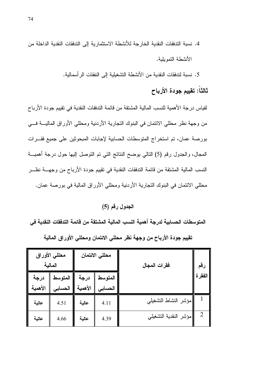4. نسبة التدفقات النقدية الخار جة للأنشطة الاستثمار ية إلى التدفقات النقدية الداخلة من الأنشطة التموبلبة.

5. نسبة لتدفقات النقدية من الأنشطة التشغيلية إلى النفقات الر أسمالية.

### ثالثاً: تقييم جودة الأرباح

لقياس درجة الأهمية للنسب المالية المشتقة من قائمة الندفقات النقدية في تقييم جودة الأرباح من وجهة نظر محللي الائتمان في البنوك التجارية الأردنية ومحللي الأوراق الماليــــة فــــي بورصة عمان، تم استخراج المتوسطات الحسابية لإجابات المبحوثين على جميع فقـــرات المجال، والجدول رقم (5) النالي بوضح النتائج التي تم التوصل إليها حول درجة أهميـــة النسب المالية المشتقة من قائمة التدفقات النقدية في نقييم جودة الأرباح من وجهــــة نظــــر محللي الائتمان في البنوك التجارية الأردنية ومحللي الأوراق المالية في بورصة عمان.

#### الجدول رقم (5)

المتوسطات الحسابية لدرجة أهمية النسب المالية المشتقة من قائمة التدفقات النقدية في تقييم جودة الأرباح من وجهة نظر محللي الائتمان ومحللي الأوراق المالية

|                 | محللي الأوراق<br>المالية |                 | محللي الائتمان       | فقرات المجال          | رقم            |
|-----------------|--------------------------|-----------------|----------------------|-----------------------|----------------|
| درجة<br>الأهمية | المتوسط<br>الحسابى       | درجة<br>الأهمية | المتوسط  <br>الحسابى |                       | الفقر ة        |
| عالية           | 4.51                     | عالية           | 4.11                 | مؤشر النشاط التشغيلي  |                |
| عالية           | 4.66                     | عالية           | 4.39                 | مؤشر النقدية التشغيلي | $\overline{2}$ |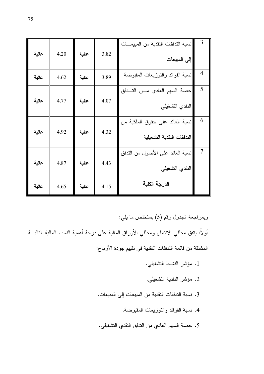| $\overline{3}$                                      | $\overline{4}$                   | 5                                                | 6                                                             | $\overline{7}$                                      |               |
|-----------------------------------------------------|----------------------------------|--------------------------------------------------|---------------------------------------------------------------|-----------------------------------------------------|---------------|
| نسبة الندفقات النقدية من المبيعــات<br>إلى المبيعات | نسبة الفوائد والنوزيعات المقبوضة | حصنة السهم العادي مسن التسدفق<br>النقدي التشغيلي | نسبة العائد على حقوق الملكية من<br>التدفقات النقدية التشغيلية | نسبة العائد على الأصول من الندفق<br>النقدي التشغيلي | الدرجة الكلية |
| 3.82                                                | 3.89                             | 4.07                                             | 4.32                                                          | 4.43                                                | 4.15          |
| عالية                                               | عالية                            | عالية                                            | عالية                                                         | عالية                                               | عالية         |
| 4.20                                                | 4.62                             | 4.77                                             | 4.92                                                          | 4.87                                                | 4.65          |
| عالية                                               | عالية                            | عالية                                            | عالية                                                         | عالية                                               | عالية         |

وبمراجعة الجدول رقم (5) يستخلص ما يلي:

أولاً: ينفق محللي الائتمان ومحللي الأوراق المالية على درجة أهمية النسب المالية الناليـــة المشتقة من قائمة التدفقات النقدية في تقييم جودة الأرباح:

- 1. مؤشر النشاط التشغيلي.
- 2. مؤشر النقدية التشغيلي.
- 3. نسبة الندفقات النقدية من المبيعات إلى المبيعات.
	- 4. نسبة الفوائد والنوزيعات المقبوضة.
- 5. حصـة السهم العادي من الندفق النقدي النشغيلي.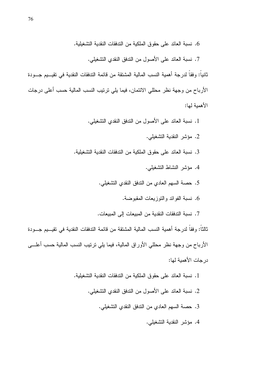6. نسبة العائد على حقوق الملكية من الندفقات النقدية التشغيلية.

7. نسبة العائد على الأصول من التدفق النقدي التشغيلي.

ثانياً: وفقاً لدرجة أهمية النسب المالية المشتقة من قائمة الندفقات النقدية في تقيـــيم جـــودة الأرباح من وجهة نظر محللي الائتمان، فيما يلي ترتيب النسب المالية حسب أعلى درجات الأهملة لها:

1. نسبة العائد على الأصول من الندفق النقدى النشغيلي.

- 2. مؤشر النقدية التشغيلي.
- 3. نسبة العائد على حقوق الملكية من الندفقات النقدية التشغيلية.
	- 4. مؤشر النشاط التشغيلي.
	- 5. حصبة السهم العادي من الندفق النقدي التشغيلي.
		- 6. نسبة الفوائد والنوز يعات المقبوضة.
	- 7. نسبة التدفقات النقدية من المبيعات إلى المبيعات.

ثالثاً: وفقاً لدرجة أهمية النسب المالية المشتقة من قائمة التدفقات النقدية في تقيـــيم جـــودة الأرباح من وجهة نظر محللي الأوراق المالية، فيما يلي نربتيب النسب المالية حسب أعلـــي در جات الأهمبة لها:

> 1. نسبة العائد على حقوق الملكية من الندفقات النقدية التشغيلية. 2. نسبة العائد على الأصول من التدفق النقدى التشغيلي. 3. حصة السهم العادي من الندفق النقدي النشغيلي. 4. مؤشر النقدية التشغيلي.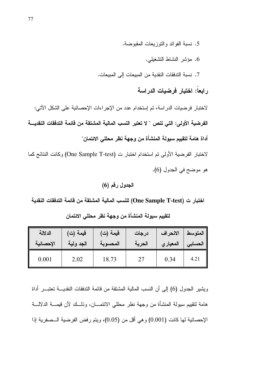- 5. نسبة الفوائد والنوز بعات المقبوضة.
	- 6. مؤشر النشاط النشغيلي.
- 7. نسبة الندفقات النقدية من المبيعات إلى المبيعات.

رابعاً: اختبار فرضيات الدراسة

لاختبار فرضيات الدراسة، تم إستخدام عدد من الإجراءات الإحصائية على الشكل الآتي: الفرضية الأولى: التي تنص " لا تعتبر النسب المالية المشتقة من قائمة التدفقات النقديـــة أداة هامة لتقييم سيولة المنشأة من وجهة نظر محللى الائتمان" لاختبار الفرضية الأولى تم استخدام اختبار ت (One Sample T-test) وكانت النتائج كما

هو موضح في الجدول (6).

الجدول رقم (6)

اختبار ت (One Sample T-test) للنسب المالية المشتقة من قائمة التدفقات النقدية

| الدلالة   | قيمة (ت)  | قيمة (ت) | درجات  | الانحراف | المتوسط |
|-----------|-----------|----------|--------|----------|---------|
| الإحصائية | الجد ولية | المحسوبة | الحرية | المعياري | الحسابى |
| 0.001     | 2.02      | 18.73    | 27     | 0.34     | 4.21    |

لتقييم سبولة المنشأة من وجهة نظر محللي الائتمان

ويشير الجدول (6) إلى أن النسب المالية المشتقة من قائمة التدفقات النقديــــة تعتبــــر أداة هامة لتقييم سيولة المنشأة من وجهة نظر محللي الائتمـــان، وذلـــك لأن قيمـــة الدلالـــة الإحصائية لها كانت (0.001) و هي أقل من (0.05)، ويتم رفض الفرضية الـــصفرية إذا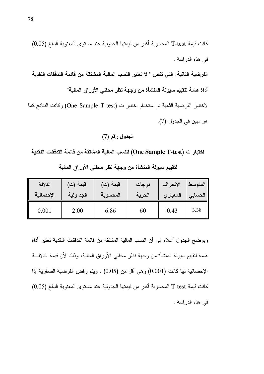الجدول رقم (7)

اختبار ت (One Sample T-test) للنسب المالية المشتقة من قائمة التدفقات النقدية

| الدلالة   | قيمة (ت)  | قيمة (ت) | درجات  | الانحراف            | المتوسط |
|-----------|-----------|----------|--------|---------------------|---------|
| الإحصائية | الجد ولية | المحسوبة | الحرية | الحسابي   المعيار ي |         |
| 0.001     | 2.00      | 6.86     | 60     | 0.43                | 3.38    |

لتقييم سيولة المنشأة من وجهة نظر محللى الأوراق المالية

ويوضح الجدول أعلاه إلى أن النسب المالية المشتقة من قائمة الندفقات النقدية تعتبر أداة هامة لتقييم سيولة المنشأة من وجهة نظر محللي الأوراق المالية، وذلك لأن قيمة الدلالـــة الإحصائية لمها كانت (0.001) وهي أقل من (0.05) ، ويتم رفض الفرضية الصفرية إذا كانت فيمة T-test المحسوبة أكبر من فيمتها الجدولية عند مستوى المعنوية البالغ (0.05) في هذه الدراسة .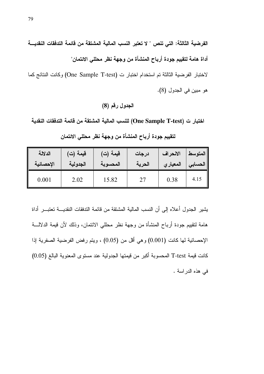الفرضية الثالثة: التي تنص " لا تعتبر النسب المالية المشتقة من قائمة التدفقات النقديــــة أداة هامة لتقييم جودة أرباح المنشأة من وجهة نظر محللي الائتمان"

لاختبار الفرضية الثالثة تم استخدام اختبار ت (One Sample T-test) وكانت النتائج كما هو مبين في الجدول (8).

اختبار ت (One Sample T-test) للنسب المالية المشتقة من قائمة التدفقات النقدية

| الدلالة   | قيمة (ت) | قيمة (ت) | درجات  | الانحراف | المتوسط |
|-----------|----------|----------|--------|----------|---------|
| الإحصائية | الجدولية | المحسوبة | الحرية | المعياري | الحسابي |
| 0.001     | 2.02     | 15.82    | 27     | 0.38     | 4.15    |

لتقييم جودة أرباح المنشأة من وجهة نظر محللى الائتمان

يشير الجدول أعلاه إلى أن النسب المالية المشتقة من قائمة التدفقات النقديــــة تعتبــــر أداة هامة لتقييع جودة أرباح المنشأة من وجهة نظر محللي الائتمان، وذلك لأن قيمة الدلالـــة الإحصائية لها كانت (0.001) وهي أقل من (0.05) ، ويتم رفض الفرضية الصفرية إذا كانت قيمة T-test المحسوبة أكبر من قيمتها الجدولية عند مستوى المعنوية البالغ (0.05) في هذه الدراسة .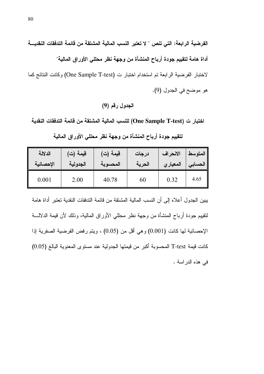الفرضية الرابعة: التي تنص " لا تعتبر النسب المالية المشتقة من قائمة التدفقات النقديـــة أداة هامة لتقييم جودة أرباح المنشأة من وجهة نظر محللي الأوراق المالية" لاختبار الفرضية الرابعة تم استخدام اختبار ت (One Sample T-test) وكانت النتائج كما

هو موضح في الجدول (9).

### الجدول رقم (9)

اختبار ت (One Sample T-test) للنسب المالية المشتقة من قائمة التدفقات النقدية

| الدلالة   | قيمة (ت′ | قيمة (ت) | درجات  | الانحراف | المتوسط |
|-----------|----------|----------|--------|----------|---------|
| الإحصائية | الجدولية | المحسوبة | الحرية | المعياري | الحسابى |
| 0.001     | 2.00     | 40.78    | 60     | 0.32     | 4.65    |

لتقييم جودة أرباح المنشأة من وجهة نظر محللي الأوراق المالية

يبين الجدول أعلاه إلى أن النسب المالية المشتقة من قائمة الندفقات النقدية تعتبر أداة هامة لنقييم جودة أرباح المنشأة من وجهة نظر محللي الأوراق المالية، وذلك لأن قيمة الدلالـــة الإحصائية لها كانت (0.001) وهي أقل من (0.05) ، ويتم رفض الفرضية الصفرية إذا كانت قيمة T-test المحسوبة أكبر من قيمتها الجدولية عند مستوى المعنوية البالغ (0.05) في هذه الدر اسة .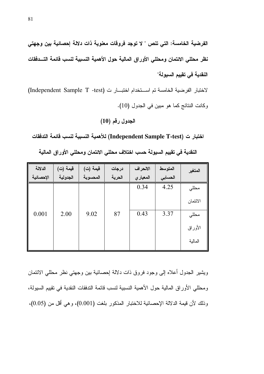الفرضية الخامسة: التي تنص " لا توجد فروقات معنوية ذات دلالة إحصائية بين وجهتي نظر محللي الائتمان ومحللي الأوراق المالية حول الأهمية النسبية لنسب قائمة التــدفقات النقدية في تقييم السيولة"

لاختبار الفرضية الخامسة تم استخدام اختبار ت (Independent Sample T -test) وكانت النتائج كما هو مبين في الجدول (10).

#### الجدول رقم (10)

اختبار ت (Independent Sample T-test) للأهمية النسبية لنسب قائمة التدفقات

| الدلالة   | قيمة (ت) | قيمة (ت) | درجات  | الانحراف | المتوسط | المتغير  |
|-----------|----------|----------|--------|----------|---------|----------|
| الإحصائية | الجدولية | المحسوبة | الحرية | المعياري | الحسابى |          |
|           |          |          |        | 0.34     | 4.25    | محللي    |
|           |          |          |        |          |         | الائتمان |
| 0.001     | 2.00     | 9.02     | 87     | 0.43     | 3.37    | محللي    |
|           |          |          |        |          |         | الأوراق  |
|           |          |          |        |          |         | المالية  |

النقدية في تقييم السيولة حسب اختلاف محللي الائتمان ومحللي الأوراق المالية

ويشير الجدول أعلاه إلىي وجود فروق ذات دلالة إحصائية بين وجهتي نظر محللي الائتمان ومحللي الأوراق المالية حول الأهمية النسبية لنسب قائمة التدفقات النقدية في تقييم السيولة، وذلك لأن قيمة الدلالة الإحصائية للاختبار المذكور بلغت (0.001)، وهي أقل من (0.05)،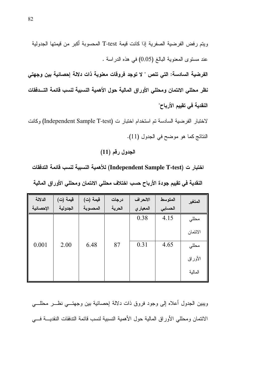الفرضية السادسة: التي تنص " لا توجد فروقات معنوية ذات دلالة إحصائية بين وجهتي نظر محللي الائتمان ومحللي الأوراق المالية حول الأهمية النسبية لنسب فائمة التسدفقات النقدية في تقييم الأرباح"

لاختبار الفرضية السادسة تم استخدام اختبار ت (Independent Sample T-test) وكانت النتائج كما هو موضح في الجدول (11).

الجدول رقم (11)

اختبار ت (Independent Sample T-test) للأهمية النسبية لنسب فائمة التدفقات

| الدلالة   | قيمة (ت) | قيمة (ت) | درجات  | الانحراف  | المتوسط | المتغير  |
|-----------|----------|----------|--------|-----------|---------|----------|
| الإحصائية | الجدولية | المحسوبة | الحرية | المعيار ي | الحسابى |          |
|           |          |          |        | 0.38      | 4.15    | مطلي     |
|           |          |          |        |           |         | الائتمان |
| 0.001     | 2.00     | 6.48     | 87     | 0.31      | 4.65    | محللي    |
|           |          |          |        |           |         | الأوراق  |
|           |          |          |        |           |         | المالية  |

النقدية في تقييم جودة الأرباح حسب اختلاف محللي الائتمان ومحللي الأوراق المالية

ويبين الجدول أعلاه إلىي وجود فروق ذات دلالة إحصائية ببن وجهتـــي نظـــر محللــــي الائتمان ومحللي الأوراق المالية حول الأهمية النسبية لنسب قائمة التدفقات النقديـــة فـــي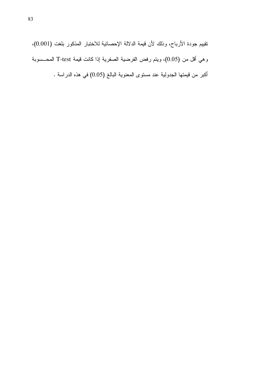نقييم جودة الأرباح، وذلك لأن قيمة الدلالة الإحصائية للاختبار المذكور بلغت (0.001)، وهي أقل من (0.05)، ويتم رفض الفرضية الصفرية إذا كانت قيمة T-test المحـــسوبة أكبر من قيمتها الجدولية عند مستوى المعنوية البالغ (0.05) في هذه الدراسة .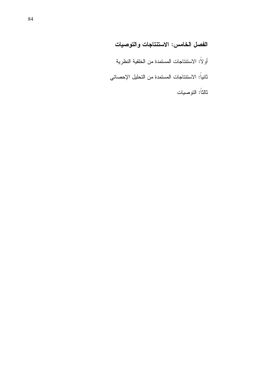# الفصل الخامس: الاستنتاجات والتوصيات

أو لاً: الاستنتاجات المستمدة من الخلفية النظرية

ثانياً: الاستنتاجات المستمدة من التحليل الإحصائي

ثالثاً: التوصيات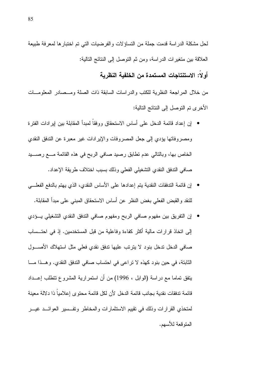لحل مشكلة الدراسة قدمت جملة من التساؤلات والفرضيات التي تم اختبار ها لمعرفة طبيعة العلاقة بين منغيرات الدراسة، ومن ثم النوصل إلى النتائج التالية:

#### أو لا: الاستنتاجات المستمدة من الخلفية النظرية

من خلال المراجعة النظرية للكتب والدراسات السابقة ذات الصلة ومــصادر المعلومـــات الأخرى تم التوصل إلى النتائج التالية:

- إن إعداد قائمة الدخل على أساس الاستحقاق ووفقاً لمبدأ المقابلة بين إير ادات الفترة ومصروفاتها يؤدي إلى جعل المصروفات والإيرادات غير معبرة عن التدفق النقدي الخاص بها، وبالنالي عدم نطابق رصيد صافي الربح في هذه القائمة مــــع رصــــيد صافي الندفق النقدي التشغيلي الفعلى وذلك بسبب اختلاف طريقة الإعداد.
- إن قائمة التدفقات النقدية يتم إعدادها على الأساس النقدي، الذي يهتم بالدفع الفعلـــي للنقد والقبض الفعلى بغض النظر عن أساس الاستحقاق المبنى على مبدأ المقابلة.
- إن التفريق بين مفهوم صافي الربح ومفهوم صافي الندفق النقدي التشغيلي يــؤدي إلى انخاذ قرارات مالية أكثر كفاءة وفاعلية من قبل المستخدمين. إذ في احتــساب صافي الدخل ندخل بنود لا يترتب عليها ندفق نقدي فعلى مثل استهلاك الأصــــول الثابتة، في حين بنود كهذه لا نراعي في احتساب صافي الندفق النقدي. وهـذا مــا يتفق تماما مع دراسة (الوابل ، 1996) من أن استمرارية المشروع نتطلب إعــداد قائمة تدفقات نقدية بجانب قائمة الدخل لأن لكل قائمة محتوى إعلامياً ذا دلالة معينة لمتخذى القرارات وذلك في نقييم الاستثمارات والمخاطر ونفسسير العوائــد غيـــر المتو قعة للأسهم.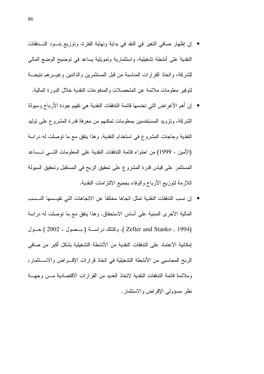- إن إظهار صافى التغير في النقد في بداية ونهاية الفترة، وتوزيع بنــود التـــدفقات النقدية على أنشطة نشغيلية، واستثمارية وتمويلية يساعد في نوضيح الوضع المالي للشركة، واتخاذ القرارات المناسبة من قبل المستثمرين والدائنين وغيـــرهم نتيجــــة لنو فبر معلومات ملائمة عن المتحصلات و المدفو عات النقدبة خلال الدور ة المالبة.
- إن أهم الأغراض التي تخدمها قائمة التدفقات النقدية هي تقييم جودة الأرباح وسيولة الشركة، ونزويد المستخدمين بمعلومات تمكنهم من معرفة قدرة المشروع على نوليد النقدية وحاجات المشروع في استخدام النقدية. وهذا يتفق مع ما توصلت له دراسة (الأمين ، 1999) من احتواء قائمة التدفقات النقدية على المعلومات التسى تــساعد المستثمر على قياس قدرة المشروع على نحقيق الربح في المستقبل ونحقيق السيولة اللازمة لتوزيع الأرباح والوفاء بجميع الالتزامات النقدية.
- إن نسب التدفقات النقدية تمثل اتجاها مختلفاً عن الاتجاهات التي تقيــسها النــسب المالية الأخرى المبنية على أساس الاستحقاق. وهذا يتفق مع ما توصلت له دراسة (Zeller and Stanko , 1994 ). وكذلك دراســـة (بــصول ، 2002 ) حــول إمكانية الاعتماد على التدفقات النقدية من الأنشطة التشغيلية بشكل أكبر<sub>.</sub> من صـافي الربح المحاسبي من الأنشطة التشغيلية في اتخاذ قرارات الإقسراض والاستثمار، وملائمة قائمة التدفقات النقدية لاتخاذ العديد من القرارات الاقتصادية مــن وجهـــة نظر مسؤولي الإقراض والاستثمار .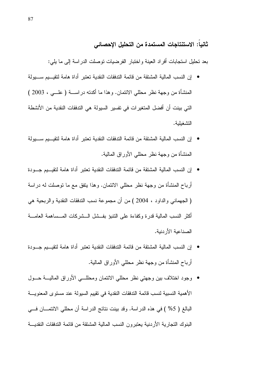#### ثانيا: الاستنتاجات المستمدة من التحليل الإحصائي

بعد نحليل استجابات أفراد العينة واختبار الفرضيات نوصلت الدراسة إلىى ما يلي:

- إن النسب المالية المشتقة من قائمة التدفقات النقدية تعتبر أداة هامة لتقيـــيم ســـيو لة المنشأة من وجهة نظر محللي الائتمان. وهذا ما أكدته دراســـة ( علـــي ، 2003 ) التي بينت أن أفضل المتغير ات في تفسير السيولة هي التدفقات النقدية من الأنشطة التشغيلية.
- إن النسب المالية المشتقة من قائمة التدفقات النقدية تعتبر ٍ أداة هامة لتقيـــيم ســـيو لة المنشأة من وجهة نظر محللي الأور اق المالية.
- إن النسب المالية المشتقة من قائمة التدفقات النقدية تعتبر أداة هامة لتقبــبم جـــودة أرباح المنشأة من وجهة نظر محللي الائتمان. وهذا يتفق مع ما نوصلت له دراسة ( الجهماني والداود ، 2004 ) من أن مجموعة نسب الندفقات النقدية والربحية هي أكثر النسب المالية قدر ة وكفاءة على النتبوّ بفــشل الــشركات المــساهمة العامـــة الصناعبة الأر دنبة.
- إن النسب المالية المشتقة من قائمة التدفقات النقدية تعتبر ِ أداة هامة لتقيـــيم جـــو دة أرباح المنشأة من وجهة نظر محللي الأوراق المالية.
- وجود اختلاف بين وجهتي نظر محللي الائتمان ومحللــي الأوراق الماليـــة حـــول الأهمية النسبية لنسب قائمة التدفقات النقدية في نقييم السيولة عند مستوى المعنويــــة البالغ ( 5% ) في هذه الدراسة. وقد بينت نتائج الدراسة أن محللي الائتمـــان فـــي البنوك النجارية الأردنية يعتبرون النسب المالية المشتقة من قائمة التدفقات النقديـــة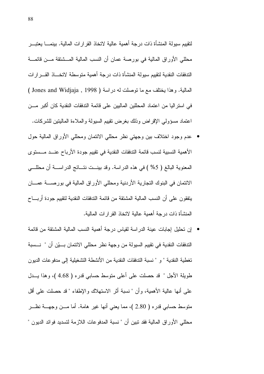لنقييم سيولة المنشأة ذات درجة أهمية عالية لاتخاذ القرارات المالية. بينمــــا يعتبـــر محللي الأوراق المالية في بورصة عمان أن النسب المالية المـــشنقة مـــن قائمـــة الندفقات النقدية لنقييم سيولة المنشأة ذات درجة أهمية متوسطة لاتخساذ القسرارات المالية. وهذا بختلف مع ما توصلت له در اسة ( Jones and Widjaja , 1998 ) في استر اليا من اعتماد المحللين الماليين على قائمة التدفقات النقدية كان أكبر مـــن اعتماد مسؤولي الإقراض وذلك بغرض نقييم السبولة والملاءة الماليتين للشركات.

- عدم وجود اختلاف بين وجهتي نظر محللي الائتمان ومحللي الأوراق المالية حول الأهمية النسبية لنسب قائمة التدفقات النقدية في تقييم جودة الأرباح عنــد مــستوى المعنوية البالغ ( 5% ) في هذه الدراسة. وقد بينـــت نتـــائـج الدراســــة أن مـحللــــي الائتمان في البنوك التجارية الأردنية ومحللي الأوراق المالية في بورصــــة عمــــان يتفقون على أن النسب المالية المشتقة من قائمة التدفقات النقدية لتقييم جودة أربــــاح المنشأة ذات درجة أهمية عالية لاتخاذ القرارات المالية.
- إن تحليل إجابات عينة الدراسة لقياس درجة أهمية النسب المالية المشتقة من قائمة الندفقات النقدية في نقييم السيولة من وجهة نظر محللي الائتمان بـــيّن أن " نـــسبة تغطية النقدية " و " نسبة الندفقات النقدية من الأنشطة التشغيلية إلى مدفو عات الديون طويلة الأجل " قد حصلت على أعلى متوسط حسابي قدره ( 4.68 )، وهذا يـــدل على أنها عالية الأهمية، وأن " نسبة أثر الاستهلاك والإطفاء " قد حصلت على أقل منوسط حسابي قدره ( 2.80 )، مما يعني أنها غير هامة. أما مـــن وجهـــة نظـــر محللي الأوراق المالية فقد نبين أن " نسبة المدفوعات اللازمة لتسديد فوائد الديون "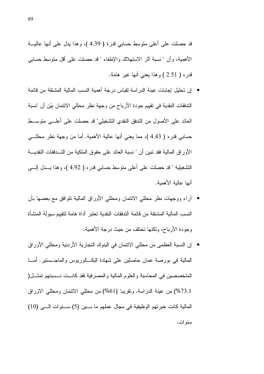قد حصلت على أعلى متوسط حسابي قدرة ( 4.39 )، وهذا يدل على أنها عاليـــة الأهمية، وأن " نسبة أثر الاستهلاك والإطفاء " قد حصلت على أقل متوسط حسابـي قدره ( 2.51 ) وهذا يعني أنها غير هامة.

- إن تحليل إجابات عبنة الدر اسة لقباس در جة أهمية النسب المالية المشتقة من قائمة الندفقات النقدية في تقييم جودة الأرباح من وجهة نظر محللي الائتمان بيّن أن "نسبة العائد على الأصول من التدفق النقدى التشغيلي" قد حصلت على أعلـــي متوســـط حسابي قدره ( 4.43 )، مما يعني أنها عالية الأهمية. أما من وجهة نظر محللـــي الأوراق المالية فقد نبين أن " نسبة العائد على حقوق الملكية من التــدفقات النقديـــة التشغيلية " قد حصلت على أعلى متوسط حسابي قدره ( 4.92 )، وهذا يـــدل إلــــى أنها عالية الأهمية.
- أر اء ووجهات نظر محللي الائتمان ومحللي الأوراق المالية نتوافق مع بعضها بأن النسب المالية المشتقة من قائمة التدفقات النقدية تعتبر أداة هامة لتقييم سيولة المنشأة وجودة الأرباح، ولكنها تختلف من حيث درجة الأهمية.
- إن النسبة العظمى من محللي الائتمان في البنوك النجارية الأردنية ومحللي الأوراق المالية في بورصة عمان حاصلين على شهادة البكـــالوريوس والماجـــستير . أمــــا المتخصصين في المحاسبة والعلوم المالية والمصرفية فقد كانست نسسبتهم تمثـــل( 73.1%) من عينة الدراسة. وتقريبا (61%) من محللي الائتمان ومحللي الاوراق المالية كانت خبرتهم الوظيفية في مجال عملهم ما بسين (5) ســـنوات الـــي (10) سنو ات.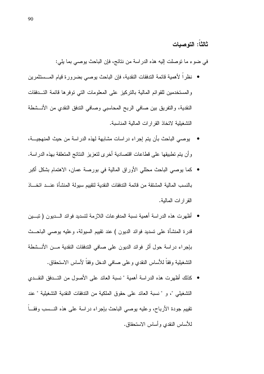ثالثاً: التوصيات

في ضوء ما توصلت إليه هذه الدراسة من نتائج، فإن الباحث يوصبي بما يلي:

- نظراً لأهمية قائمة الندفقات النقدية، فإن الباحث يوصي بضرورة قيام المـــستثمرين والمستخدمين للقوائم المالية بالنزكيز على المعلومات التي نوفرها قائمة التسدفقات النقدية، والنفريق بين صافي الربح المحاسبي وصافي الندفق النقدي من الأنـــشطة النشغيلية لاتخاذ القرارات المالية المناسبة.
- يوصبي الباحث بأن يتم إجراء دراسات مشابهة لهذه الدراسة من حيث المنهجيـــة، وأن يتم تطبيقها على فطاعات اقتصادية أخرى لتعزيز النتائج المتعلقة بهذه الدراسة.
- كما يوصبي الباحث محللي الأوراق المالية في بورصة عمان، الاهتمام بشكل أكبر بالنسب المالية المشتقة من قائمة التدفقات النقدية لتقييم سيولة المنشأة عنـــد اتخـــاذ القر ار ات المالية.
- أظهر ت هذه الدر اسة أهمية نسبة المدفو عات اللاز مة لتسديد فو ائد الـــديو ن ( تبـــين قدرة المنشأة على تسديد فوائد الديون ) عند نقييم السيولة، وعليه يوصـي الباحـــث بإجراء دراسة حول أثر فوائد الديون على صافى الندفقات النقدية مـــن الأنـــشطة التشغيلية وفقاً للأساس النقدي وعلى صـافـي الدخل وفقاً لأساس الاستحقاق.
- كذلك أظهرت هذه الدراسة أهمية " نسبة العائد على الأصول من التــدفق النقــدي التشغيلي "، و " نسبة العائد على حقوق الملكية من التدفقات النقدية التشغيلية " عند تقييم جودة الأرباح، وعليه يوصبي الباحث بإجراء دراسة على هذه النـــسب وفقـــاً للأساس النقدي وأساس الاستحقاق.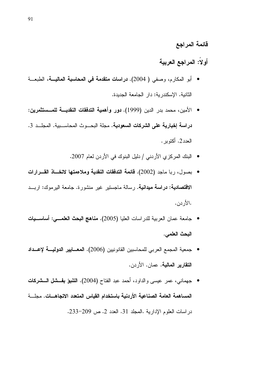### قائمة المراجع

# أولاً: المراجع العربية

- الثانية. الاسكندر بة: دار الجامعة الجديدة.
- الأمين، محمد بدر الدين (1999). **دور وأهمية التدفقات النقديـــة للمـــستثمرين:** دراسة إخبارية على الشركات السعودية. مجلة البحـــوث المحاســـبية. المجلــد 3. العدد2. أكتوبر .
	- البنك المركزي الأردني / دليل البنوك في الأردن لعام 2007.
- بصول، ربا ماجد (2002). قائمة التدفقات النقدية وملاءمتها لاتخــاذ القـــرارات **الاقتصادية: دراسة ميدانية.** رسالة ماجستير غير منشورة. جامعة اليرموك: اربــد .الأر دن.
- جامعة عمان العربية للدراسات العليا (2005). مناهج البحث العلمـــي: أساســـيات البحث العلمي.
- جمعية المجمع العربي للمحاسبين القانونيين (2006). المعسايير الدوليسة لإعسداد التقارير المالية. عمان. الأردن.
- جهماني، عمر عيسى والداود، أحمد عبد الفتاح (2004). ا**لتنبؤ بفــشل الـــشركات** المساهمة العامة الصناعية الأردنية باستخدام القياس المتعدد الاتجاهــات. مجلـــة دراسات العلوم الإدارية .المجلد 31. العدد 2. ص 209-233.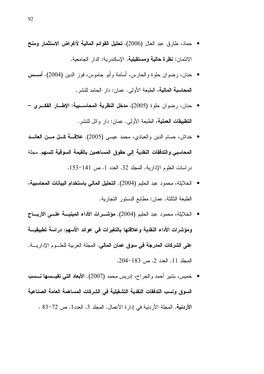- حماد، طارق عبد العال (2006). تحليل القوائم المالية لأغراض الاستثمار ومنح الائتمان: **نظرة حالية ومستقبلية**. الإسكندرية: الدار الجامعية.
- حنان، رضوان حلوة والحارس، أسامة وأبو جاموس، فوز الدين (2004). أســــس **المحاسبة المالية**، الطبعة الأولى. عما*ن: دار* الحامد للنشر .
- حنان، رضوان حلوة (2005). مدخل النظرية المحاسبية: الإطسار الفكسرى − التطبيقات العملية، الطبعة الأولى. عمان: دار وائل للنشر .
- خداش، حسام الدين والعبادي، محمد عيسى (2005). علاقة كل مسن العائسد المحاسبي والتدفقات النقدية إلى حقوق المساهمين بالقيمة السوقية للسهم. مجلة در اسات العلوم الإدارية. المجلد 32. العدد 1. ص 141-153.
- الخلايلة، محمود عبد الحليم (2004). ا**لتحليل المال***ي* **باستخدام البيانات المحاسبية**، الطبعة الثالثة. عمان: مطابع الدستور التجارية.
- الخلايلة، محمود عبد الحليم (2004). مؤشـــرات الأداء المبنيــــة علــــى الأربــــاح ومؤشرات الأداء النقدية وعلاقتها بالتغيرات في عوائد الأسهم: دراسة تطبيقيـــة على الشركات المدرجة في سوق عمان المالي. المجلة العربية للعلــوم الإدار بـــة. المجلد 11. العدد 2. ص 183-204.
- خميس، بشير أحمد والجراح، إدريس محمد (2007). الأبعاد التي تقيــــسها نـــــسب السوق ونسب التدفقات النقدية التشغيلية في الشركات المساهمة العامة الصناعية الأردنية. المجلة الأردنية في إدارة الأعمال. المجلد 3. العدد1. ص 72–83 .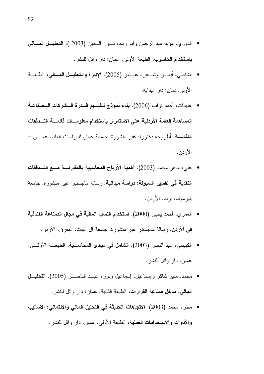- الدوري، مؤيد عبد الرحمن وأبو زناد، نـــور الــــدين (2003 ). ا**لتحليـــل المــــالـي** باستخدام الحاسوب، الطبعة الأولى. عمان: دار وائل للنشر.
- الشنطي، أيمــــن وشــــقير، عـــــامر (2005). الإدارة والتحليـــل العــــالـي، الطبعـــة الأولى.عمان: دار البدابة.
- عبيدات، أحمد نواف (2006). بِناء نموذج لتقيسيم قسدرة السشركات السصناعية  $\bullet$ المساهمة العامة الأردنية على الاستمرار باستخدام معلومسات قائمسة التسدفقات **النقديــــة.** أطروحة دكتوراه غير منشورة. جامعة عمان للدراسات العليا. عمـــان – الأردن.
- \_ علي، ماهر ِ محمد (2003). أهمية الأرباح المحاسبية بالمقارنــــة مــــع التـــدفقات النقدية في تفسير السيولة: دراسة ميدانية. رسالة ماجستير خير منشورة. جامعة اليرموك: اربد. الأردن.
- العمر ي، أحمد يحيى (2000). استخدام النسب المالية في مجال الصناعة الفندقية فحي الأردن. رسالة ماجستير غير منشورة. جامعة آل البيت: المفرق. الأردن.
- الكبيسي، عبد الستار (2003). ال**شامل في مبادئ المحاســبة**، الطبعــة الأولـــي. عمان: دار وإئل للنشر.
- محمد، منير شاكر وإسماعيل، إسماعيل ونور، عبــد الناصـــر (2005). التحليــل **المالمي: مدخل صناعة القرارات**، الطبعة الثانية. عمان: دار وائل للنشر.
- مطر ، محمد (2003). الاتجاهات الحديثة في التحليل المالي والائتماني: الأساليب والأدوات والاستخدامات العملية، الطبعة الأولى. عمان: دار وائل للنشر.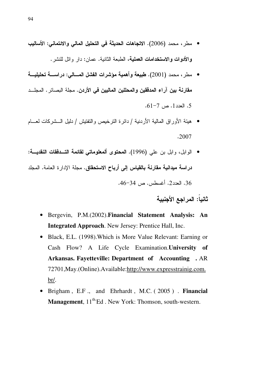- مطر ، محمد (2006). الاتجاهات الحديثة في التحليل المالي والائتماني: الأساليب **والأدوات والاستخدامات العملية**، الطبعة الثانية. عمان: دار وائل للنشر .
- مطر ، محمد (2001). طبيعة وأهمية مؤشرات الفشل المسالي: دراســــة تحليليــــة مقارنة بين اراء المدققين والمحللين الماليين في الأردن. مجلة البصائر . المجلـــد 5. العدد 1. ص 7–61.
- هيئة الأوراق المالية الأردنية / دائرة النرخيص والنفتيش / دليل الـــشركات لعـــام .2007
- الوابل، وابل بن علي (1996). المحتوى ألمعلوماتي لقائمة التـــدفقات النقديـــة: دراسة ميدانية مقارنة بالقياس إلى أرباح الاستحقاق. مجلة الإدارة العامة. المجلد 36. العدد2. أغسطس. ص 34-46.

ثانيا: المراجع الأجنبية

- Bergevin, P.M.(2002).**Financial Statement Analysis: An Integrated Approach**. New Jersey: Prentice Hall, Inc.
- Black, E.L. (1998).Which is More Value Relevant: Earning or Cash Flow? A Life Cycle Examination.**University of Arkansas. Fayetteville: Department of Accounting .** AR 72701,May.(Online).Available:http://www.expresstrainig.com. br/.
- Brigham , E.F ., and Ehrhardt , M.C. ( 2005 ) . **Financial Management**,  $11^{th}$ <sup>Ed</sup>. New York: Thomson, south-western.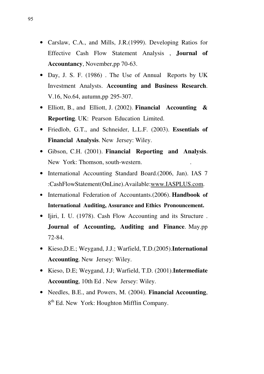- Carslaw, C.A., and Mills, J.R.(1999). Developing Ratios for Effective Cash Flow Statement Analysis , **Journal of Accountancy**, November,pp 70-63.
- Day, J. S. F. (1986). The Use of Annual Reports by UK Investment Analysts. **Accounting and Business Research**. V.16, No.64, autumn,pp 295-307.
- Elliott, B., and Elliott, J. (2002). **Financial Accounting & Reporting**. UK: Pearson Education Limited.
- Friedlob, G.T., and Schneider, L.L.F. (2003). **Essentials of Financial Analysis**. New Jersey: Wiley.
- Gibson, C.H. (2001). **Financial Reporting and Analysis**. New York: Thomson, south-western.
- International Accounting Standard Board.(2006, Jan). IAS 7 :CashFlowStatement(OnLine).Available:www.IASPLUS.com.
- International Federation of Accountants.(2006). **Handbook of International Auditing, Assurance and Ethics Pronouncement.**
- Ijiri, I. U. (1978). Cash Flow Accounting and its Structure . **Journal of Accounting, Auditing and Finance**. May.pp 72-84.
- Kieso,D.E.; Weygand, J.J.; Warfield, T.D.(2005).**International Accounting**. New Jersey: Wiley.
- Kieso, D.E; Weygand, J.J; Warfield, T.D. (2001).**Intermediate Accounting**, 10th Ed . New Jersey: Wiley.
- Needles, B.E., and Powers, M. (2004). **Financial Accounting**, 8<sup>th</sup> Ed. New York: Houghton Mifflin Company.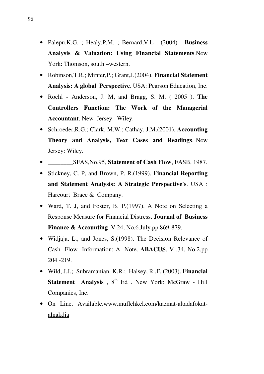- Palepu,K.G. ; Healy,P.M. ; Bernard,V.L . (2004) . **Business Analysis & Valuation: Using Financial Statements**.New York: Thomson, south –western.
- Robinson,T.R.; Minter,P.; Grant,J.(2004). **Financial Statement Analysis: A global Perspective**. USA: Pearson Education, Inc.
- Roehl Anderson, J. M, and Bragg, S. M. ( 2005 ). **The Controllers Function: The Work of the Managerial Accountant**. New Jersey: Wiley.
- Schroeder,R.G.; Clark, M.W.; Cathay, J.M.(2001). **Accounting Theory and Analysis, Text Cases and Readings**. New Jersey: Wiley.
- \_\_\_\_\_\_\_\_SFAS,No.95, **Statement of Cash Flow**, FASB, 1987.
- Stickney, C. P, and Brown, P. R.(1999). **Financial Reporting and Statement Analysis: A Strategic Perspective's**. USA : Harcourt Brace & Company.
- Ward, T. J, and Foster, B. P. (1997). A Note on Selecting a Response Measure for Financial Distress. **Journal of Business Finance & Accounting** .V.24, No.6.July.pp 869-879.
- Widjaja, L., and Jones, S. (1998). The Decision Relevance of Cash Flow Information: A Note. **ABACUS**. V .34, No.2.pp 204 -219.
- Wild, J.J.; Subramanian, K.R.; Halsey, R .F. (2003). **Financial Statement Analysis**,  $8^{th}$  Ed. New York: McGraw - Hill Companies, Inc.
- On Line. Available.www.muflehkel.com/kaemat-altadafokatalnakdia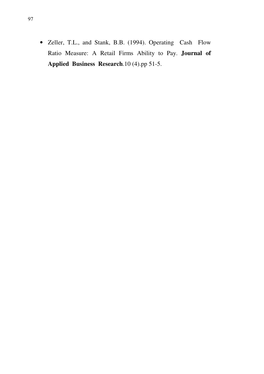• Zeller, T.L., and Stank, B.B. (1994). Operating Cash Flow Ratio Measure: A Retail Firms Ability to Pay. **Journal of Applied Business Research**.10 (4).pp 51-5.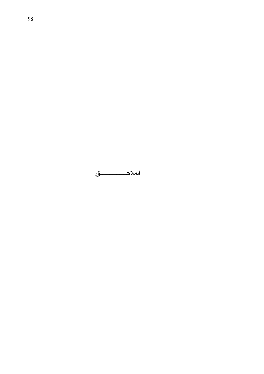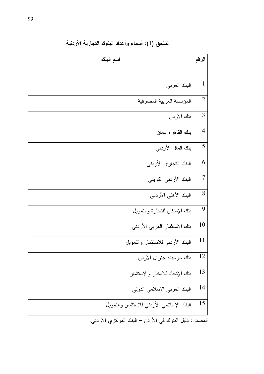| اسم البنك                                                                                                                      | الرقم          |
|--------------------------------------------------------------------------------------------------------------------------------|----------------|
|                                                                                                                                |                |
| البنك العربي                                                                                                                   | $\mathbf{1}$   |
| المؤسسة العربية المصرفية                                                                                                       | $\overline{2}$ |
| بنك الأردن                                                                                                                     | 3              |
| بنك القاهرة عمان                                                                                                               | $\overline{4}$ |
| بنك المال الأردني                                                                                                              | 5              |
| البنك النجاري الأردني                                                                                                          | 6              |
| البنك الأردني الكويتي                                                                                                          | $\overline{7}$ |
| البنك الأهلى الأردني                                                                                                           | 8              |
| بنك الإسكان للتجارة والتمويل                                                                                                   | 9              |
| بنك الاستثمار العربي الأردني                                                                                                   | 10             |
| البنك الأردني للاستثمار والتمويل                                                                                               | 11             |
| بنك سوسيته جنرال الأردن                                                                                                        | 12             |
| بنك الإتحاد للادخار والاستثمار                                                                                                 | 13             |
| البنك العربي الإسلامي الدولبي                                                                                                  | 14             |
| البنك الإسلامي الأردنبي للاستثمار والنمويل                                                                                     | 15             |
| $\mathbb{R}^3$ . The final state of $\mathbb{R}^3$ and $\mathbb{R}^3$ and $\mathbb{R}^3$ and $\mathbb{R}^3$ and $\mathbb{R}^3$ |                |

الملحق (1): أسماء وأعداد البنوك التجارية الأردنية

المصدر : دليل البنوك في الأردن – البنك المركزي الأردني.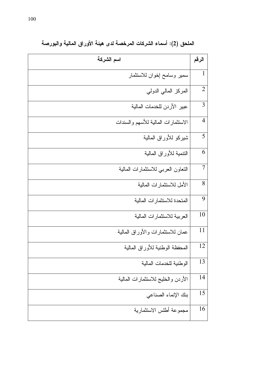| اسم الشركة                          | الرقم          |
|-------------------------------------|----------------|
| سمير وسامح إخوان للاستثمار          | $\mathbf{1}$   |
| المركز المالي الدولي                | $\overline{2}$ |
| عبير الأردن للخدمات المالية         | 3              |
| الاستثمارات المالية للأسهم والسندات | $\overline{4}$ |
| شيركو للأوراق المالية               | 5              |
| النتمية للأوراق المالية             | 6              |
| النعاون العربي للاستثمارات المالية  | 7              |
| الأمل للاستثمارات المالية           | 8              |
| المتحدة للاستثمارات المالية         | 9              |
| العربية للاستثمارات المالية         | 10             |
| عمان للاستثمارات والأوراق المالية   | 11             |
| المحفظة الوطنية للأوراق المالية     | 12             |
| الوطنية للخدمات المالية             | 13             |
| الأردن والخليج للاستثمارات المالية  | 14             |
| بنك الإنماء الصناعى                 | 15             |
| مجموعة أطلس الاستثمارية             | 16             |

الملحق (2): أسماء الشركات المرخصة لدى هيئة الأوراق المالية والبورصة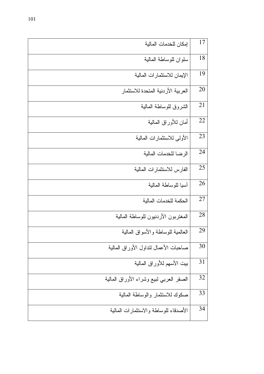| إمكان للخدمات المالية                     | 17 |
|-------------------------------------------|----|
| سلوان للوساطة المالية                     | 18 |
| الإيمان للاستثمارات المالية               | 19 |
| العربية الأردنية المتحدة للاستثمار        | 20 |
| الشروق للوساطة المالية                    | 21 |
| أمان للأوراق المالية                      | 22 |
| الأولى للاستثمارات المالية                | 23 |
| الرضا للخدمات المالية                     | 24 |
| الفارس للاستثمار ات المالية               | 25 |
| أسيا للوساطة المالية                      | 26 |
| الحكمة للخدمات المالية                    | 27 |
| المغتربون الأردنيون للوساطة المالية       | 28 |
| العالمية للوساطة والأسواق المالية         | 29 |
| صاحبات الأعمال لنداول الأوراق المالية     | 30 |
| ببيت الأسهم للأوراق المالية               | 31 |
| الصقر العرببي لببيع وشراء الأوراق المالية | 32 |
| صكوك للاستثمار والوساطة المالية           | 33 |
| الأصدقاء للوساطة والاستثمارات المالية     | 34 |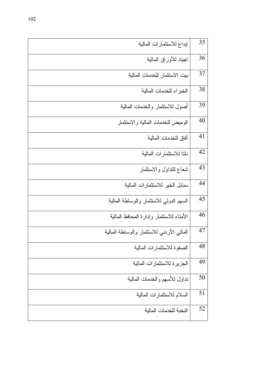| إبداع للاستثمارات المالية                 | 35 |
|-------------------------------------------|----|
| اجياد للأوراق المالية                     | 36 |
| بيت الاستثمار للخدمات المالية             | 37 |
| الخبراء للخدمات المالية                   | 38 |
| أصول للاستثمار والخدمات المالية           | 39 |
| الوميض للخدمات المالية والاستثمار         | 40 |
| آفاق للخدمات المالية                      | 41 |
| دلتا للاستثمار ات المالية                 | 42 |
| شعاع للتداول والاستثمار                   | 43 |
| سنابل الخير للاستثمارات المالية           | 44 |
| السهم الدولمي للاستثمار والوساطة المالية  | 45 |
| الأمناء للاستثمار وإدارة المحافظ المالية  | 46 |
| المالى الأردني للاستثمار والوساطة المالية | 47 |
| الصفوة للاستثمارات المالية                | 48 |
| الجزيرة للاستثمارات المالية               | 49 |
| نداول للأسهم والخدمات المالية             | 50 |
| السلام للاستثمارات المالية                | 51 |
| النخبة للخدمات المالية                    | 52 |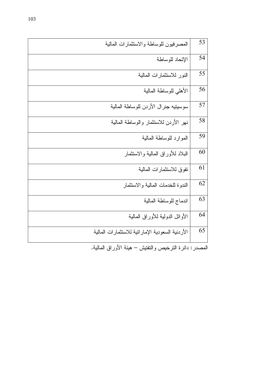| المصرفيون للوساطة والاستثمارات المالية                  | 53 |
|---------------------------------------------------------|----|
| الإتحاد للوساطة                                         | 54 |
| النور للاستثمارات المالية                               | 55 |
| الأهلبي للوساطة المالية                                 | 56 |
| سوسيتيه جنرال الأردن للوساطة المالية                    | 57 |
| نهر الأردن للاستثمار والوساطة المالية                   | 58 |
| الموارد للوساطة المالية                                 | 59 |
| البلاد للأوراق المالية والاستثمار                       | 60 |
| تفوق للاستثمارات المالية                                | 61 |
| الندوة للخدمات المالية والاستثمار                       | 62 |
| اندماج للوساطة المالية                                  | 63 |
| الأوائل الدولبة للأوراق المالية                         | 64 |
| الأردنية السعودية الإماراتية للاستثمارات المالية        | 65 |
| المصدر : دائرة النرخيص والنفنيش – هيئة الأوراق المالية. |    |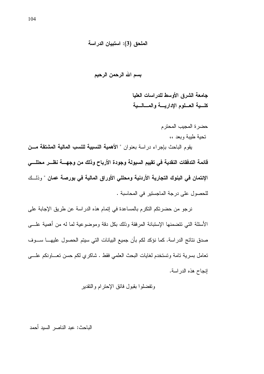## الملحق (3): استبيان الدراسة

بسم الله الرحمن الرحيم

جامعة الشرق الأوسط للدراسات العليا كلسية العسلوم الإداريسة والمسالسية

حضرة المجيب المحترم تحبة طببة وبعد ،،

يقوم الباحث بإجراء دراسة بعنوان " الأهمية النسبية للنسب المالية المشتقة مسن قائمة التدفقات النقدية فى تقييم السيولة وجودة الأرباح وذلك من وجهسة نظـــر محللـــي الإئتمان في البنوك التجارية الأردنية ومحللي الأوراق المالية في بورصة عمان " وذلــك للحصول على درجة الماجستير في المحاسبة .

نرجو من حضرتكم التكرم بالمساعدة في إتمام هذه الدراسة عن طريق الإجابة على الأسئلة التي نتضمنها الإستبانة المرفقة وذلك بكل دقة وموضوعية لما له من أهمية علـــي صدق نتائج الدر اسة. كما نؤكد لكم بأن جميع البيانات التي سيتم الحصول عليهـــا ســـوف نعامل بسرية نامة وتستخدم لغايات البحث العلمي فقط . شاكري لكم حسن نعساونكم علسى إنجاح هذه الدراسة.

وتفضلوا بقبول فائق الإحترام والتقدير

الباحث: عبد الناصر السبد أحمد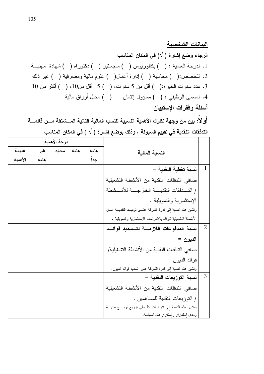## الببانات الشخصبة

الرجاء وضع إشارة (  $\lor$ ) في المكان المناسب 1. الدرجة العلمية : ( ) بكالوريوس ( ) ماجستير ( ) دكتوراه ( ) شهادة مهنيـــة 2. التخصص:( ) محاسبة ( ) إدارة أعمال( ) علوم مالية ومصرفية ( ) غير ذلك 3. عدد سنوات الخبرة:( ) أقل من 5 سنوات، ( ) 5- أقل من10، ( ) أكثر من 10 4. المسمى الوظيفي : ( ) مسؤول إئتمان ( ) محلل أوراق مالية أسئلة وفقرات الإستبيان

أَو لا : بين من وجهة نظرك الأهمية النسبية للنسب المالية التالية المـــشتقة مـــن قائمـــة التدفقات النقدية في تقييم السيولة ، وذلك بوضع إشارة ( √ ) في المكان المناسب.

|                |                                                                   |      |      | درجة الأهمية |      |         |
|----------------|-------------------------------------------------------------------|------|------|--------------|------|---------|
|                | النسبة المالية                                                    | هامه | هامه | محايد        | غير  | عديمة   |
|                |                                                                   | جدا  |      |              | هامه | الأهميه |
| $\mathbf{1}$   | نسبة تغطية النقدية =                                              |      |      |              |      |         |
|                | صافى التدفقات النقدية من الأنشطة التشغيلية                        |      |      |              |      |         |
|                | / التــــدفقات النقديــــــة الخار جـــــة للأنــــشطة            |      |      |              |      |         |
|                | الإستثمارية والتمويلية .                                          |      |      |              |      |         |
|                | وتشير هذه النسبة إلى قدرة الشركة علـــى توليـــد النقديـــة مـــن |      |      |              |      |         |
|                | الأنشطة النشغيلية للوفاء بالالتزامات الإستثمارية والتمويلية .     |      |      |              |      |         |
| $\overline{2}$ | نسبة المدفوعات اللازمــــة لتـــسديد فوائـــد                     |      |      |              |      |         |
|                | الديون =                                                          |      |      |              |      |         |
|                | صـافي الندفقات النقدية من الأنشطة التشغيلية/                      |      |      |              |      |         |
|                | فوائد الديون .                                                    |      |      |              |      |         |
|                | ونشير هذه النسبة الى قدرة الشركة على تسديد فوائد الديون.          |      |      |              |      |         |
| $\overline{3}$ | نسبة التوزيعات النقدية =                                          |      |      |              |      |         |
|                | صافى التدفقات النقدية من الأنشطة التشغيلية                        |      |      |              |      |         |
|                | / التوزيعات النقدية للمساهمين .                                   |      |      |              |      |         |
|                | وتشير هذه النسبة الى قدرة الشركة على نوزيع أربـــاح نقديــــة     |      |      |              |      |         |
|                | ومدى استمرار واستقرار هذه السياسة.                                |      |      |              |      |         |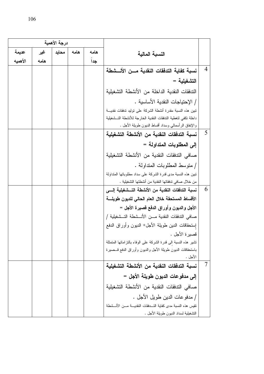|         |      | درجة الأهمية |      |      |                                                                        |                |
|---------|------|--------------|------|------|------------------------------------------------------------------------|----------------|
| عديمة   | غير  | محايد        | هامه | هامه | النسبة المالية                                                         |                |
| الأهميه | هامه |              |      | جدأ  |                                                                        |                |
|         |      |              |      |      | نسبة كفاية التدفقات النقدية مسن الأنسشطة                               | $\overline{4}$ |
|         |      |              |      |      | التشغيلية =                                                            |                |
|         |      |              |      |      | الندفقات النقدية الداخلة من الأنشطة النشغيلية                          |                |
|         |      |              |      |      | / الإحتياجات النقدية الأساسية .                                        |                |
|         |      |              |      |      | تبين هذه النسبة مقدرة أنشطة الشركة على توليد تدفقات نقديسة             |                |
|         |      |              |      |      | داخلة نكفى لتغطية التدفقات النقدية الخارجة للأنشطة التسشغيلية          |                |
|         |      |              |      |      | والإنفاق الرأسمالي وسداد أقساط الديون طويلة الأجل .                    |                |
|         |      |              |      |      | نسبة التدفقات النقدية من الأنشطة التشغيلية                             | 5              |
|         |      |              |      |      | إلى المطلوبات المتداولة =                                              |                |
|         |      |              |      |      | صـافـي الندفقات النقدية من الأنشطة التشغيلية                           |                |
|         |      |              |      |      | / منوسط المطلوبات المنداولة .                                          |                |
|         |      |              |      |      | تبين هذه النسبة مدى قدرة الشركة على سداد مطلوباتها المتداولة           |                |
|         |      |              |      |      | من خلال صافى تدفقاتها النقدية من أنشطتها التشغيلية .                   |                |
|         |      |              |      |      | نسبة التدفقات النقدية من الأنشطة التـــشغيلية إلــــى                  | -6             |
|         |      |              |      |      | الأقساط المستحقة خلال العام الحالى للديون طويلسة                       |                |
|         |      |              |      |      | الأجل والديون وأوراق الدفع قصيرة الأجل =                               |                |
|         |      |              |      |      | صافي التدفقات النقدية مـــن الأنـــشطة التــشغيلية /                   |                |
|         |      |              |      |      | إستحقاقات الدين طويلة الأجل+ الديون وأوراق الدفع                       |                |
|         |      |              |      |      | قصير ة الأجل .                                                         |                |
|         |      |              |      |      | تشير هذه النسبة الى قدرة الشركة على الوفاء بالتزاماتها المتمثلة        |                |
|         |      |              |      |      | باستحقاقات الدبون طويلة الأجل والدبون وأوراق الدفع قـــصيرة<br>الأجل . |                |
|         |      |              |      |      | نسبة التدفقات النقدية من الأنشطة التشغيلية                             | $\overline{7}$ |
|         |      |              |      |      | إلى مدفوعات الديون طويلة الأجل =                                       |                |
|         |      |              |      |      | صـافى التدفقات النقدية من الأنشطة التشغيلية                            |                |
|         |      |              |      |      | / مدفوعات الدين طويل الأجل .                                           |                |
|         |      |              |      |      | تقيس هذه النسبة مدى كفاية التـــدفقات النقديــــة مــــن الأنـــشطة    |                |
|         |      |              |      |      | التشغيلية لسداد الديون طويلة الأجل .                                   |                |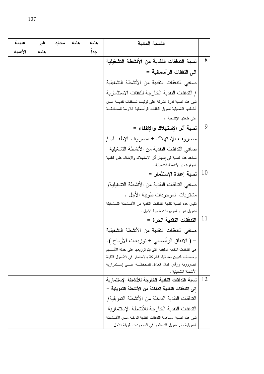| عديمة   | غير  | محايد | هامه | هامه | النسبة المالية                                                            |           |
|---------|------|-------|------|------|---------------------------------------------------------------------------|-----------|
| الأهميه | هامه |       |      | جدا  |                                                                           |           |
|         |      |       |      |      | نسبة التدفقات النقدية من الأنشطة التشغيلية                                | 8         |
|         |      |       |      |      | الى النفقات الرأسمالية =                                                  |           |
|         |      |       |      |      | صـافي الندفقات النقدية من الأنشطة التشغيلية                               |           |
|         |      |       |      |      | / التدفقات النقدية الخارجة للنفقات الاستثمارية                            |           |
|         |      |       |      |      | تبين هذه النسبة قدرة الشركة على توليد تـدفقات نقديـــة مـــن              |           |
|         |      |       |      |      | أنشطتها النشغيلية لتمويل النفقات الرأسمالية اللازمة للمحافظة              |           |
|         |      |       |      |      | على طاقتها الإنتاجية .                                                    |           |
|         |      |       |      |      | نسبة أثر الإستهلاك والإطفاء =                                             | 9         |
|         |      |       |      |      | مصروف الإستهلاك + مصروف الإطفــاء /                                       |           |
|         |      |       |      |      | صافي الندفقات النقدية من الأنشطة النشغيلبة                                |           |
|         |      |       |      |      | نساعد هذه النسبة في اظهار أثر الإستهلاك والإطفاء على النقدية              |           |
|         |      |       |      |      | الموفرة من الأنشطة التشغيلية .                                            |           |
|         |      |       |      |      | نسبة إعادة الإستثمار =                                                    | <b>10</b> |
|         |      |       |      |      | صافي التدفقات النقدية من الأنشطة التشغيلية/                               |           |
|         |      |       |      |      | مشتريات الموجودات طويلة الأجل .                                           |           |
|         |      |       |      |      | تقيس هذه النسبة كفاية التدفقات النقدية من الأنـــشطة التــشغيلة           |           |
|         |      |       |      |      | لنمويل شراء الموجودات طويلة الأجل .                                       |           |
|         |      |       |      |      | التدفقات النقدية الحر ة =                                                 | 11        |
|         |      |       |      |      | صافى التدفقات النقدية من الأنشطة النشغيلية                                |           |
|         |      |       |      |      | – ( الانفاق الرأسمالي + نوزيعات الأرباح ).                                |           |
|         |      |       |      |      | هي التدفقات النقدية المتبقية التي يتم توزيعها على حملة الأســـهم          |           |
|         |      |       |      |      | وأصحاب الديون بعد قيام الشركة بالإستثمار في الأصول الثابتة                |           |
|         |      |       |      |      | الضرورية ورأس المال العامل للمحافظة علسى إستمرارية<br>الأنشطة التشغللبة . |           |
|         |      |       |      |      | نسبة التدفقات النقدية الخارجة للأنشطة الإستثمارية                         | -12       |
|         |      |       |      |      | الى التدفقات النقدية الداخلة من الأنشطة التمويلية =                       |           |
|         |      |       |      |      | التدفقات النقدية الداخلة من الأنشطة التمويلية/                            |           |
|         |      |       |      |      | الندفقات النقدية الخارجة للأنشطة الإستثمارية                              |           |
|         |      |       |      |      | تبين هذه النسبة مساهمة التدفقات النقدية الداخلة مــن الأنــ شطة           |           |
|         |      |       |      |      | النمويلية على نمويل الاستثمار في الموجودات طويلة الأجل .                  |           |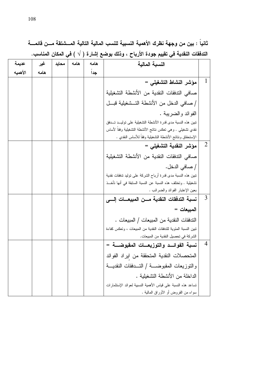ثانياً : بين من وجهة نظرك الأهمية النسبية للنسب المالية التالية المستنتقة مسن قائمسة التدفقات النقدية في تقييم جودة الأرباح ، وذلك بوضع إشارة ( √ ) في المكان المناسب.

| عديمة   | غير  | محايد | هامه | هامه | النسبة المالية                                                  |                |
|---------|------|-------|------|------|-----------------------------------------------------------------|----------------|
| الأهميه | هامه |       |      | جدا  |                                                                 |                |
|         |      |       |      |      | مؤشر النشاط التشغيلي =                                          | 1              |
|         |      |       |      |      | صافى التدفقات النقدية من الأنشطة التشغيلية                      |                |
|         |      |       |      |      | / صـافي الدخل من الأنشطة التــشغيلية قبـــل                     |                |
|         |      |       |      |      | الفوائد والضرببة .                                              |                |
|         |      |       |      |      | تبين هذه النسبة مدى قدرة الأنشطة التشغيلية على توليــد تـــدفق  |                |
|         |      |       |      |      | نقدي نشغيلـى . وهـى نـعكس ننائـج الأنشطـة النشغيلية وفقاً لأساس |                |
|         |      |       |      |      | الإستحقاق ونتائج الأنشطة التشغيلية وفقاً للأساس النقدى .        |                |
|         |      |       |      |      | مؤشر النقدية التشغيلي =                                         | $\overline{2}$ |
|         |      |       |      |      | صافى التدفقات النقدية من الأنشطة التشغيلية                      |                |
|         |      |       |      |      | / صــافي الدخل.                                                 |                |
|         |      |       |      |      | تبين هذه النسبة مدى قدرة أرباح الشركة على توليد تدفقات نقدية    |                |
|         |      |       |      |      | تشغيلية . وتختلف هذه النسبة عن النسبة السابقة في أنها تأخـــذ   |                |
|         |      |       |      |      | بعين الإعتبار الفوائد والضرائب .                                |                |
|         |      |       |      |      | نسبة التدفقات النقدية مـــن المبيعـــات إلــــى                 | 3              |
|         |      |       |      |      | المبيعات =                                                      |                |
|         |      |       |      |      | التدفقات النقدية من المبيعات / المبيعات .                       |                |
|         |      |       |      |      | تبين النسبة المئوية للتدفقات النقدية من المبيعات ، وتعكس كفاءة  |                |
|         |      |       |      |      | الشركة في تحصيل النقدية من المبيعات.                            |                |
|         |      |       |      |      | نسبة الفوائــد والتوزيعـــات المقبوضــــة =                     | $\overline{4}$ |
|         |      |       |      |      | المتحصلات النقدية المتحققة من ايراد الفوائد                     |                |
|         |      |       |      |      | والنوزيعات المقبوضــــة / النــــدفقات النقديــــة              |                |
|         |      |       |      |      | الداخلة من الأنشطة التشغبلبة .                                  |                |
|         |      |       |      |      | نساعد هذه النسبة على قياس الأهمية النسبية لعوائد الإستثمارات    |                |
|         |      |       |      |      | سواء من القروض أو الأوراق المالية .                             |                |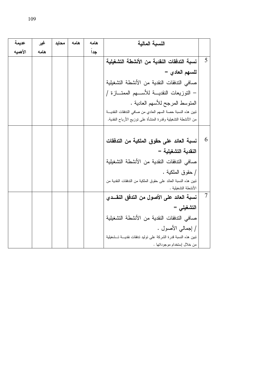| عديمة   | غير  | محايد | هامه | هامه | النسبة المالية                                                 |   |
|---------|------|-------|------|------|----------------------------------------------------------------|---|
| الأهميه | هامه |       |      | جداً |                                                                |   |
|         |      |       |      |      | نسبة التدفقات النقدية من الأنشطة التشغيلية                     | 5 |
|         |      |       |      |      | للسهم العادي =                                                 |   |
|         |      |       |      |      | صافي التدفقات النقدية من الأنشطة التشغيلية                     |   |
|         |      |       |      |      | – النوزيعات النقديــــة للأســـــهم الممتـــــازة /            |   |
|         |      |       |      |      | المنوسط المرجح للأسهم العادية .                                |   |
|         |      |       |      |      | تبين هذه النسبة حصة السهم العادي من صافى التدفقات النقديـــة   |   |
|         |      |       |      |      | من الأنشطة التشغيلية وقدرة المنشأة على توزيع الأرباح النقدية.  |   |
|         |      |       |      |      |                                                                |   |
|         |      |       |      |      | نسبة العائد على حقوق الملكية من التدفقات                       | 6 |
|         |      |       |      |      | النقدية التشغيلية =                                            |   |
|         |      |       |      |      | صافي التدفقات النقدية من الأنشطة التشغيلية                     |   |
|         |      |       |      |      | / حقوق الملكية .                                               |   |
|         |      |       |      |      | تبين هذه النسبة العائد على حقوق الملكية من التدفقات النقدية من |   |
|         |      |       |      |      | الأنشطة التشغيلية .                                            |   |
|         |      |       |      |      | نسبة العائد على الأصول من التدفق النقــدي                      | 7 |
|         |      |       |      |      | التشغيلي =                                                     |   |
|         |      |       |      |      | صافى الندفقات النقدية من الأنشطة النشغيلية                     |   |
|         |      |       |      |      | / إجمالي الأصول .                                              |   |
|         |      |       |      |      | تبين هذه النسبة قدرة الشركة على توليد تدفقات نقديسة تسشغيلية   |   |
|         |      |       |      |      | من خلال اٍستخدام موجوداتها .                                   |   |